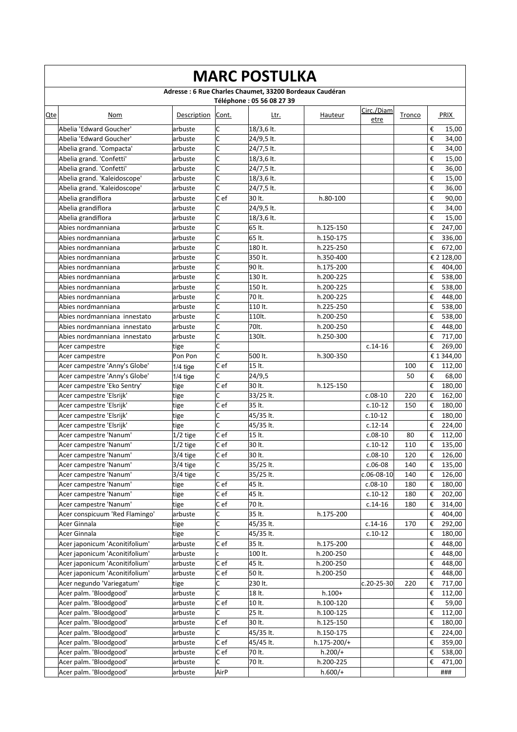|     | <b>MARC POSTULKA</b>                           |                       |                   |                                                                                       |             |                    |        |        |                              |  |  |  |  |
|-----|------------------------------------------------|-----------------------|-------------------|---------------------------------------------------------------------------------------|-------------|--------------------|--------|--------|------------------------------|--|--|--|--|
|     |                                                |                       |                   | Adresse : 6 Rue Charles Chaumet, 33200 Bordeaux Caudéran<br>Téléphone: 05 56 08 27 39 |             |                    |        |        |                              |  |  |  |  |
| Qte | Nom                                            | Description           | Cont.             | Ltr.                                                                                  | Hauteur     | Circ./Diam<br>etre | Tronco |        | PRIX                         |  |  |  |  |
|     | Abelia 'Edward Goucher'                        | arbuste               | C                 | 18/3,6 lt.                                                                            |             |                    |        | €      | 15,00                        |  |  |  |  |
|     | Abelia 'Edward Goucher'                        | arbuste               | C                 | 24/9,5 lt.                                                                            |             |                    |        | €      | 34,00                        |  |  |  |  |
|     | Abelia grand. 'Compacta'                       | arbuste               | c                 | 24/7,5 lt.                                                                            |             |                    |        | €      | 34,00                        |  |  |  |  |
|     | Abelia grand. 'Confetti'                       | arbuste               | C                 | 18/3,6 lt.                                                                            |             |                    |        | €      | 15,00                        |  |  |  |  |
|     | Abelia grand. 'Confetti'                       | arbuste               | C                 | 24/7,5 lt.                                                                            |             |                    |        | €      | 36,00                        |  |  |  |  |
|     | Abelia grand. 'Kaleidoscope'                   | arbuste               | c                 | 18/3,6 lt.                                                                            |             |                    |        | €      | 15,00                        |  |  |  |  |
|     | Abelia grand. 'Kaleidoscope'                   | arbuste               | C                 | 24/7,5 lt.                                                                            |             |                    |        | €      | 36,00                        |  |  |  |  |
|     | Abelia grandiflora                             | arbuste               | C ef              | 30 lt.                                                                                | h.80-100    |                    |        | €      | 90,00                        |  |  |  |  |
|     | Abelia grandiflora                             | arbuste               | C                 | 24/9,5 lt.                                                                            |             |                    |        | €      | 34,00                        |  |  |  |  |
|     | Abelia grandiflora                             | arbuste               | C                 | $18/3,6$ lt.                                                                          |             |                    |        | €      | 15,00                        |  |  |  |  |
|     | Abies nordmanniana                             | arbuste               | C                 | 65 lt.                                                                                | h.125-150   |                    |        | €      | 247,00                       |  |  |  |  |
|     | Abies nordmanniana                             | arbuste               | C                 | 65 lt.                                                                                | h.150-175   |                    |        | €      | 336,00                       |  |  |  |  |
|     | Abies nordmanniana                             | arbuste               | c                 | 180 lt.                                                                               | h.225-250   |                    |        | €      | 672,00                       |  |  |  |  |
|     | Abies nordmanniana                             | arbuste               | C                 | 350 lt.                                                                               | h.350-400   |                    |        |        | € 2 128,00                   |  |  |  |  |
|     | Abies nordmanniana                             | arbuste               | C                 | 90 lt.                                                                                | h.175-200   |                    |        | €      | 404,00                       |  |  |  |  |
|     | Abies nordmanniana                             | arbuste               | C                 | 130 lt.                                                                               | h.200-225   |                    |        | €      | 538,00                       |  |  |  |  |
|     | Abies nordmanniana                             | arbuste               | c                 | 150 lt.                                                                               | h.200-225   |                    |        | €      | 538,00                       |  |  |  |  |
|     | Abies nordmanniana                             | arbuste               | c                 | 70 lt.                                                                                | h.200-225   |                    |        | €      | 448,00                       |  |  |  |  |
|     | Abies nordmanniana                             | arbuste               | C                 | 110 lt.                                                                               | h.225-250   |                    |        | €      | 538,00                       |  |  |  |  |
|     | Abies nordmanniana innestato                   | arbuste               | C                 | 110lt.                                                                                | h.200-250   |                    |        | €      | 538,00                       |  |  |  |  |
|     | Abies nordmanniana innestato                   | arbuste               | C                 | 70lt.                                                                                 | h.200-250   |                    |        | €      | 448,00                       |  |  |  |  |
|     | Abies nordmanniana innestato                   | arbuste               | c                 | 130lt.                                                                                | h.250-300   |                    |        | €      | 717,00                       |  |  |  |  |
|     | Acer campestre                                 | tige                  | C                 |                                                                                       |             | $c.14-16$          |        | €      | 269,00                       |  |  |  |  |
|     | Acer campestre                                 | Pon Pon               | c                 | 500 lt.                                                                               | h.300-350   |                    |        |        | € 1 344,00                   |  |  |  |  |
|     | Acer campestre 'Anny's Globe'                  | $1/4$ tige            | $\overline{C}$ ef | 15 lt.                                                                                |             |                    | 100    | €      | 112,00                       |  |  |  |  |
|     | Acer campestre 'Anny's Globe'                  | $1/4$ tige            | C                 | 24/9,5                                                                                |             |                    | 50     | €      | 68,00                        |  |  |  |  |
|     | Acer campestre 'Eko Sentry'                    | tige                  | Cef               | 30 lt.                                                                                | h.125-150   |                    |        | €      | 180,00                       |  |  |  |  |
|     | Acer campestre 'Elsrijk'                       | tige                  | C                 | 33/25 lt.                                                                             |             | $c.08-10$          | 220    | €      | 162,00                       |  |  |  |  |
|     | Acer campestre 'Elsrijk'                       | tige                  | c e f             | 35 lt.                                                                                |             | $c.10-12$          | 150    | €      | 180,00                       |  |  |  |  |
|     | Acer campestre 'Elsrijk'                       | tige                  | C                 | 45/35 lt.                                                                             |             | $c.10-12$          |        | €      | 180,00                       |  |  |  |  |
|     | Acer campestre 'Elsrijk'                       | tige                  | c                 | 45/35 lt.                                                                             |             | $c.12-14$          |        | €      | 224,00                       |  |  |  |  |
|     | Acer campestre 'Nanum'                         | $1/2$ tige            | C ef              | 15 lt.                                                                                |             | $c.08-10$          | 80     | €      | 112,00                       |  |  |  |  |
|     | Acer campestre 'Nanum'                         | $1/2$ tige            | C ef              | 30 lt.                                                                                |             | $c.10-12$          | 110    | €      | 135,00                       |  |  |  |  |
|     | Acer campestre 'Nanum'                         | $\overline{3}/4$ tige | Cef               | 30 lt.                                                                                |             | $c.08-10$          | 120    |        | $\overline{\epsilon}$ 126,00 |  |  |  |  |
|     | Acer campestre 'Nanum'                         | 3/4 tige              | C                 | 35/25 lt.                                                                             |             | $c.06-08$          | 140    | €      | 135,00                       |  |  |  |  |
|     | Acer campestre 'Nanum'                         | 3/4 tige              | C.                | 35/25 lt.                                                                             |             | $c.06 - 08 - 10$   | 140    | €      | 126,00                       |  |  |  |  |
|     | Acer campestre 'Nanum'                         | tige                  | Cef               | 45 lt.                                                                                |             | $c.08-10$          | 180    | €      | 180,00                       |  |  |  |  |
|     | Acer campestre 'Nanum'                         | tige                  | C ef<br>C ef      | 45 lt.<br>70 lt.                                                                      |             | $c.10-12$          | 180    | €      | 202,00                       |  |  |  |  |
|     | Acer campestre 'Nanum'                         | tige                  |                   |                                                                                       |             | $c.14-16$          | 180    | €      | 314,00                       |  |  |  |  |
|     | Acer conspicuum 'Red Flamingo'<br>Acer Ginnala | arbuste               | C<br>C            | 35 lt.<br>45/35 lt.                                                                   | h.175-200   | $c.14-16$          | 170    | €<br>€ | 404,00<br>292,00             |  |  |  |  |
|     | Acer Ginnala                                   | tige                  | C                 |                                                                                       |             | $c.10-12$          |        | €      |                              |  |  |  |  |
|     | Acer japonicum 'Aconitifolium'                 | tige<br>arbuste       | C ef              | 45/35 lt.<br>35 lt.                                                                   | h.175-200   |                    |        | €      | 180,00<br>448,00             |  |  |  |  |
|     | Acer japonicum 'Aconitifolium'                 | arbuste               |                   | 100 lt.                                                                               | h.200-250   |                    |        | €      | 448,00                       |  |  |  |  |
|     | Acer japonicum 'Aconitifolium'                 | arbuste               | C ef              | 45 lt.                                                                                | h.200-250   |                    |        | €      | 448,00                       |  |  |  |  |
|     | Acer japonicum 'Aconitifolium'                 | arbuste               | C ef              | 50 lt.                                                                                | h.200-250   |                    |        | €      | 448,00                       |  |  |  |  |
|     | Acer negundo 'Variegatum'                      | tige                  | C                 | 230 lt.                                                                               |             | $c.20 - 25 - 30$   | 220    | €      | 717,00                       |  |  |  |  |
|     | Acer palm. 'Bloodgood'                         | arbuste               | C                 | 18 lt.                                                                                | $h.100+$    |                    |        | €      | 112,00                       |  |  |  |  |
|     | Acer palm. 'Bloodgood'                         | arbuste               | Cef               | 10 lt.                                                                                | h.100-120   |                    |        | €      | 59,00                        |  |  |  |  |
|     | Acer palm. 'Bloodgood'                         | arbuste               | C                 | 25 lt.                                                                                | h.100-125   |                    |        | €      | 112,00                       |  |  |  |  |
|     | Acer palm. 'Bloodgood'                         | arbuste               | Cef               | 30 lt.                                                                                | h.125-150   |                    |        | €      | 180,00                       |  |  |  |  |
|     | Acer palm. 'Bloodgood'                         | arbuste               | C                 | 45/35 lt.                                                                             | h.150-175   |                    |        | €      | 224,00                       |  |  |  |  |
|     | Acer palm. 'Bloodgood'                         | arbuste               | C ef              | 45/45 lt.                                                                             | h.175-200/+ |                    |        | €      | 359,00                       |  |  |  |  |
|     | Acer palm. 'Bloodgood'                         | arbuste               | C ef              | 70 lt.                                                                                | $h.200/+$   |                    |        | €      | 538,00                       |  |  |  |  |
|     | Acer palm. 'Bloodgood'                         | arbuste               | C                 | 70 lt.                                                                                | h.200-225   |                    |        | €      | 471,00                       |  |  |  |  |
|     | Acer palm. 'Bloodgood'                         | arbuste               | AirP              |                                                                                       | $h.600/+$   |                    |        |        | ###                          |  |  |  |  |
|     |                                                |                       |                   |                                                                                       |             |                    |        |        |                              |  |  |  |  |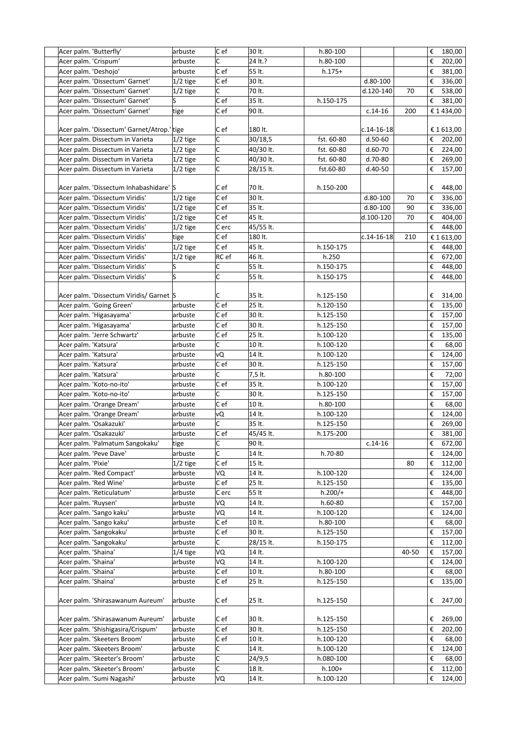| Acer palm. 'Butterfly'                     | arbuste    | $ C $ ef | 30 lt.    | h.80-100   |                  |       | € | 180,00     |
|--------------------------------------------|------------|----------|-----------|------------|------------------|-------|---|------------|
| Acer palm. 'Crispum'                       | arbuste    | C        | 24 lt.?   | h.80-100   |                  |       | € | 202,00     |
| Acer palm. 'Deshojo'                       | arbuste    | Cef      | 55 lt.    | $h.175+$   |                  |       | € | 381,00     |
| Acer palm. 'Dissectum' Garnet'             | $1/2$ tige | Cef      | 30 lt.    |            | d.80-100         |       | € | 336,00     |
| Acer palm. 'Dissectum' Garnet'             | $1/2$ tige | c        | 70 lt.    |            | d.120-140        | 70    | € | 538,00     |
| Acer palm. 'Dissectum' Garnet'             | S          | Cef      | 35 lt.    | h.150-175  |                  |       | € | 381,00     |
| Acer palm. 'Dissectum' Garnet'             | tige       | Cef      | 90 lt.    |            | $c.14-16$        | 200   |   | € 1 434,00 |
|                                            |            |          |           |            |                  |       |   |            |
| Acer palm. 'Dissectum' Garnet/Atrop.' tige |            | C ef     | 180 lt.   |            | $c.14 - 16 - 18$ |       |   | € 1613,00  |
| Acer palm. Dissectum in Varieta            | $1/2$ tige | C        | 30/18,5   | fst. 60-80 | $d.50-60$        |       | € | 202,00     |
| Acer palm. Dissectum in Varieta            | $1/2$ tige | C        | 40/30 lt. | fst. 60-80 | $d.60-70$        |       | € | 224,00     |
| Acer palm. Dissectum in Varieta            | $1/2$ tige | C        | 40/30 lt. | fst. 60-80 | d.70-80          |       | € | 269,00     |
| Acer palm. Dissectum in Varieta            | $1/2$ tige | c        | 28/15 lt. | fst.60-80  | d.40-50          |       | € | 157,00     |
|                                            |            |          |           |            |                  |       |   |            |
| Acer palm. 'Dissectum Inhabashidare' S     |            | C e f    | 70 lt.    | h.150-200  |                  |       | € | 448,00     |
| Acer palm. 'Dissectum Viridis'             | 1/2 tige   | C ef     | 30 lt.    |            | d.80-100         | 70    | € | 336,00     |
| Acer palm. 'Dissectum Viridis'             | $1/2$ tige | C ef     | 35 lt.    |            | d.80-100         | 90    | € | 336,00     |
| Acer palm. 'Dissectum Viridis'             | $1/2$ tige | Cef      | 45 lt.    |            | d.100-120        | 70    | € | 404,00     |
| Acer palm. 'Dissectum Viridis'             | $1/2$ tige | C erc    | 45/55 lt. |            |                  |       | € | 448,00     |
| Acer palm. 'Dissectum Viridis'             | tige       | Cef      | 180 lt.   |            | $c.14 - 16 - 18$ | 210   |   | € 1613,00  |
| Acer palm. 'Dissectum Viridis'             | 1/2 tige   | Cef      | 45 lt.    | h.150-175  |                  |       | € | 448,00     |
| Acer palm. 'Dissectum Viridis'             | $1/2$ tige | RC ef    | 46 lt.    | h.250      |                  |       | € | 672,00     |
| Acer palm. 'Dissectum Viridis'             | S          | C        | 55 lt.    | h.150-175  |                  |       | € | 448,00     |
| Acer palm. 'Dissectum Viridis'             | S          | C        | 55 lt.    | h.150-175  |                  |       | € | 448,00     |
|                                            |            |          |           |            |                  |       |   |            |
| Acer palm. 'Dissectum Viridis/ Garnet S    |            | C        | 35 lt.    | h.125-150  |                  |       | € | 314,00     |
| Acer palm. 'Going Green'                   | arbuste    | Cef      | 25 lt.    | h.120-150  |                  |       | € | 135,00     |
| Acer palm. 'Higasayama'                    | arbuste    | Cef      | 30 lt.    | h.125-150  |                  |       | € | 157,00     |
| Acer palm. 'Higasayama'                    | arbuste    | C e f    | 30 lt.    | h.125-150  |                  |       | € | 157,00     |
| Acer palm. 'Jerre Schwartz'                | arbuste    | C e f    | 25 lt.    | h.100-120  |                  |       | € | 135,00     |
| Acer palm. 'Katsura'                       | arbuste    | C        | 10 lt.    | h.100-120  |                  |       | € | 68,00      |
| Acer palm. 'Katsura'                       | arbuste    | vQ       | 14 lt.    | h.100-120  |                  |       | € | 124,00     |
| Acer palm. 'Katsura'                       | arbuste    | Cef      | 30 lt.    | h.125-150  |                  |       | € | 157,00     |
| Acer palm. 'Katsura'                       | arbuste    | C        | 7,5 lt.   | h.80-100   |                  |       | € | 72,00      |
| Acer palm. 'Koto-no-ito'                   | arbuste    | Cef      | 35 lt.    | h.100-120  |                  |       | € | 157,00     |
| Acer palm. 'Koto-no-ito'                   | arbuste    | C        | 30 lt.    | h.125-150  |                  |       | € | 157,00     |
| Acer palm. 'Orange Dream'                  | arbuste    | Cef      | 10 lt.    | h.80-100   |                  |       | € | 68,00      |
| Acer palm. 'Orange Dream'                  | arbuste    | vQ       | 14 lt.    | h.100-120  |                  |       | € | 124,00     |
| Acer palm. 'Osakazuki'                     | arbuste    | C        | 35 lt.    | h.125-150  |                  |       | € | 269,00     |
| Acer palm. 'Osakazuki'                     | arbuste    | Cef      | 45/45 lt. | h.175-200  |                  |       | € | 381,00     |
| Acer palm. 'Palmatum Sangokaku'            | tige       | C        | 90 lt.    |            | $c.14-16$        |       | € | 672,00     |
| Acer palm. 'Peve Dave'                     | arbuste    | c        | 14 lt.    | h.70-80    |                  |       | € | 124,00     |
| Acer palm. 'Pixie'                         | 1/2 tige   | Cef      | 15 lt.    |            |                  | 80    | € | 112,00     |
| Acer palm. 'Red Compact'                   | arbuste    | VQ       | 14 lt.    | h.100-120  |                  |       | € | 124,00     |
| Acer palm. 'Red Wine'                      | arbuste    | $ C $ ef | 25 lt.    | h.125-150  |                  |       | € | 135,00     |
| Acer palm. 'Reticulatum'                   | arbuste    | C erc    | 55 lt     | $h.200/+$  |                  |       | € | 448,00     |
| Acer palm. 'Ruysen'                        | arbuste    | VQ       | 14 lt.    | h.60-80    |                  |       | € | 157,00     |
| Acer palm. 'Sango kaku'                    | arbuste    | VQ       | 14 lt.    | h.100-120  |                  |       | € | 124,00     |
| Acer palm. 'Sango kaku'                    | arbuste    | Cef      | 10 lt.    | h.80-100   |                  |       | € | 68,00      |
| Acer palm. 'Sangokaku'                     | arbuste    | C ef     | 30 lt.    | h.125-150  |                  |       | € | 157,00     |
| Acer palm. 'Sangokaku'                     | arbuste    | C        | 28/15 lt. | h.150-175  |                  |       | € | 112,00     |
| Acer palm. 'Shaina'                        | $1/4$ tige | VQ       | 14 lt.    |            |                  | 40-50 | € | 157,00     |
| Acer palm. 'Shaina'                        | arbuste    | VQ       | 14 lt.    | h.100-120  |                  |       | € | 124,00     |
| Acer palm. 'Shaina'                        | arbuste    | C ef     | 10 lt.    | h.80-100   |                  |       | € | 68,00      |
| Acer palm. 'Shaina'                        | arbuste    | C ef     | 25 lt.    | h.125-150  |                  |       | € | 135,00     |
|                                            |            |          |           |            |                  |       |   |            |
| Acer palm. 'Shirasawanum Aureum'           | arbuste    | C e f    | 25 lt.    | h.125-150  |                  |       | € | 247,00     |
|                                            |            |          |           |            |                  |       |   |            |
| Acer palm. 'Shirasawanum Aureum'           | arbuste    | Cef      | 30 lt.    | h.125-150  |                  |       | € | 269,00     |
| Acer palm. 'Shishigasira/Crispum'          | arbuste    | $ C $ ef | 30 lt.    | h.125-150  |                  |       | € | 202,00     |
| Acer palm. 'Skeeters Broom'                | arbuste    | Cef      | 10 lt.    | h.100-120  |                  |       | € | 68,00      |
| Acer palm. 'Skeeters Broom'                | arbuste    | C        | 14 lt.    | h.100-120  |                  |       | € | 124,00     |
| Acer palm. 'Skeeter's Broom'               | arbuste    | C        | 24/9,5    | h.080-100  |                  |       | € | 68,00      |
| Acer palm. 'Skeeter's Broom'               | arbuste    | C        | 18 lt.    | $h.100+$   |                  |       | € | 112,00     |
| Acer palm. 'Sumi Nagashi'                  | arbuste    | VQ       | 14 lt.    | h.100-120  |                  |       | € | 124,00     |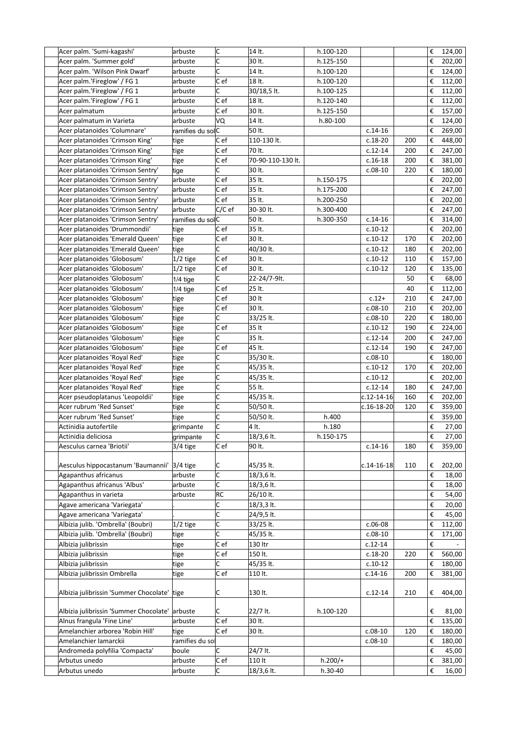| Acer palm. 'Sumi-kagashi'              | arbuste          | C                       | 14 lt.            | h.100-120 |                  |     | €                       | 124,00 |
|----------------------------------------|------------------|-------------------------|-------------------|-----------|------------------|-----|-------------------------|--------|
| Acer palm. 'Summer gold'               | arbuste          | C                       | 30 lt.            | h.125-150 |                  |     | €                       | 202,00 |
| Acer palm. 'Wilson Pink Dwarf'         | arbuste          | $\overline{\mathsf{c}}$ | 14 lt.            | h.100-120 |                  |     | €                       | 124,00 |
| Acer palm.'Fireglow' / FG 1            | arbuste          | Cef                     | 18 lt.            | h.100-120 |                  |     | €                       | 112,00 |
| Acer palm.'Fireglow' / FG 1            | arbuste          | C                       | 30/18,5 lt.       | h.100-125 |                  |     | €                       | 112,00 |
| Acer palm.'Fireglow' / FG 1            | arbuste          | C e f                   | 18 lt.            | h.120-140 |                  |     | €                       | 112,00 |
| Acer palmatum                          | arbuste          | C e f                   | 30 lt.            | h.125-150 |                  |     | €                       | 157,00 |
| Acer palmatum in Varieta               | arbuste          | VQ                      | 14 lt.            | h.80-100  |                  |     | €                       | 124,00 |
| Acer platanoides 'Columnare'           | ramifies du solC |                         | 50 lt.            |           | $c.14-16$        |     | €                       | 269,00 |
| Acer platanoides 'Crimson King'        | tige             | C ef                    | 110-130 lt.       |           | $c.18-20$        | 200 | €                       | 448,00 |
| Acer platanoides 'Crimson King'        | tige             | C ef                    | 70 lt.            |           | $c.12-14$        | 200 | €                       | 247,00 |
| Acer platanoides 'Crimson King'        | tige             | C e f                   | 70-90-110-130 lt. |           | $c.16-18$        | 200 | €                       | 381,00 |
| Acer platanoides 'Crimson Sentry'      | tige             | C                       | 30 lt.            |           | $c.08-10$        | 220 | €                       | 180,00 |
| Acer platanoides 'Crimson Sentry'      | arbuste          | C e f                   | 35 lt.            | h.150-175 |                  |     | €                       | 202,00 |
| Acer platanoides 'Crimson Sentry'      | arbuste          | C ef                    | 35 lt.            | h.175-200 |                  |     | €                       | 247,00 |
| Acer platanoides 'Crimson Sentry'      | arbuste          | C e f                   | 35 lt.            | h.200-250 |                  |     | €                       | 202,00 |
| Acer platanoides 'Crimson Sentry'      | arbuste          | $C/C$ ef                | 30-30 lt.         | h.300-400 |                  |     | €                       | 247,00 |
| Acer platanoides 'Crimson Sentry'      | ramifies du solC |                         | 50 lt.            | h.300-350 | $c.14-16$        |     | €                       | 314,00 |
| Acer platanoides 'Drummondii'          | tige             | Cef                     | 35 lt.            |           | $c.10-12$        |     | €                       | 202,00 |
| Acer platanoides 'Emerald Queen'       | tige             | Cef                     | 30 lt.            |           | $c.10-12$        | 170 | €                       | 202,00 |
| Acer platanoides 'Emerald Queen'       | tige             | C                       | 40/30 lt.         |           | $c.10-12$        | 180 | €                       | 202,00 |
| Acer platanoides 'Globosum'            | $1/2$ tige       | $ C $ ef                | 30 lt.            |           | $c.10-12$        | 110 | €                       | 157,00 |
| Acer platanoides 'Globosum'            | $1/2$ tige       | C e f                   | 30 lt.            |           | $c.10-12$        | 120 | €                       | 135,00 |
| Acer platanoides 'Globosum'            | $1/4$ tige       | C                       | 22-24/7-9lt.      |           |                  | 50  | €                       | 68,00  |
| Acer platanoides 'Globosum'            | $1/4$ tige       | Cef                     | 25 lt.            |           |                  | 40  | €                       | 112,00 |
| Acer platanoides 'Globosum'            | tige             | Cef                     | 30 lt             |           | $c.12+$          | 210 | €                       | 247,00 |
| Acer platanoides 'Globosum'            | tige             | C e f                   | 30 lt.            |           | $c.08-10$        | 210 | €                       | 202,00 |
| Acer platanoides 'Globosum'            | tige             | C                       | 33/25 lt.         |           | $c.08-10$        | 220 | €                       | 180,00 |
| Acer platanoides 'Globosum'            | tige             | Cef                     | 35 lt             |           | $c.10-12$        | 190 | €                       | 224,00 |
| Acer platanoides 'Globosum'            | tige             | C                       | 35 lt.            |           | $c.12-14$        | 200 | €                       | 247,00 |
| Acer platanoides 'Globosum'            | tige             | Cef                     | 45 lt.            |           | $c.12-14$        | 190 | €                       | 247,00 |
| Acer platanoides 'Royal Red'           | tige             | C                       | 35/30 lt.         |           | $c.08-10$        |     | €                       | 180,00 |
| Acer platanoides 'Royal Red'           | tige             | C                       | 45/35 lt.         |           | $c.10-12$        | 170 | €                       | 202,00 |
| Acer platanoides 'Royal Red'           | tige             | C                       | 45/35 lt.         |           | $c.10-12$        |     | €                       | 202,00 |
| Acer platanoides 'Royal Red'           | tige             | C                       | 55 lt.            |           | $c.12-14$        | 180 | €                       | 247,00 |
| Acer pseudoplatanus 'Leopoldii'        | tige             | C                       | 45/35 lt.         |           | c.12-14-16       | 160 | €                       | 202,00 |
| Acer rubrum 'Red Sunset'               | tige             | C                       | 50/50 lt.         |           | $c.16 - 18 - 20$ | 120 | €                       | 359,00 |
| Acer rubrum 'Red Sunset'               | tige             | C                       | 50/50 lt.         | h.400     |                  |     | €                       | 359,00 |
| Actinidia autofertile                  | grimpante        | C                       | 4 lt.             | h.180     |                  |     | €                       | 27,00  |
| Actinidia deliciosa                    | grimpante        | C                       | 18/3,6 lt.        | h.150-175 |                  |     | $\epsilon$              | 27,00  |
| Aesculus carnea 'Briotii'              | 3/4 tige         | $ C $ ef                | 90 lt.            |           | $c.14-16$        | 180 | €                       | 359,00 |
|                                        |                  |                         |                   |           |                  |     |                         |        |
| Aesculus hippocastanum 'Baumannii'     | $3/4$ tige       | C                       | 45/35 lt.         |           | $c.14 - 16 - 18$ | 110 | €                       | 202,00 |
| Agapanthus africanus                   | arbuste          | c                       | 18/3,6 lt.        |           |                  |     | €                       | 18,00  |
| Agapanthus africanus 'Albus'           | arbuste          | C                       | 18/3,6 lt.        |           |                  |     | €                       | 18,00  |
| Agapanthus in varieta                  | arbuste          | RC                      | 26/10 lt.         |           |                  |     | $\boldsymbol{\epsilon}$ | 54,00  |
| Agave americana 'Variegata'            |                  | C                       | 18/3,3 lt.        |           |                  |     | $\boldsymbol{\epsilon}$ | 20,00  |
| Agave americana 'Variegata'            |                  | $\overline{\mathsf{C}}$ | 24/9,5 lt.        |           |                  |     | €                       | 45,00  |
| Albizia julib. 'Ombrella' (Boubri)     | $1/2$ tige       | c                       | 33/25 lt.         |           | $c.06-08$        |     | €                       | 112,00 |
| Albizia julib. 'Ombrella' (Boubri)     | tige             | c                       | 45/35 lt.         |           | $c.08-10$        |     | €                       | 171,00 |
| Albizia julibrissin                    | tige             | Cef                     | 130 ltr           |           | $c.12 - 14$      |     | €                       |        |
| Albizia julibrissin                    | tige             | Cef                     | 150 lt.           |           | $c.18-20$        | 220 | €                       | 560,00 |
| Albizia julibrissin                    | tige             | C                       | 45/35 lt.         |           | $c.10-12$        |     | €                       | 180,00 |
| Albizia julibrissin Ombrella           | tige             | C e f                   | 110 lt.           |           | $c.14-16$        | 200 | €                       | 381,00 |
| Albizia julibrissin 'Summer Chocolate' | tige             | C                       | 130 lt.           |           | $c.12-14$        | 210 | €                       | 404,00 |
|                                        |                  |                         |                   |           |                  |     |                         |        |
| Albizia julibrissin 'Summer Chocolate' | arbuste          | C                       | 22/7 lt.          | h.100-120 |                  |     | €                       | 81,00  |
| Alnus frangula 'Fine Line'             | arbuste          | Cef                     | 30 lt.            |           |                  |     | €                       | 135,00 |
| Amelanchier arborea 'Robin Hill'       | tige             | C e f                   | 30 lt.            |           | $c.08-10$        | 120 | €                       | 180,00 |
| Amelanchier lamarckii                  | ramifies du sol  |                         |                   |           | $c.08-10$        |     | €                       | 180,00 |
| Andromeda polyfilia 'Compacta'         | boule            | C                       | 24/7 lt.          |           |                  |     | €                       | 45,00  |
| Arbutus unedo                          | arbuste          | $\overline{C}$ ef       | 110 lt            | $h.200/+$ |                  |     | €                       | 381,00 |
| Arbutus unedo                          | arbuste          | C                       | 18/3,6 lt.        | h.30-40   |                  |     | €                       | 16,00  |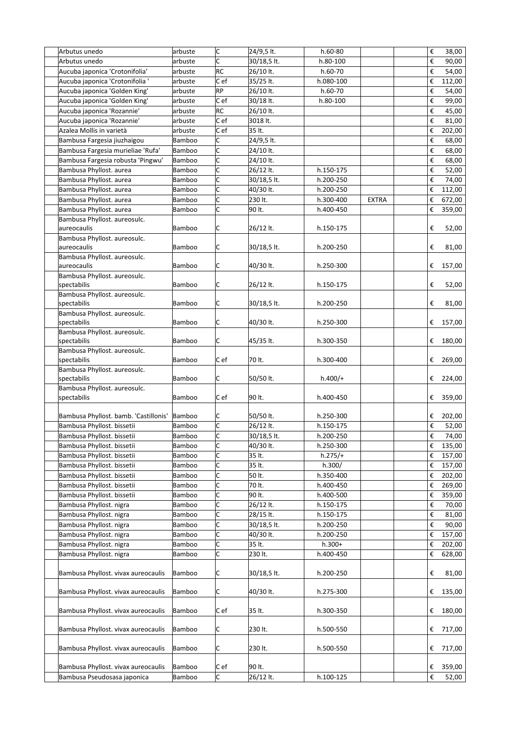| Arbutus unedo                                            | arbuste | c              | 24/9,5 lt.  | $h.60-80$     |              | € |   | 38,00   |
|----------------------------------------------------------|---------|----------------|-------------|---------------|--------------|---|---|---------|
| Arbutus unedo                                            | arbuste | c              | 30/18,5 lt. | h.80-100      |              |   | € | 90,00   |
| Aucuba japonica 'Crotonifolia'                           | arbuste | RC             | 26/10 lt.   | h.60-70       |              |   | € | 54,00   |
| Aucuba japonica 'Crotonifolia '                          | arbuste | Cef            | 35/25 lt.   | h.080-100     |              | € |   | 112,00  |
| Aucuba japonica 'Golden King'                            | arbuste | RP             | 26/10 lt.   | h.60-70       |              |   | € | 54,00   |
| Aucuba japonica 'Golden King'                            | arbuste | Cef            | 30/18 lt.   | h.80-100      |              |   | € | 99,00   |
| Aucuba japonica 'Rozannie'                               | arbuste | RC             | 26/10 lt.   |               |              |   | € | 45,00   |
| Aucuba japonica 'Rozannie'                               | arbuste | C e f          | 3018 lt.    |               |              |   | € | 81,00   |
| Azalea Mollis in varietà                                 | arbuste | C e f          | 35 lt.      |               |              | € |   | 202,00  |
| Bambusa Fargesia jiuzhaigou                              | Bamboo  | C              | 24/9,5 lt.  |               |              |   | € | 68,00   |
| Bambusa Fargesia murieliae 'Rufa'                        | Bamboo  | C              | 24/10 lt.   |               |              |   | € | 68,00   |
| Bambusa Fargesia robusta 'Pingwu'                        | Bamboo  | C              | 24/10 lt.   |               |              |   | € | 68,00   |
| Bambusa Phyllost. aurea                                  | Bamboo  | C              | 26/12 lt.   | h.150-175     |              |   | € | 52,00   |
| Bambusa Phyllost. aurea                                  | Bamboo  | C              | 30/18,5 lt. | h.200-250     |              |   | € | 74,00   |
| Bambusa Phyllost. aurea                                  | Bamboo  | C              | 40/30 lt.   | h.200-250     |              | € |   | 112,00  |
| Bambusa Phyllost. aurea                                  | Bamboo  | C              | 230 lt.     | h.300-400     | <b>EXTRA</b> | € |   |         |
|                                                          |         | C              |             |               |              |   |   | 672,00  |
| Bambusa Phyllost. aurea                                  | Bamboo  |                | 90 lt.      | h.400-450     |              |   | € | 359,00  |
| Bambusa Phyllost. aureosulc.<br>aureocaulis              | Bamboo  | C              |             | h.150-175     |              |   | € |         |
| Bambusa Phyllost. aureosulc.                             |         |                | 26/12 lt.   |               |              |   |   | 52,00   |
| aureocaulis                                              | Bamboo  | C              | 30/18,5 lt. | h.200-250     |              |   | € | 81,00   |
| Bambusa Phyllost. aureosulc.                             |         |                |             |               |              |   |   |         |
| aureocaulis                                              | Bamboo  | C              | 40/30 lt.   | h.250-300     |              |   | € | 157,00  |
| Bambusa Phyllost. aureosulc.                             |         |                |             |               |              |   |   |         |
| spectabilis                                              | Bamboo  | C              | 26/12 lt.   | h.150-175     |              |   | € | 52,00   |
| Bambusa Phyllost. aureosulc.                             | Bamboo  | C              |             | h.200-250     |              |   | € |         |
| spectabilis                                              |         |                | 30/18,5 lt. |               |              |   |   | 81,00   |
| Bambusa Phyllost. aureosulc.<br>spectabilis              | Bamboo  | C              | 40/30 lt.   |               |              |   | € |         |
| Bambusa Phyllost. aureosulc.                             |         |                |             | h.250-300     |              |   |   | 157,00  |
| spectabilis                                              | Bamboo  | C              | 45/35 lt.   | h.300-350     |              |   | € | 180,00  |
| Bambusa Phyllost. aureosulc.                             |         |                |             |               |              |   |   |         |
| spectabilis                                              | Bamboo  | C ef           | 70 lt.      | h.300-400     |              |   | € | 269,00  |
| Bambusa Phyllost. aureosulc.                             |         |                |             |               |              |   |   |         |
| spectabilis                                              | Bamboo  | C              | 50/50 lt.   | $h.400/+$     |              |   | € | 224,00  |
| Bambusa Phyllost. aureosulc.                             |         |                |             |               |              |   |   |         |
| spectabilis                                              | Bamboo  | C ef           | 90 lt.      | h.400-450     |              |   | € | 359,00  |
|                                                          |         |                |             |               |              |   |   |         |
| Bambusa Phyllost. bamb. 'Castillonis'                    | Bamboo  | C              | 50/50 lt.   | h.250-300     |              |   | € | 202,00  |
| Bambusa Phyllost. bissetii                               | Bamboo  | c              | 26/12 lt.   | h.150-175     |              |   | € | 52,00   |
| Bambusa Phyllost. bissetii                               | Bamboo  | $\overline{c}$ | 30/18,5 lt. | $h.200 - 250$ |              |   |   | € 74,00 |
| Bambusa Phyllost. bissetii                               | Bamboo  | C              | 40/30 lt.   | h.250-300     |              | € |   | 135,00  |
| Bambusa Phyllost. bissetii                               | Bamboo  | C              | 35 lt.      | $h.275/+$     |              | € |   | 157,00  |
| Bambusa Phyllost. bissetii                               | Bamboo  | C              | 35 lt.      | h.300/        |              | € |   | 157,00  |
| Bambusa Phyllost. bissetii                               | Bamboo  | c              | 50 lt.      | h.350-400     |              | € |   | 202,00  |
|                                                          | Bamboo  | C              | 70 lt.      | h.400-450     |              |   |   |         |
| Bambusa Phyllost. bissetii<br>Bambusa Phyllost. bissetii |         |                | 90 lt.      | h.400-500     |              | € |   | 269,00  |
|                                                          | Bamboo  | C<br>C         |             |               |              | € |   | 359,00  |
| Bambusa Phyllost. nigra                                  | Bamboo  |                | 26/12 lt.   | h.150-175     |              |   | € | 70,00   |
| Bambusa Phyllost. nigra                                  | Bamboo  | c              | 28/15 lt.   | h.150-175     |              |   | € | 81,00   |
| Bambusa Phyllost. nigra                                  | Bamboo  | c              | 30/18,5 lt. | h.200-250     |              |   | € | 90,00   |
| Bambusa Phyllost. nigra                                  | Bamboo  | C              | 40/30 lt.   | h.200-250     |              | € |   | 157,00  |
| Bambusa Phyllost. nigra                                  | Bamboo  | C              | 35 lt.      | $h.300+$      |              | € |   | 202,00  |
| Bambusa Phyllost. nigra                                  | Bamboo  | C              | 230 lt.     | h.400-450     |              |   | € | 628,00  |
| Bambusa Phyllost. vivax aureocaulis                      | Bamboo  | C              | 30/18,5 lt. | h.200-250     |              |   | € | 81,00   |
| Bambusa Phyllost. vivax aureocaulis                      | Bamboo  | C              | 40/30 lt.   | h.275-300     |              |   | € | 135,00  |
|                                                          |         |                |             |               |              |   |   |         |
| Bambusa Phyllost. vivax aureocaulis                      | Bamboo  | Cef            | 35 lt.      | h.300-350     |              |   | € | 180,00  |
|                                                          |         |                |             |               |              |   |   |         |
| Bambusa Phyllost. vivax aureocaulis                      | Bamboo  | C              | 230 lt.     | h.500-550     |              |   | € | 717,00  |
|                                                          |         |                |             |               |              |   |   |         |
| Bambusa Phyllost. vivax aureocaulis                      | Bamboo  | C              | 230 lt.     | h.500-550     |              |   | € | 717,00  |
|                                                          |         |                |             |               |              |   |   |         |
| Bambusa Phyllost. vivax aureocaulis                      | Bamboo  | Cef            | 90 lt.      |               |              | € |   | 359,00  |
| Bambusa Pseudosasa japonica                              | Bamboo  | C              | 26/12 lt.   | h.100-125     |              |   | € | 52,00   |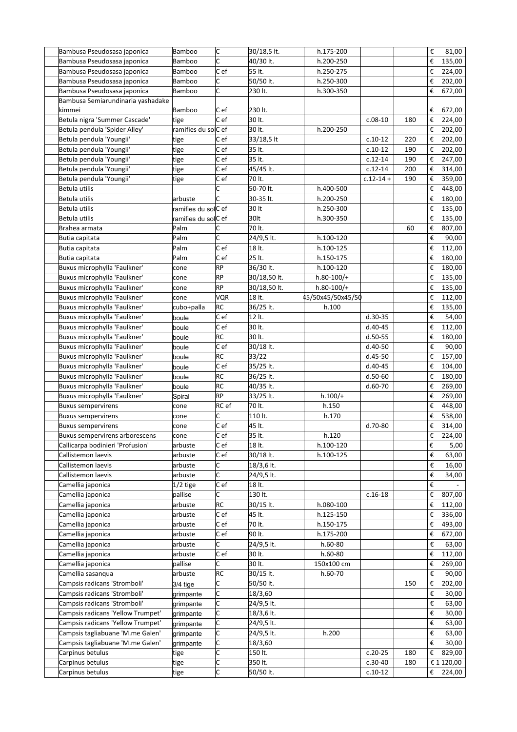| Bambusa Pseudosasa japonica       | Bamboo               | C          | 30/18,5 lt.  | h.175-200         |               |     | €                | 81,00      |
|-----------------------------------|----------------------|------------|--------------|-------------------|---------------|-----|------------------|------------|
| Bambusa Pseudosasa japonica       | Bamboo               | C          | 40/30 lt.    | h.200-250         |               |     | €                | 135,00     |
| Bambusa Pseudosasa japonica       | Bamboo               | C e f      | 55 lt.       | h.250-275         |               |     | €                | 224,00     |
| Bambusa Pseudosasa japonica       | Bamboo               | C          | 50/50 lt.    | h.250-300         |               |     | €                | 202,00     |
| Bambusa Pseudosasa japonica       | Bamboo               | C          | 230 lt.      | h.300-350         |               |     | €                | 672,00     |
| Bambusa Semiarundinaria yashadake |                      |            |              |                   |               |     |                  |            |
| kimmei                            | Bamboo               | C ef       | 230 lt.      |                   |               |     | €                | 672,00     |
| Betula nigra 'Summer Cascade'     | tige                 | C e f      | 30 lt.       |                   | $c.08-10$     | 180 | €                | 224,00     |
| Betula pendula 'Spider Alley'     | ramifies du solC ef  |            | 30 lt.       | h.200-250         |               |     | €                | 202,00     |
| Betula pendula 'Youngii'          | tige                 | C e f      | 33/18,5 lt   |                   | $c.10-12$     | 220 | €                | 202,00     |
| Betula pendula 'Youngii'          | tige                 | C ef       | 35 lt.       |                   | $c.10-12$     | 190 | €                | 202,00     |
| Betula pendula 'Youngii'          | tige                 | Cef        | 35 lt.       |                   | $c.12-14$     | 190 | €                | 247,00     |
| Betula pendula 'Youngii'          | tige                 | C e f      | 45/45 lt.    |                   | $c.12-14$     | 200 | €                | 314,00     |
| Betula pendula 'Youngii'          | tige                 | Cef        | 70 lt.       |                   | $c.12 - 14 +$ | 190 | €                | 359,00     |
| Betula utilis                     |                      | C          | 50-70 lt.    | h.400-500         |               |     | €                | 448,00     |
| Betula utilis                     | arbuste              | C          | 30-35 lt.    | h.200-250         |               |     | €                | 180,00     |
| Betula utilis                     | ramifies du solC ef  |            | 30 lt        | h.250-300         |               |     | €                | 135,00     |
| Betula utilis                     | ramifies du sollC ef |            | 30lt         | h.300-350         |               |     | €                | 135,00     |
| Brahea armata                     | Palm                 | C          | 70 lt.       |                   |               | 60  | €                | 807,00     |
| Butia capitata                    | Palm                 | Ċ          | 24/9,5 lt.   | h.100-120         |               |     | €                | 90,00      |
| Butia capitata                    | Palm                 | C e f      | 18 lt.       | h.100-125         |               |     | €                | 112,00     |
| Butia capitata                    | Palm                 | C e f      | 25 lt.       | h.150-175         |               |     | €                | 180,00     |
| Buxus microphylla 'Faulkner'      | cone                 | <b>RP</b>  | 36/30 lt.    | h.100-120         |               |     | €                | 180,00     |
| Buxus microphylla 'Faulkner'      | cone                 | <b>RP</b>  | 30/18,50 lt. | $h.80-100/+$      |               |     | €                | 135,00     |
| Buxus microphylla 'Faulkner'      | cone                 | <b>RP</b>  | 30/18,50 lt. | $h.80-100/+$      |               |     | €                | 135,00     |
| Buxus microphylla 'Faulkner'      | cone                 | <b>VQR</b> | 18 lt.       | 45/50x45/50x45/50 |               |     | €                | 112,00     |
| Buxus microphylla 'Faulkner'      | cubo+palla           | RC         | 36/25 lt.    | h.100             |               |     | €                | 135,00     |
| Buxus microphylla 'Faulkner'      | boule                | Cef        | 12 lt.       |                   | $d.30-35$     |     | €                | 54,00      |
| Buxus microphylla 'Faulkner'      | boule                | C ef       | 30 lt.       |                   | $d.40 - 45$   |     | €                | 112,00     |
| Buxus microphylla 'Faulkner'      | boule                | RC         | 30 lt.       |                   | $d.50 - 55$   |     | €                | 180,00     |
| Buxus microphylla 'Faulkner'      | boule                | Cef        | 30/18 lt.    |                   | d.40-50       |     | €                | 90,00      |
| Buxus microphylla 'Faulkner'      | boule                | RC         | 33/22        |                   | $d.45-50$     |     | €                | 157,00     |
| Buxus microphylla 'Faulkner'      | boule                | Cef        | 35/25 lt.    |                   | $d.40 - 45$   |     | €                | 104,00     |
| Buxus microphylla 'Faulkner'      | boule                | RC         | 36/25 lt.    |                   | $d.50-60$     |     | €                | 180,00     |
| Buxus microphylla 'Faulkner'      | boule                | <b>RC</b>  | 40/35 lt.    |                   | $d.60-70$     |     | €                | 269,00     |
| Buxus microphylla 'Faulkner'      | Spiral               | RP         | 33/25 lt.    | $h.100/+$         |               |     | €                | 269,00     |
| <b>Buxus sempervirens</b>         | cone                 | RC ef      | 70 lt.       | h.150             |               |     | €                | 448,00     |
| <b>Buxus sempervirens</b>         | cone                 | Ċ          | 110 lt.      | h.170             |               |     | €                | 538,00     |
| <b>Buxus sempervirens</b>         | cone                 | C e f      | 45 lt.       |                   | d.70-80       |     | €                | 314,00     |
| Buxus sempervirens arborescens    | cone                 | Cef        | 35 lt.       | h.120             |               |     | $\pmb{\epsilon}$ | 224,00     |
| Callicarpa bodinieri 'Profusion'  | arbuste              | Cef        | 18 lt.       | h.100-120         |               |     | €                | 5,00       |
| Callistemon laevis                | arbuste              | C e f      | 30/18 lt.    | h.100-125         |               |     | €                | 63,00      |
| Callistemon laevis                | arbuste              | С          | 18/3,6 lt.   |                   |               |     | €                | 16,00      |
| Callistemon laevis                | arbuste              | C          | 24/9,5 lt.   |                   |               |     | €                | 34,00      |
| Camellia japonica                 | 1/2 tige             | Cef        | 18 lt.       |                   |               |     | €                |            |
| Camellia japonica                 | pallise              | C          | 130 lt.      |                   | $c.16-18$     |     | €                | 807,00     |
| Camellia japonica                 | arbuste              | RC         | 30/15 lt.    | h.080-100         |               |     | €                | 112,00     |
| Camellia japonica                 | arbuste              | C ef       | 45 lt.       | h.125-150         |               |     | €                | 336,00     |
| Camellia japonica                 | arbuste              | C ef       | 70 lt.       | h.150-175         |               |     | €                | 493,00     |
| Camellia japonica                 | arbuste              | Cef        | 90 lt.       | h.175-200         |               |     | €                | 672,00     |
| Camellia japonica                 | arbuste              | C          | 24/9,5 lt.   | h.60-80           |               |     | €                | 63,00      |
| Camellia japonica                 | arbuste              | C e f      | 30 lt.       | $h.60-80$         |               |     | €                | 112,00     |
| Camellia japonica                 | pallise              | С          | 30 lt.       | 150x100 cm        |               |     | €                | 269,00     |
| Camellia sasangua                 | arbuste              | RC         | 30/15 lt.    | h.60-70           |               |     | €                | 90,00      |
| Campsis radicans 'Stromboli'      | 3/4 tige             | C          | 50/50 lt.    |                   |               | 150 | €                | 202,00     |
| Campsis radicans 'Stromboli'      | grimpante            | c          | 18/3,60      |                   |               |     | €                | 30,00      |
| Campsis radicans 'Stromboli'      | grimpante            | c          | 24/9,5 lt.   |                   |               |     | €                | 63,00      |
| Campsis radicans 'Yellow Trumpet' | grimpante            | c          | 18/3,6 lt.   |                   |               |     | €                | 30,00      |
| Campsis radicans 'Yellow Trumpet' | grimpante            | c          | 24/9,5 lt.   |                   |               |     | €                | 63,00      |
| Campsis tagliabuane 'M.me Galen'  | grimpante            | C          | 24/9,5 lt.   | h.200             |               |     | €                | 63,00      |
| Campsis tagliabuane 'M.me Galen'  | grimpante            | c          | 18/3,60      |                   |               |     | €                | 30,00      |
| Carpinus betulus                  | tige                 | c          | 150 lt.      |                   | $c.20-25$     | 180 | €                | 829,00     |
| Carpinus betulus                  | tige                 | C          | 350 lt.      |                   | $c.30-40$     | 180 |                  | € 1 120,00 |
| Carpinus betulus                  | tige                 | C          | 50/50 lt.    |                   | $c.10-12$     |     | €                | 224,00     |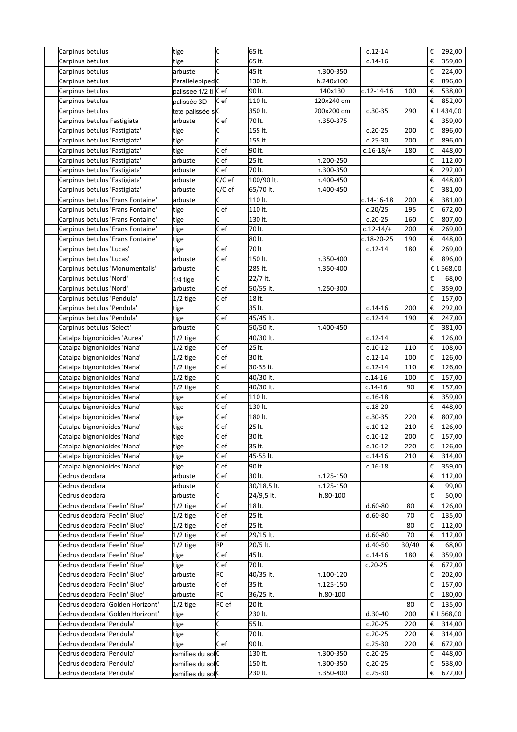| Carpinus betulus                  | tige                 | c        | 65 lt.      |            | $c.12 - 14$      |       | € | 292,00     |
|-----------------------------------|----------------------|----------|-------------|------------|------------------|-------|---|------------|
| Carpinus betulus                  | tige                 | C        | 65 lt.      |            | $c.14-16$        |       | € | 359,00     |
| Carpinus betulus                  | arbuste              | c        | 45 lt       | h.300-350  |                  |       | € | 224,00     |
| Carpinus betulus                  | ParallelepipedC      |          | 130 lt.     | h.240x100  |                  |       | € | 896,00     |
| Carpinus betulus                  | palissee 1/2 ti C ef |          | 90 lt.      | 140x130    | $c.12 - 14 - 16$ | 100   | € | 538,00     |
| Carpinus betulus                  | palissée 3D          | C ef     | 110 lt.     | 120x240 cm |                  |       | € | 852,00     |
| Carpinus betulus                  | tete palissée sC     |          | 350 lt.     | 200x200 cm | $c.30-35$        | 290   |   | € 1 434,00 |
| Carpinus betulus Fastigiata       | arbuste              | C ef     | 70 lt.      | h.350-375  |                  |       | € | 359,00     |
|                                   |                      | C        | 155 lt.     |            |                  |       | € |            |
| Carpinus betulus 'Fastigiata'     | tige                 | C        |             |            | $c.20-25$        | 200   |   | 896,00     |
| Carpinus betulus 'Fastigiata'     | tige                 |          | 155 lt.     |            | $c.25-30$        | 200   | € | 896,00     |
| Carpinus betulus 'Fastigiata'     | tige                 | C e f    | 90 lt.      |            | $c.16-18/+$      | 180   | € | 448,00     |
| Carpinus betulus 'Fastigiata'     | arbuste              | Cef      | 25 lt.      | h.200-250  |                  |       | € | 112,00     |
| Carpinus betulus 'Fastigiata'     | arbuste              | C e f    | 70 lt.      | h.300-350  |                  |       | € | 292,00     |
| Carpinus betulus 'Fastigiata'     | arbuste              | $C/C$ ef | 100/90 lt.  | h.400-450  |                  |       | € | 448,00     |
| Carpinus betulus 'Fastigiata'     | arbuste              | $C/C$ ef | 65/70 lt.   | h.400-450  |                  |       | € | 381,00     |
| Carpinus betulus 'Frans Fontaine' | arbuste              | C        | 110 lt.     |            | $c.14 - 16 - 18$ | 200   | € | 381,00     |
| Carpinus betulus 'Frans Fontaine' | tige                 | C e f    | 110 lt.     |            | c.20/25          | 195   | € | 672,00     |
| Carpinus betulus 'Frans Fontaine' | tige                 | C        | 130 lt.     |            | $c.20-25$        | 160   | € | 807,00     |
| Carpinus betulus 'Frans Fontaine' | tige                 | C ef     | 70 lt.      |            | $c.12 - 14/+$    | 200   | € | 269,00     |
| Carpinus betulus 'Frans Fontaine' | tige                 | C        | 80 lt.      |            | c.18-20-25       | 190   | € | 448,00     |
| Carpinus betulus 'Lucas'          | tige                 | Cef      | 70 lt       |            | $c.12-14$        | 180   | € | 269,00     |
| Carpinus betulus 'Lucas'          | arbuste              | C e f    | 150 lt.     | h.350-400  |                  |       | € | 896,00     |
| Carpinus betulus 'Monumentalis'   | arbuste              | C        | 285 lt.     | h.350-400  |                  |       |   | € 1 568,00 |
| Carpinus betulus 'Nord'           |                      | C        | 22/7 lt.    |            |                  |       | € | 68,00      |
|                                   | $1/4$ tige           | Cef      |             |            |                  |       |   |            |
| Carpinus betulus 'Nord'           | arbuste              |          | 50/55 lt.   | h.250-300  |                  |       | € | 359,00     |
| Carpinus betulus 'Pendula'        | 1/2 tige             | Cef      | 18 lt.      |            |                  |       | € | 157,00     |
| Carpinus betulus 'Pendula'        | tige                 | c        | 35 lt.      |            | $c.14-16$        | 200   | € | 292,00     |
| Carpinus betulus 'Pendula'        | tige                 | $ C $ ef | 45/45 lt.   |            | $c.12-14$        | 190   | € | 247,00     |
| Carpinus betulus 'Select'         | arbuste              | C        | 50/50 lt.   | h.400-450  |                  |       | € | 381,00     |
| Catalpa bignonioides 'Aurea'      | $1/2$ tige           | C        | 40/30 lt.   |            | $c.12-14$        |       | € | 126,00     |
| Catalpa bignonioides 'Nana'       | $1/2$ tige           | Cef      | 25 lt.      |            | $c.10-12$        | 110   | € | 108,00     |
| Catalpa bignonioides 'Nana'       | $1/2$ tige           | $ C $ ef | 30 lt.      |            | $c.12-14$        | 100   | € | 126,00     |
| Catalpa bignonioides 'Nana'       | $1/2$ tige           | $ C $ ef | 30-35 lt.   |            | $c.12-14$        | 110   | € | 126,00     |
| Catalpa bignonioides 'Nana'       | $1/2$ tige           | C        | 40/30 lt.   |            | $c.14-16$        | 100   | € | 157,00     |
| Catalpa bignonioides 'Nana'       | $1/2$ tige           | C        | 40/30 lt.   |            | $c.14-16$        | 90    | € | 157,00     |
| Catalpa bignonioides 'Nana'       | tige                 | Cef      | 110 lt.     |            | $c.16-18$        |       | € | 359,00     |
| Catalpa bignonioides 'Nana'       | tige                 | Cef      | 130 lt.     |            | $c.18-20$        |       | € | 448,00     |
| Catalpa bignonioides 'Nana'       | tige                 | C ef     | 180 lt.     |            | $c.30 - 35$      | 220   | € | 807,00     |
| Catalpa bignonioides 'Nana'       | tige                 | Cef      | 25 lt.      |            | $c.10-12$        | 210   | € | 126,00     |
| Catalpa bignonioides 'Nana'       | tige                 | C ef     | 30 lt.      |            | $c.10-12$        | 200   |   | € 157,00   |
| Catalpa bignonioides 'Nana'       | tige                 | Cef      | 35 lt.      |            | $c.10-12$        | 220   | € | 126,00     |
| Catalpa bignonioides 'Nana'       |                      | Cef      | 45-55 lt.   |            | $c.14-16$        | 210   | € |            |
|                                   | tige                 |          |             |            |                  |       |   | 314,00     |
| Catalpa bignonioides 'Nana'       | tige                 | Cef      | 90 lt.      |            | $c.16-18$        |       | € | 359,00     |
| Cedrus deodara                    | arbuste              | Cef      | 30 lt.      | h.125-150  |                  |       | € | 112,00     |
| Cedrus deodara                    | arbuste              | C        | 30/18,5 lt. | h.125-150  |                  |       | € | 99,00      |
| Cedrus deodara                    | arbuste              | C        | 24/9,5 lt.  | h.80-100   |                  |       | € | 50,00      |
| Cedrus deodara 'Feelin' Blue'     | $1/2$ tige           | Cef      | 18 lt.      |            | $d.60 - 80$      | 80    | € | 126,00     |
| Cedrus deodara 'Feelin' Blue'     | $1/2$ tige           | Cef      | 25 lt.      |            | $d.60-80$        | 70    | € | 135,00     |
| Cedrus deodara 'Feelin' Blue'     | $1/2$ tige           | $ C $ ef | 25 lt.      |            |                  | 80    | € | 112,00     |
| Cedrus deodara 'Feelin' Blue'     | $1/2$ tige           | $ C $ ef | 29/15 lt.   |            | $d.60-80$        | 70    | € | 112,00     |
| Cedrus deodara 'Feelin' Blue'     | $1/2$ tige           | RP       | 20/5 lt.    |            | d.40-50          | 30/40 | € | 68,00      |
| Cedrus deodara 'Feelin' Blue'     | tige                 | Cef      | 45 lt.      |            | $c.14-16$        | 180   | € | 359,00     |
| Cedrus deodara 'Feelin' Blue'     | tige                 | C e f    | 70 lt.      |            | $c.20-25$        |       | € | 672,00     |
| Cedrus deodara 'Feelin' Blue'     | arbuste              | RC       | 40/35 lt.   | h.100-120  |                  |       | € | 202,00     |
| Cedrus deodara 'Feelin' Blue'     | arbuste              | Cef      | 35 lt.      | h.125-150  |                  |       | € | 157,00     |
| Cedrus deodara 'Feelin' Blue'     | arbuste              | RC       | 36/25 lt.   | h.80-100   |                  |       | € | 180,00     |
| Cedrus deodara 'Golden Horizont'  | $1/2$ tige           | RC ef    | 20 lt.      |            |                  | 80    | € | 135,00     |
| Cedrus deodara 'Golden Horizont'  |                      | C        | 230 lt.     |            | $d.30-40$        | 200   |   | € 1 568,00 |
|                                   | tige                 | C        |             |            |                  |       |   |            |
| Cedrus deodara 'Pendula'          | tige                 |          | 55 lt.      |            | $c.20-25$        | 220   | € | 314,00     |
| Cedrus deodara 'Pendula'          | tige                 | c        | 70 lt.      |            | $c.20-25$        | 220   | € | 314,00     |
| Cedrus deodara 'Pendula'          | tige                 | C e f    | 90 lt.      |            | $c.25-30$        | 220   | € | 672,00     |
| Cedrus deodara 'Pendula'          | ramifies du solC     |          | 130 lt.     | h.300-350  | $c.20-25$        |       | € | 448,00     |
| Cedrus deodara 'Pendula'          | ramifies du solC     |          | 150 lt.     | h.300-350  | $c, 20-25$       |       | € | 538,00     |
| Cedrus deodara 'Pendula'          | ramifies du solC     |          | 230 lt.     | h.350-400  | $c.25-30$        |       | € | 672,00     |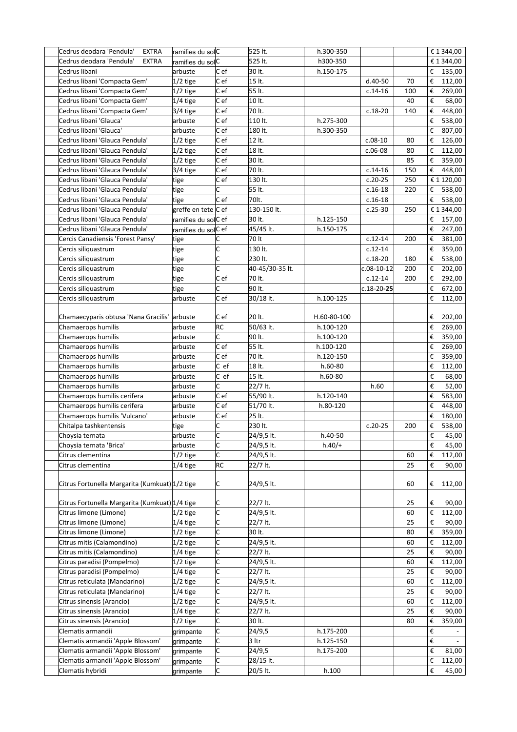| Cedrus deodara 'Pendula'<br><b>EXTRA</b>       | ramifies du solC    |                         | 525 lt.         | h.300-350   |                  |     |   | € 1 344,00       |
|------------------------------------------------|---------------------|-------------------------|-----------------|-------------|------------------|-----|---|------------------|
| Cedrus deodara 'Pendula'<br>EXTRA              | ramifies du solC    |                         | 525 lt.         | h300-350    |                  |     |   | € 1 344,00       |
| Cedrus libani                                  | arbuste             | C ef                    | 30 lt.          | h.150-175   |                  |     |   | € 135,00         |
| Cedrus libani 'Compacta Gem'                   | $1/2$ tige          | C ef                    | 15 lt.          |             | $d.40-50$        | 70  | € | 112,00           |
| Cedrus libani 'Compacta Gem'                   | $1/2$ tige          | C ef                    | 55 lt.          |             | $c.14-16$        | 100 | € | 269,00           |
| Cedrus libani 'Compacta Gem'                   | $1/4$ tige          | C e f                   | 10 lt.          |             |                  | 40  | € | 68,00            |
| Cedrus libani 'Compacta Gem'                   | 3/4 tige            | C ef                    | 70 lt.          |             | $c.18-20$        | 140 | € | 448,00           |
| Cedrus libani 'Glauca'                         | arbuste             | C ef                    | 110 lt.         | h.275-300   |                  |     | € | 538,00           |
| Cedrus libani 'Glauca'                         | arbuste             | C ef                    | 180 lt.         | h.300-350   |                  |     | € | 807,00           |
| Cedrus libani 'Glauca Pendula'                 | $1/2$ tige          | Cef                     | 12 lt.          |             | $c.08-10$        | 80  | € | 126,00           |
| Cedrus libani 'Glauca Pendula'                 | $1/2$ tige          | C e f                   | 18 lt.          |             | $c.06-08$        | 80  | € | 112,00           |
| Cedrus libani 'Glauca Pendula'                 | $1/2$ tige          | C e f                   | 30 lt.          |             |                  | 85  | € | 359,00           |
| Cedrus libani 'Glauca Pendula'                 | 3/4 tige            | Cef                     | 70 lt.          |             | $c.14-16$        | 150 | € | 448,00           |
| Cedrus libani 'Glauca Pendula'                 | tige                | Cef                     | 130 lt.         |             | $c.20-25$        | 250 |   | € 1 120,00       |
| Cedrus libani 'Glauca Pendula'                 | tige                | C                       | 55 lt.          |             | $c.16-18$        | 220 | € | 538,00           |
| Cedrus libani 'Glauca Pendula'                 | tige                | C ef                    | 70lt.           |             | $c.16-18$        |     | € | 538,00           |
| Cedrus libani 'Glauca Pendula'                 | greffe en tete C ef |                         | 130-150 lt.     |             | $c.25-30$        | 250 |   | € 1 344,00       |
| Cedrus libani 'Glauca Pendula'                 | ramifies du solC ef |                         | 30 lt.          | h.125-150   |                  |     | € | 157,00           |
| Cedrus libani 'Glauca Pendula'                 | ramifies du solC ef |                         | 45/45 lt.       | h.150-175   |                  |     | € | 247,00           |
| Cercis Canadiensis 'Forest Pansy'              | tige                | C                       | 70 lt           |             | $c.12 - 14$      | 200 | € | 381,00           |
| Cercis siliquastrum                            | tige                | C                       | 130 lt.         |             | $c.12-14$        |     | € | 359,00           |
| Cercis siliquastrum                            | tige                | c                       | 230 lt.         |             | $c.18-20$        | 180 | € | 538,00           |
| Cercis siliquastrum                            | tige                | C                       | 40-45/30-35 lt. |             | $c.08-10-12$     | 200 | € | 202,00           |
| Cercis siliquastrum                            | tige                | C e f                   | 70 lt.          |             | $c.12 - 14$      | 200 | € | 292,00           |
| Cercis siliquastrum                            | tige                | C                       | 90 lt.          |             | $c.18 - 20 - 25$ |     | € | 672,00           |
| Cercis siliquastrum                            | arbuste             | C e f                   | 30/18 lt.       | h.100-125   |                  |     | € | 112,00           |
|                                                |                     |                         |                 |             |                  |     |   |                  |
| Chamaecyparis obtusa 'Nana Gracilis'           | arbuste             | C e f                   | 20 lt.          | H.60-80-100 |                  |     | € | 202,00           |
| Chamaerops humilis                             | arbuste             | <b>RC</b>               | 50/63 lt.       | h.100-120   |                  |     | € | 269,00           |
| Chamaerops humilis                             | arbuste             | C                       | 90 lt.          | h.100-120   |                  |     | € | 359,00           |
| Chamaerops humilis                             | arbuste             | C ef                    | 55 lt.          | h.100-120   |                  |     | € | 269,00           |
| Chamaerops humilis                             | arbuste             | C ef                    | 70 lt.          | h.120-150   |                  |     | € | 359,00           |
| Chamaerops humilis                             | arbuste             | $ C $ ef                | 18 lt.          | h.60-80     |                  |     | € | 112,00           |
| Chamaerops humilis                             | arbuste             | C ef                    | 15 lt.          | $h.60-80$   |                  |     | € | 68,00            |
| Chamaerops humilis                             | arbuste             | С                       | 22/7 lt.        |             | h.60             |     | € | 52,00            |
| Chamaerops humilis cerifera                    | arbuste             | C e f                   | 55/90 lt.       | h.120-140   |                  |     | € | 583,00           |
| Chamaerops humilis cerifera                    | arbuste             | C ef                    | 51/70 lt.       | h.80-120    |                  |     | € | 448,00           |
| Chamaerops humilis 'Vulcano'                   | arbuste             | C e f                   | 25 lt.          |             |                  |     | € | 180,00           |
| Chitalpa tashkentensis                         | tige                | C                       | 230 lt.         |             | $c.20-25$        | 200 | € | 538,00           |
| Choysia ternata                                | arbuste             | $\overline{\mathsf{C}}$ | 24/9,5 lt.      | h.40-50     |                  |     |   | $\epsilon$ 45,00 |
| Choysia ternata 'Brica'                        | arbuste             | C                       | 24/9,5 lt.      | $h.40/+$    |                  |     | € | 45,00            |
| Citrus clementina                              | $1/2$ tige          | lc.                     | 24/9,5 lt.      |             |                  | 60  | € | 112,00           |
| Citrus clementina                              | $1/4$ tige          | <b>RC</b>               | 22/7 lt.        |             |                  | 25  | € | 90,00            |
|                                                |                     |                         |                 |             |                  |     |   |                  |
| Citrus Fortunella Margarita (Kumkuat) 1/2 tige |                     | lC.                     | 24/9,5 lt.      |             |                  | 60  | € | 112,00           |
|                                                |                     |                         |                 |             |                  |     |   |                  |
| Citrus Fortunella Margarita (Kumkuat) 1/4 tige |                     | C                       | 22/7 lt.        |             |                  | 25  | € | 90,00            |
| Citrus limone (Limone)                         | $1/2$ tige          | C                       | 24/9,5 lt.      |             |                  | 60  | € | 112,00           |
| Citrus limone (Limone)                         | $1/4$ tige          | C                       | 22/7 lt.        |             |                  | 25  | € | 90,00            |
| Citrus limone (Limone)                         | $1/2$ tige          | C                       | 30 lt.          |             |                  | 80  | € | 359,00           |
| Citrus mitis (Calamondino)                     | $1/2$ tige          | C                       | 24/9,5 lt.      |             |                  | 60  | € | 112,00           |
| Citrus mitis (Calamondino)                     | 1/4 tige            | C                       | 22/7 lt.        |             |                  | 25  | € | 90,00            |
| Citrus paradisi (Pompelmo)                     | 1/2 tige            | C                       | 24/9,5 lt.      |             |                  | 60  | € | 112,00           |
| Citrus paradisi (Pompelmo)                     | 1/4 tige            | C                       | 22/7 lt.        |             |                  | 25  | € | 90,00            |
| Citrus reticulata (Mandarino)                  | 1/2 tige            | C                       | 24/9,5 lt.      |             |                  | 60  | € | 112,00           |
| Citrus reticulata (Mandarino)                  | $1/4$ tige          | C                       | 22/7 lt.        |             |                  | 25  | € | 90,00            |
| Citrus sinensis (Arancio)                      | $1/2$ tige          | C                       | 24/9,5 lt.      |             |                  | 60  | € | 112,00           |
| Citrus sinensis (Arancio)                      | $1/4$ tige          | lc.                     | 22/7 lt.        |             |                  | 25  | € | 90,00            |
| Citrus sinensis (Arancio)                      | $1/2$ tige          | Iс                      | 30 lt.          |             |                  | 80  | € | 359,00           |
| Clematis armandii                              | grimpante           | C                       | 24/9,5          | h.175-200   |                  |     | € |                  |
| Clematis armandii 'Apple Blossom'              | grimpante           | C                       | 3 Itr           | h.125-150   |                  |     | € |                  |
| Clematis armandii 'Apple Blossom'              | grimpante           | lc.                     | 24/9,5          | h.175-200   |                  |     | € | 81,00            |
| Clematis armandii 'Apple Blossom'              | grimpante           | C                       | 28/15 lt.       |             |                  |     | € | 112,00           |
| Clematis hybridi                               | grimpante           | С                       | 20/5 lt.        | h.100       |                  |     | € | 45,00            |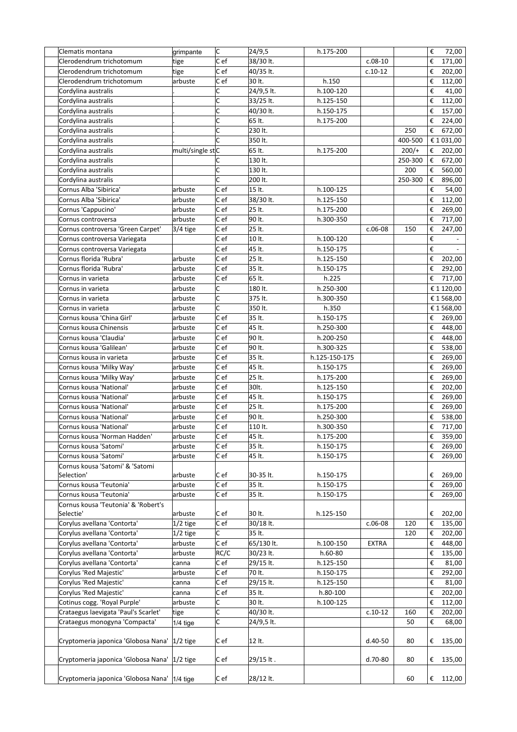| Clematis montana                     | grimpante        | c                       | 24/9,5     | h.175-200     |              |         | €                       | 72,00      |
|--------------------------------------|------------------|-------------------------|------------|---------------|--------------|---------|-------------------------|------------|
| Clerodendrum trichotomum             | tige             | C ef                    | 38/30 lt.  |               | $c.08-10$    |         | €                       | 171,00     |
| Clerodendrum trichotomum             | tige             | C ef                    | 40/35 lt.  |               | $c.10-12$    |         | €                       | 202,00     |
| Clerodendrum trichotomum             | arbuste          | C ef                    | 30 lt.     | h.150         |              |         | €                       | 112,00     |
| Cordylina australis                  |                  | C                       | 24/9,5 lt. | h.100-120     |              |         | €                       | 41,00      |
| Cordylina australis                  |                  | $\overline{\mathsf{c}}$ | 33/25 lt.  | h.125-150     |              |         | €                       | 112,00     |
| Cordylina australis                  |                  | c                       | 40/30 lt.  | h.150-175     |              |         | €                       | 157,00     |
| Cordylina australis                  |                  | C                       | 65 lt.     | h.175-200     |              |         | €                       | 224,00     |
| Cordylina australis                  |                  | C                       | 230 lt.    |               |              | 250     | €                       | 672,00     |
| Cordylina australis                  |                  | C                       | 350 lt.    |               |              | 400-500 |                         | € 1 031,00 |
| Cordylina australis                  | multi/single stC |                         | 65 lt.     | h.175-200     |              | $200/+$ | €                       | 202,00     |
| Cordylina australis                  |                  | C                       | 130 lt.    |               |              | 250-300 | €                       | 672,00     |
| Cordylina australis                  |                  | C                       | 130 lt.    |               |              | 200     | €                       | 560,00     |
| Cordylina australis                  |                  | Ċ                       | 200 lt.    |               |              | 250-300 | €                       | 896,00     |
| Cornus Alba 'Sibirica'               | arbuste          | C e f                   | 15 lt.     | h.100-125     |              |         | €                       | 54,00      |
| Cornus Alba 'Sibirica'               | arbuste          | C ef                    | 38/30 lt.  | h.125-150     |              |         | €                       | 112,00     |
| Cornus 'Cappucino'                   | arbuste          | C ef                    | 25 lt.     | h.175-200     |              |         | €                       | 269,00     |
| Cornus controversa                   | arbuste          | Cef                     | 90 lt.     | h.300-350     |              |         | €                       | 717,00     |
| Cornus controversa 'Green Carpet'    | 3/4 tige         | C ef                    | 25 lt.     |               | $c.06-08$    | 150     | €                       | 247,00     |
| Cornus controversa Variegata         |                  | C ef                    | 10 lt.     | h.100-120     |              |         | €                       |            |
| Cornus controversa Variegata         |                  | C ef                    | 45 lt.     | h.150-175     |              |         | €                       |            |
| Cornus florida 'Rubra'               | arbuste          | C ef                    | 25 lt.     | h.125-150     |              |         | €                       | 202,00     |
| Cornus florida 'Rubra'               | arbuste          | C ef                    | 35 lt.     | h.150-175     |              |         | €                       | 292,00     |
| Cornus in varieta                    | arbuste          | Cef                     | 65 lt.     | h.225         |              |         | €                       | 717,00     |
| Cornus in varieta                    | arbuste          | C                       | 180 lt.    | h.250-300     |              |         |                         | € 1 120,00 |
| Cornus in varieta                    | arbuste          | C                       | 375 lt.    | h.300-350     |              |         |                         | € 1 568,00 |
| Cornus in varieta                    | arbuste          | c                       | 350 lt.    | h.350         |              |         |                         | € 1 568,00 |
| Cornus kousa 'China Girl'            | arbuste          | C e f                   | 35 lt.     | h.150-175     |              |         | €                       | 269,00     |
| Cornus kousa Chinensis               | arbuste          | C ef                    | 45 lt.     | h.250-300     |              |         | €                       | 448,00     |
| Cornus kousa 'Claudia'               | arbuste          | C ef                    | 90 lt.     | h.200-250     |              |         | €                       | 448,00     |
| Cornus kousa 'Galilean'              | arbuste          | C ef                    | 90 lt.     | h.300-325     |              |         | €                       | 538,00     |
| Cornus kousa in varieta              | arbuste          | C ef                    | 35 lt.     | h.125-150-175 |              |         | €                       | 269,00     |
| Cornus kousa 'Milky Way'             | arbuste          | C ef                    | 45 lt.     | h.150-175     |              |         | €                       | 269,00     |
| Cornus kousa 'Milky Way'             | arbuste          | Cef                     | 25 lt.     | h.175-200     |              |         | €                       | 269,00     |
| Cornus kousa 'National'              | arbuste          | C ef                    | 30lt.      | h.125-150     |              |         | €                       | 202,00     |
| Cornus kousa 'National'              | arbuste          | Cef                     | 45 lt.     | h.150-175     |              |         | €                       | 269,00     |
| Cornus kousa 'National'              | arbuste          | Cef                     | 25 lt.     | h.175-200     |              |         | €                       | 269,00     |
| Cornus kousa 'National'              | arbuste          | C ef                    | 90 lt.     | h.250-300     |              |         | €                       | 538,00     |
| Cornus kousa 'National'              | arbuste          | C ef                    | 110 lt.    | h.300-350     |              |         | €                       | 717,00     |
| Cornus kousa 'Norman Hadden'         | arbuste          | C ef                    | 45 lt.     | h.175-200     |              |         | $\boldsymbol{\epsilon}$ | 359,00     |
| Cornus kousa 'Satomi'                | arbuste          | Cef                     | 35 lt.     | h.150-175     |              |         | €                       | 269,00     |
| Cornus kousa 'Satomi'                | arbuste          | C e f                   | 45 lt.     | h.150-175     |              |         | €                       | 269,00     |
| Cornus kousa 'Satomi' & 'Satomi      |                  |                         |            |               |              |         |                         |            |
| Selection'                           | arbuste          | C e f                   | 30-35 lt.  | h.150-175     |              |         | €                       | 269,00     |
| Cornus kousa 'Teutonia'              | arbuste          | C ef                    | 35 lt.     | h.150-175     |              |         | €                       | 269,00     |
| Cornus kousa 'Teutonia'              | arbuste          | C ef                    | 35 lt.     | h.150-175     |              |         | €                       | 269,00     |
| Cornus kousa 'Teutonia' & 'Robert's  |                  |                         |            |               |              |         |                         |            |
| Selectie'                            | arbuste          | C e f                   | 30 lt.     | h.125-150     |              |         | €                       | 202,00     |
| Corylus avellana 'Contorta'          | $1/2$ tige       | $ c $ ef                | 30/18 lt.  |               | $c.06-08$    | 120     | €                       | 135,00     |
| Corylus avellana 'Contorta'          | $1/2$ tige       | C                       | 35 lt.     |               |              | 120     | €                       | 202,00     |
| Corylus avellana 'Contorta'          | arbuste          | Cef                     | 65/130 lt. | h.100-150     | <b>EXTRA</b> |         | €                       | 448,00     |
| Corylus avellana 'Contorta'          | arbuste          | RC/C                    | 30/23 lt.  | $h.60-80$     |              |         | €                       | 135,00     |
| Corylus avellana 'Contorta'          | canna            | C ef                    | 29/15 lt.  | h.125-150     |              |         | €                       | 81,00      |
| Corylus 'Red Majestic'               | arbuste          | C ef                    | 70 lt.     | h.150-175     |              |         | €                       | 292,00     |
| Corylus 'Red Majestic'               | canna            | C ef                    | 29/15 lt.  | h.125-150     |              |         | €                       | 81,00      |
| Corylus 'Red Majestic'               | canna            | Cef                     | 35 lt.     | h.80-100      |              |         | €                       | 202,00     |
| Cotinus cogg. 'Royal Purple'         | arbuste          | c                       | 30 lt.     | h.100-125     |              |         | €                       | 112,00     |
| Crataegus laevigata 'Paul's Scarlet' | tige             | c                       | 40/30 lt.  |               | $c.10-12$    | 160     | €                       | 202,00     |
| Crataegus monogyna 'Compacta'        | $1/4$ tige       | C                       | 24/9,5 lt. |               |              | 50      | €                       | 68,00      |
|                                      |                  |                         |            |               |              |         |                         |            |
| Cryptomeria japonica 'Globosa Nana'  | $1/2$ tige       | C e f                   | 12 lt.     |               | d.40-50      | 80      | €                       | 135,00     |
|                                      |                  |                         |            |               |              |         |                         |            |
| Cryptomeria japonica 'Globosa Nana'  | $ 1/2 $ tige     | Cef                     | 29/15 lt.  |               | d.70-80      | 80      | €                       | 135,00     |
|                                      |                  |                         |            |               |              |         |                         |            |
| Cryptomeria japonica 'Globosa Nana'  | $ 1/4 $ tige     | Cef                     | 28/12 lt.  |               |              | 60      | €                       | 112,00     |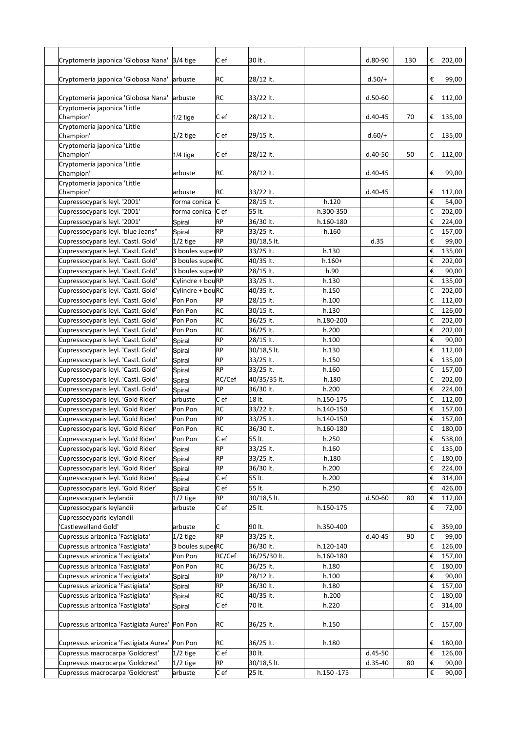| Cryptomeria japonica 'Globosa Nana'            | $3/4$ tige       | C ef      | 30 lt.       |            | $d.80-90$   | 130 | € | 202,00 |
|------------------------------------------------|------------------|-----------|--------------|------------|-------------|-----|---|--------|
|                                                |                  |           |              |            |             |     |   |        |
| Cryptomeria japonica 'Globosa Nana'            | larbuste         | RC        | 28/12 lt.    |            | $d.50/+$    |     | € | 99,00  |
| Cryptomeria japonica 'Globosa Nana'            | arbuste          | RC        | 33/22 lt.    |            | $d.50-60$   |     | € | 112,00 |
| Cryptomeria japonica 'Little<br>Champion'      | $1/2$ tige       | C ef      | 28/12 lt.    |            | $d.40 - 45$ | 70  | € | 135,00 |
| Cryptomeria japonica 'Little<br>Champion'      | $1/2$ tige       | C ef      | 29/15 lt.    |            | $d.60/+$    |     | € | 135,00 |
| Cryptomeria japonica 'Little<br>Champion'      | 1/4 tige         | C ef      | 28/12 lt.    |            | d.40-50     | 50  | € | 112,00 |
| Cryptomeria japonica 'Little<br>Champion'      | arbuste          | RC        | 28/12 lt.    |            | $d.40 - 45$ |     | € | 99,00  |
| Cryptomeria japonica 'Little<br>Champion'      | arbuste          | RC        | 33/22 lt.    |            | $d.40 - 45$ |     | € | 112,00 |
| Cupressocyparis leyl. '2001'                   | forma conica     | lc        | 28/15 lt.    | h.120      |             |     | € | 54,00  |
| Cupressocyparis leyl. '2001'                   | forma conica     | C e f     | 55 lt.       | h.300-350  |             |     | € | 202,00 |
| Cupressocyparis leyl. '2001'                   | Spiral           | <b>RP</b> | 36/30 lt.    | h.160-180  |             |     | € | 224,00 |
| Cupressocyparis leyl. 'blue Jeans"             | Spiral           | <b>RP</b> | 33/25 lt.    | h.160      |             |     | € | 157,00 |
| Cupressocyparis leyl. 'Castl. Gold'            | $1/2$ tige       | <b>RP</b> | 30/18,5 lt.  |            | d.35        |     | € | 99,00  |
| Cupressocyparis leyl. 'Castl. Gold'            | 3 boules superRP |           | 33/25 lt.    | h.130      |             |     | € | 135,00 |
| Cupressocyparis leyl. 'Castl. Gold'            | 3 boules superRC |           | 40/35 lt.    | $h.160+$   |             |     | € | 202,00 |
| Cupressocyparis leyl. 'Castl. Gold'            | 3 boules superRP |           | 28/15 lt.    | h.90       |             |     | € | 90,00  |
| Cupressocyparis leyl. 'Castl. Gold'            | Cylindre + bouRP |           | 33/25 lt.    | h.130      |             |     | € | 135,00 |
| Cupressocyparis leyl. 'Castl. Gold'            | Cylindre + bouRC |           | 40/35 lt.    | h.150      |             |     | € | 202,00 |
| Cupressocyparis leyl. 'Castl. Gold'            | Pon Pon          | RP        | 28/15 lt.    |            |             |     | € | 112,00 |
|                                                |                  | RC        |              | h.100      |             |     |   |        |
| Cupressocyparis leyl. 'Castl. Gold'            | Pon Pon          | RC        | 30/15 lt.    | h.130      |             |     | € | 126,00 |
| Cupressocyparis leyl. 'Castl. Gold'            | Pon Pon          |           | 36/25 lt.    | h.180-200  |             |     | € | 202,00 |
| Cupressocyparis leyl. 'Castl. Gold'            | Pon Pon          | <b>RC</b> | 36/25 lt.    | h.200      |             |     | € | 202,00 |
| Cupressocyparis leyl. 'Castl. Gold'            | Spiral           | RP        | 28/15 lt.    | h.100      |             |     | € | 90,00  |
| Cupressocyparis leyl. 'Castl. Gold'            | Spiral           | <b>RP</b> | 30/18,5 lt.  | h.130      |             |     | € | 112,00 |
| Cupressocyparis leyl. 'Castl. Gold'            | Spiral           | <b>RP</b> | 33/25 lt.    | h.150      |             |     | € | 135,00 |
| Cupressocyparis leyl. 'Castl. Gold'            | Spiral           | <b>RP</b> | 33/25 lt.    | h.160      |             |     | € | 157,00 |
| Cupressocyparis leyl. 'Castl. Gold'            | Spiral           | RC/Cef    | 40/35/35 lt. | h.180      |             |     | € | 202,00 |
| Cupressocyparis leyl. 'Castl. Gold'            | Spiral           | <b>RP</b> | 36/30 lt.    | h.200      |             |     | € | 224,00 |
| Cupressocyparis leyl. 'Gold Rider'             | arbuste          | C ef      | 18 lt.       | h.150-175  |             |     | € | 112,00 |
| Cupressocyparis leyl. 'Gold Rider'             | Pon Pon          | <b>RC</b> | 33/22 lt.    | h.140-150  |             |     | € | 157,00 |
| Cupressocyparis leyl. 'Gold Rider'             | Pon Pon          | <b>RP</b> | 33/25 lt.    | h.140-150  |             |     | € | 157,00 |
| Cupressocyparis leyl. 'Gold Rider'             | Pon Pon          | <b>RC</b> | 36/30 lt.    | h.160-180  |             |     | € | 180,00 |
| Cupressocyparis leyl. 'Gold Rider'             | Pon Pon          | C ef      | 55 lt.       | h.250      |             |     | € | 538,00 |
| Cupressocyparis leyl. 'Gold Rider'             | Spiral           | <b>RP</b> | 33/25 lt.    | h.160      |             |     | € | 135,00 |
| Cupressocyparis leyl. 'Gold Rider'             | Spiral           | <b>RP</b> | 33/25 lt.    | h.180      |             |     | € | 180,00 |
| Cupressocyparis leyl. 'Gold Rider'             | Spiral           | <b>RP</b> | 36/30 lt.    | h.200      |             |     | € | 224,00 |
| Cupressocyparis leyl. 'Gold Rider'             | Spiral           | C ef      | 55 lt.       | h.200      |             |     | € | 314,00 |
| Cupressocyparis leyl. 'Gold Rider'             | Spiral           | C ef      | 55 lt.       | h.250      |             |     | € | 426,00 |
| Cupressocyparis leylandii                      | 1/2 tige         | RP        | 30/18,5 lt.  |            | $d.50-60$   | 80  | € | 112,00 |
| Cupressocyparis leylandii                      | arbuste          | C ef      | 25 lt.       | h.150-175  |             |     | € | 72,00  |
| Cupressocyparis leylandii                      |                  |           |              |            |             |     |   |        |
| 'Castlewelland Gold'                           | arbuste          | С         | 90 lt.       | h.350-400  |             |     | € | 359,00 |
| Cupressus arizonica 'Fastigiata'               | 1/2 tige         | RP        | 33/25 lt.    |            | $d.40 - 45$ | 90  | € | 99,00  |
| Cupressus arizonica 'Fastigiata'               | 3 boules superRC |           | 36/30 lt.    | h.120-140  |             |     | € | 126,00 |
| Cupressus arizonica 'Fastigiata'               | Pon Pon          | RC/Cef    | 36/25/30 lt. | h.160-180  |             |     | € | 157,00 |
| Cupressus arizonica 'Fastigiata'               | Pon Pon          | RC        | 36/25 lt.    | h.180      |             |     | € | 180,00 |
| Cupressus arizonica 'Fastigiata'               | Spiral           | RP        | 28/12 lt.    | h.100      |             |     | € | 90,00  |
| Cupressus arizonica 'Fastigiata'               | Spiral           | <b>RP</b> | 36/30 lt.    | h.180      |             |     | € | 157,00 |
| Cupressus arizonica 'Fastigiata'               | Spiral           | RC        | 40/35 lt.    | h.200      |             |     | € | 180,00 |
| Cupressus arizonica 'Fastigiata'               | Spiral           | C ef      | 70 lt.       | h.220      |             |     | € | 314,00 |
|                                                |                  |           |              |            |             |     |   |        |
| Cupressus arizonica 'Fastigiata Aurea' Pon Pon |                  | RC        | 36/25 lt.    | h.150      |             |     | € | 157,00 |
| Cupressus arizonica 'Fastigiata Aurea' Pon Pon |                  | RC        | 36/25 lt.    | h.180      |             |     | € | 180,00 |
| Cupressus macrocarpa 'Goldcrest'               | $ 1/2 $ tige     | C ef      | 30 lt.       |            | d.45-50     |     | € | 126,00 |
| Cupressus macrocarpa 'Goldcrest'               | $ 1/2 $ tige     | <b>RP</b> | 30/18,5 lt.  |            | $d.35-40$   | 80  | € | 90,00  |
| Cupressus macrocarpa 'Goldcrest'               | arbuste          | C ef      | 25 lt.       | h.150 -175 |             |     | € | 90,00  |
|                                                |                  |           |              |            |             |     |   |        |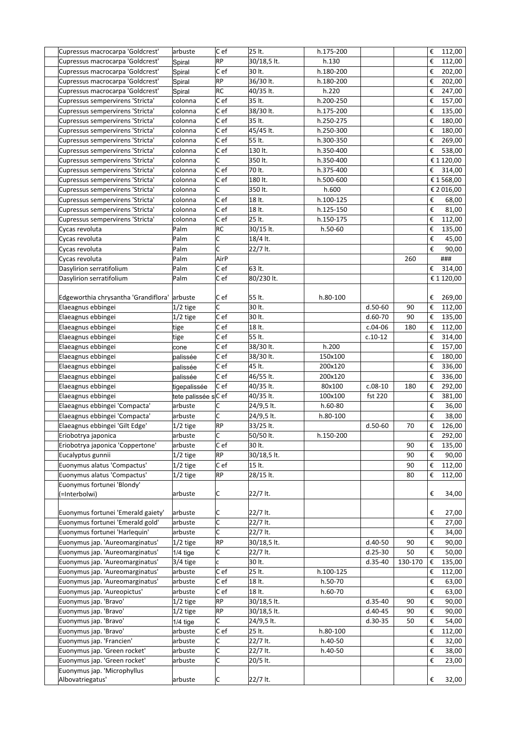| Cupressus macrocarpa 'Goldcrest'     | arbuste             | $ C $ ef  | 25 lt.      | h.175-200 |             |         | € | 112,00                       |
|--------------------------------------|---------------------|-----------|-------------|-----------|-------------|---------|---|------------------------------|
| Cupressus macrocarpa 'Goldcrest'     | Spiral              | RP        | 30/18,5 lt. | h.130     |             |         | € | 112,00                       |
| Cupressus macrocarpa 'Goldcrest'     | Spiral              | C e f     | 30 lt.      | h.180-200 |             |         | € | 202,00                       |
| Cupressus macrocarpa 'Goldcrest'     | Spiral              | RP        | 36/30 lt.   | h.180-200 |             |         | € | 202,00                       |
| Cupressus macrocarpa 'Goldcrest'     | Spiral              | RC        | 40/35 lt.   | h.220     |             |         | € | 247,00                       |
| Cupressus sempervirens 'Stricta'     | colonna             | Cef       | 35 lt.      | h.200-250 |             |         | € | 157,00                       |
| Cupressus sempervirens 'Stricta'     | colonna             | C e f     | 38/30 lt.   | h.175-200 |             |         | € | 135,00                       |
| Cupressus sempervirens 'Stricta'     | colonna             | C e f     | 35 lt.      | h.250-275 |             |         | € | 180,00                       |
| Cupressus sempervirens 'Stricta'     | colonna             | Cef       | 45/45 lt.   | h.250-300 |             |         | € | 180,00                       |
| Cupressus sempervirens 'Stricta'     | colonna             | $ C $ ef  | 55 lt.      | h.300-350 |             |         | € | 269,00                       |
| Cupressus sempervirens 'Stricta'     | colonna             | Cef       | 130 lt.     | h.350-400 |             |         | € | 538,00                       |
| Cupressus sempervirens 'Stricta'     | colonna             | C         | 350 lt.     | h.350-400 |             |         |   | € 1 120,00                   |
| Cupressus sempervirens 'Stricta'     | colonna             | Cef       | 70 lt.      | h.375-400 |             |         | € | 314,00                       |
| Cupressus sempervirens 'Stricta'     | colonna             | C e f     | 180 lt.     | h.500-600 |             |         |   | € 1 568,00                   |
| Cupressus sempervirens 'Stricta'     | colonna             | C         | 350 lt.     | h.600     |             |         |   | € 2 016,00                   |
| Cupressus sempervirens 'Stricta'     | colonna             | C e f     | 18 lt.      | h.100-125 |             |         | € | 68,00                        |
| Cupressus sempervirens 'Stricta'     | colonna             | C e f     | 18 lt.      | h.125-150 |             |         | € | 81,00                        |
| Cupressus sempervirens 'Stricta'     | colonna             | C ef      | 25 lt.      | h.150-175 |             |         | € | 112,00                       |
| Cycas revoluta                       | Palm                | RC        | 30/15 lt.   | h.50-60   |             |         | € | 135,00                       |
| Cycas revoluta                       | Palm                | C         | 18/4 lt.    |           |             |         | € | 45,00                        |
| Cycas revoluta                       | Palm                | C         | 22/7 lt.    |           |             |         | € | 90,00                        |
| Cycas revoluta                       | Palm                | AirP      |             |           |             | 260     |   | ###                          |
| Dasylirion serratifolium             | Palm                | Cef       | 63 lt.      |           |             |         | € | 314,00                       |
| Dasylirion serratifolium             | Palm                | Cef       | 80/230 lt.  |           |             |         |   | € 1 120,00                   |
|                                      |                     |           |             |           |             |         |   |                              |
| Edgeworthia chrysantha 'Grandiflora' | arbuste             | C ef      | 55 lt.      | h.80-100  |             |         | € | 269,00                       |
| Elaeagnus ebbingei                   | $1/2$ tige          | C         | 30 lt.      |           | $d.50-60$   | 90      | € | 112,00                       |
| Elaeagnus ebbingei                   | $1/2$ tige          | $ C $ ef  | 30 lt.      |           | $d.60-70$   | 90      | € | 135,00                       |
| Elaeagnus ebbingei                   | tige                | Cef       | 18 lt.      |           | $c.04-06$   | 180     | € | 112,00                       |
| Elaeagnus ebbingei                   | tige                | Cef       | 55 lt.      |           | $c.10-12$   |         | € | 314,00                       |
| Elaeagnus ebbingei                   | cone                | C e f     | 38/30 lt.   | h.200     |             |         | € | 157,00                       |
| Elaeagnus ebbingei                   | palissée            | $ C $ ef  | 38/30 lt.   | 150x100   |             |         | € | 180,00                       |
| Elaeagnus ebbingei                   | palissée            | C e f     | 45 lt.      | 200x120   |             |         | € | 336,00                       |
| Elaeagnus ebbingei                   | palissée            | Cef       | 46/55 lt.   | 200x120   |             |         | € | 336,00                       |
| Elaeagnus ebbingei                   | tigepalissée        | Cef       | 40/35 lt.   | 80x100    | $c.08-10$   | 180     | € | 292,00                       |
| Elaeagnus ebbingei                   | tete palissée sC ef |           | 40/35 lt.   | 100x100   | fst 220     |         | € | 381,00                       |
| Elaeagnus ebbingei 'Compacta'        | arbuste             | C         | 24/9,5 lt.  | $h.60-80$ |             |         | € | 36,00                        |
| Elaeagnus ebbingei 'Compacta'        | arbuste             | C         | 24/9,5 lt.  | h.80-100  |             |         | € | 38,00                        |
| Elaeagnus ebbingei 'Gilt Edge'       | $1/2$ tige          | RP        | 33/25 lt.   |           | $d.50-60$   | 70      | € | 126,00                       |
| Eriobotrya japonica                  | arbuste             | C         | 50/50 lt.   | h.150-200 |             |         |   | $\overline{\epsilon}$ 292,00 |
| Eriobotrya japonica 'Coppertone'     | arbuste             | $ C $ ef  | 30 lt.      |           |             | 90      | € | 135,00                       |
| Eucalyptus gunnii                    | $1/2$ tige          | <b>RP</b> | 30/18,5 lt. |           |             | 90      | € | 90,00                        |
| Euonymus alatus 'Compactus'          | $1/2$ tige          | Cef       | 15 lt.      |           |             | 90      | € | 112,00                       |
| Euonymus alatus 'Compactus'          | $1/2$ tige          | <b>RP</b> | 28/15 lt.   |           |             | 80      | € | 112,00                       |
| Euonymus fortunei 'Blondy'           |                     |           |             |           |             |         |   |                              |
| (=Interbolwi)                        | arbuste             | C         | 22/7 lt.    |           |             |         | € | 34,00                        |
|                                      |                     |           |             |           |             |         |   |                              |
| Euonymus fortunei 'Emerald gaiety'   | arbuste             | C         | 22/7 lt.    |           |             |         | € | 27,00                        |
| Euonymus fortunei 'Emerald gold'     | arbuste             | C         | 22/7 lt.    |           |             |         | € | 27,00                        |
| Euonymus fortunei 'Harlequin'        | arbuste             | c         | 22/7 lt.    |           |             |         | € | 34,00                        |
| Euonymus jap. 'Aureomarginatus'      | $1/2$ tige          | RP        | 30/18,5 lt. |           | d.40-50     | 90      | € | 90,00                        |
| Euonymus jap. 'Aureomarginatus'      | $1/4$ tige          | C         | 22/7 lt.    |           | $d.25-30$   | 50      | € | 50,00                        |
| Euonymus jap. 'Aureomarginatus'      | 3/4 tige            | C         | 30 lt.      |           | $d.35-40$   | 130-170 | € | 135,00                       |
| Euonymus jap. 'Aureomarginatus'      | arbuste             | $ C $ ef  | 25 lt.      | h.100-125 |             |         | € | 112,00                       |
| Euonymus jap. 'Aureomarginatus'      | arbuste             | C ef      | 18 lt.      | h.50-70   |             |         | € | 63,00                        |
| Euonymus jap. 'Aureopictus'          | arbuste             | Cef       | 18 lt.      | h.60-70   |             |         | € | 63,00                        |
| Euonymus jap. 'Bravo'                | $1/2$ tige          | RP        | 30/18,5 lt. |           | $d.35-40$   | 90      | € | 90,00                        |
| Euonymus jap. 'Bravo'                | $1/2$ tige          | RP        | 30/18,5 lt. |           | $d.40 - 45$ | 90      | € | 90,00                        |
| Euonymus jap. 'Bravo'                | $1/4$ tige          | C         | 24/9,5 lt.  |           | $d.30-35$   | 50      | € | 54,00                        |
| Euonymus jap. 'Bravo'                | arbuste             | Cef       | 25 lt.      | h.80-100  |             |         | € | 112,00                       |
| Euonymus jap. 'Francien'             | arbuste             | C         | 22/7 lt.    | h.40-50   |             |         | € | 32,00                        |
| Euonymus jap. 'Green rocket'         | arbuste             | C         | 22/7 lt.    | h.40-50   |             |         | € | 38,00                        |
| Euonymus jap. 'Green rocket'         | arbuste             | c         | 20/5 lt.    |           |             |         | € | 23,00                        |
| Euonymus jap. 'Microphyllus          |                     |           |             |           |             |         |   |                              |
| Albovatriegatus'                     | arbuste             | C         | 22/7 lt.    |           |             |         | € | 32,00                        |
|                                      |                     |           |             |           |             |         |   |                              |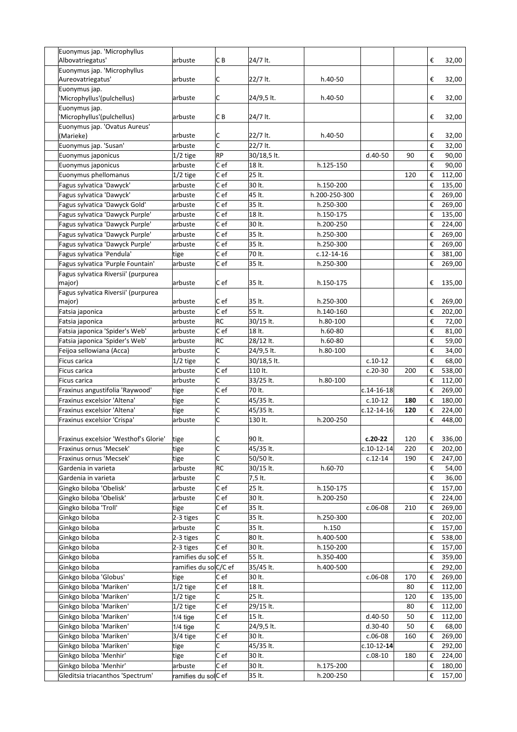| Euonymus jap. 'Microphyllus                                |                                |                         |                  |                        |                  |     |                         |                  |
|------------------------------------------------------------|--------------------------------|-------------------------|------------------|------------------------|------------------|-----|-------------------------|------------------|
| Albovatriegatus'                                           | arbuste                        | CВ                      | 24/7 lt.         |                        |                  |     | €                       | 32,00            |
| Euonymus jap. 'Microphyllus                                |                                |                         |                  |                        |                  |     |                         |                  |
| Aureovatriegatus'                                          | arbuste                        | C                       | 22/7 lt.         | h.40-50                |                  |     | €                       | 32,00            |
| Euonymus jap.                                              |                                |                         |                  |                        |                  |     |                         |                  |
| 'Microphyllus'(pulchellus)                                 | arbuste                        | C                       | 24/9,5 lt.       | h.40-50                |                  |     | €                       | 32,00            |
| Euonymus jap.                                              |                                |                         |                  |                        |                  |     |                         |                  |
| 'Microphyllus'(pulchellus)                                 | arbuste                        | CВ                      | 24/7 lt.         |                        |                  |     | €                       | 32,00            |
| Euonymus jap. 'Ovatus Aureus'                              |                                |                         |                  |                        |                  |     |                         |                  |
| (Marieke)                                                  | arbuste                        | С                       | 22/7 lt.         | h.40-50                |                  |     | €                       | 32,00            |
| Euonymus jap. 'Susan'                                      | arbuste                        | C                       | 22/7 lt.         |                        |                  |     | €                       | 32,00            |
| Euonymus japonicus                                         | 1/2 tige                       | RP                      | 30/18,5 lt.      |                        | $d.40-50$        | 90  | $\boldsymbol{\epsilon}$ | 90,00            |
| Euonymus japonicus                                         | arbuste                        | Cef                     | 18 lt.           | h.125-150              |                  |     | €                       | 90,00            |
| Euonymus phellomanus                                       | $1/2$ tige                     | C e f                   | 25 lt.           |                        |                  | 120 | €                       | 112,00           |
| Fagus sylvatica 'Dawyck'                                   | arbuste                        | Cef                     | 30 lt.           | h.150-200              |                  |     | €                       | 135,00           |
| Fagus sylvatica 'Dawyck'                                   | arbuste                        | C e f                   | 45 lt.           | h.200-250-300          |                  |     | €                       | 269,00           |
| Fagus sylvatica 'Dawyck Gold'                              | arbuste                        | C e f                   | 35 lt.           | h.250-300              |                  |     | €                       | 269,00           |
| Fagus sylvatica 'Dawyck Purple'                            | arbuste                        | C ef                    | 18 lt.           | h.150-175              |                  |     | €                       | 135,00           |
| Fagus sylvatica 'Dawyck Purple'                            |                                |                         |                  |                        |                  |     |                         |                  |
|                                                            | arbuste                        | C ef                    | 30 lt.           | h.200-250              |                  |     | €                       | 224,00           |
| Fagus sylvatica 'Dawyck Purple'                            | arbuste                        | C ef                    | 35 lt.           | h.250-300              |                  |     | €                       | 269,00           |
| Fagus sylvatica 'Dawyck Purple'                            | arbuste                        | C ef                    | 35 lt.           | h.250-300              |                  |     | €                       | 269,00           |
| Fagus sylvatica 'Pendula'                                  | tige                           | Cef                     | 70 lt.           | $c.12 - 14 - 16$       |                  |     | €                       | 381,00           |
| Fagus sylvatica 'Purple Fountain'                          | arbuste                        | Cef                     | 35 lt.           | h.250-300              |                  |     | €                       | 269,00           |
| Fagus sylvatica Riversii' (purpurea                        |                                |                         |                  |                        |                  |     |                         |                  |
| major)                                                     | arbuste                        | C ef                    | 35 lt.           | h.150-175              |                  |     | €                       | 135,00           |
| Fagus sylvatica Riversii' (purpurea                        |                                |                         |                  |                        |                  |     |                         |                  |
| major)                                                     | arbuste                        | C ef                    | 35 lt.           | h.250-300              |                  |     | €                       | 269,00           |
| Fatsia japonica                                            | arbuste                        | $c$ ef                  | 55 lt.           | h.140-160              |                  |     | €                       | 202,00           |
| Fatsia japonica                                            | arbuste                        | RC                      | 30/15 lt.        | h.80-100               |                  |     | €                       | 72,00            |
| Fatsia japonica 'Spider's Web'                             | arbuste                        | Cef                     | 18 lt.           | h.60-80                |                  |     | €                       | 81,00            |
| Fatsia japonica 'Spider's Web'                             | arbuste                        | <b>RC</b>               | 28/12 lt.        | $h.60-80$              |                  |     | €                       | 59,00            |
| Feijoa sellowiana (Acca)                                   | arbuste                        | C                       | 24/9,5 lt.       | h.80-100               |                  |     | €                       | 34,00            |
| Ficus carica                                               | $1/2$ tige                     | C                       | 30/18,5 lt.      |                        | $c.10-12$        |     | €                       | 68,00            |
| Ficus carica                                               | arbuste                        | C e f                   | 110 lt.          |                        | $c.20-30$        | 200 | €                       | 538,00           |
| Ficus carica                                               | arbuste                        | C                       | 33/25 lt.        | h.80-100               |                  |     | €                       | 112,00           |
| Fraxinus angustifolia 'Raywood'                            | tige                           | Cef                     | 70 lt.           |                        | $c.14 - 16 - 18$ |     | €                       | 269,00           |
| Fraxinus excelsior 'Altena'                                | tige                           | c                       | 45/35 lt.        |                        | $c.10-12$        | 180 | €                       | 180,00           |
| Fraxinus excelsior 'Altena'                                | tige                           | Ċ                       | 45/35 lt.        |                        | $c.12 - 14 - 16$ | 120 | €                       | 224,00           |
| Fraxinus excelsior 'Crispa'                                | arbuste                        | c                       | 130 lt.          | h.200-250              |                  |     | €                       | 448,00           |
|                                                            |                                |                         |                  |                        |                  |     |                         |                  |
|                                                            |                                |                         |                  |                        |                  |     |                         |                  |
|                                                            |                                |                         |                  |                        |                  |     |                         |                  |
| Fraxinus excelsior 'Westhof's Glorie'                      | tige                           | C                       | 90 lt.           |                        | c.20-22          | 120 | €                       | 336,00           |
| Fraxinus ornus 'Mecsek'                                    | tige                           | $\overline{\mathsf{C}}$ | 45/35 lt.        |                        | $c.10 - 12 - 14$ | 220 | €                       | 202,00           |
| Fraxinus ornus 'Mecsek'                                    | tige                           | C                       | 50/50 lt.        |                        | $c.12 - 14$      | 190 | €                       | 247,00           |
| Gardenia in varieta                                        | arbuste                        | RC                      | 30/15 lt.        | h.60-70                |                  |     | €                       | 54,00            |
| Gardenia in varieta                                        | arbuste                        | Ċ                       | 7,5 lt.          |                        |                  |     | €                       | 36,00            |
| Gingko biloba 'Obelisk'                                    | arbuste                        | C ef                    | 25 lt.           | h.150-175              |                  |     | €                       | 157,00           |
| Gingko biloba 'Obelisk'                                    | arbuste                        | C ef                    | 30 lt.           | h.200-250              |                  |     | €                       | 224,00           |
| Gingko biloba 'Troll'                                      | tige                           | C ef                    | 35 lt.           |                        | $c.06-08$        | 210 | €                       | 269,00           |
| Ginkgo biloba                                              | 2-3 tiges                      | C                       | 35 lt.           | h.250-300              |                  |     | €                       | 202,00           |
| Ginkgo biloba                                              | arbuste                        | c                       | 35 lt.           | h.150                  |                  |     | €                       | 157,00           |
| Ginkgo biloba                                              | 2-3 tiges                      | C                       | 80 lt.           | h.400-500              |                  |     | €                       | 538,00           |
| Ginkgo biloba                                              | 2-3 tiges                      | C ef                    | 30 lt.           | h.150-200              |                  |     | €                       | 157,00           |
| Ginkgo biloba                                              | ramifies du solC ef            |                         | 55 lt.           | h.350-400              |                  |     | €                       | 359,00           |
| Ginkgo biloba                                              | ramifies du solC/C ef          |                         | 35/45 lt.        | h.400-500              |                  |     | €                       | 292,00           |
|                                                            | tige                           | C e f                   | 30 lt.           |                        | $c.06-08$        | 170 | €                       |                  |
| Ginkgo biloba 'Globus'<br>Ginkgo biloba 'Mariken'          |                                |                         |                  |                        |                  | 80  | €                       | 269,00           |
|                                                            | $1/2$ tige                     | Cef<br>C                | 18 lt.<br>25 lt. |                        |                  |     |                         | 112,00           |
| Ginkgo biloba 'Mariken'                                    | 1/2 tige                       |                         |                  |                        |                  | 120 | €                       | 135,00           |
| Ginkgo biloba 'Mariken'                                    | 1/2 tige                       | C ef                    | 29/15 lt.        |                        |                  | 80  | €                       | 112,00           |
| Ginkgo biloba 'Mariken'                                    | $1/4$ tige                     | Cef                     | 15 lt.           |                        | d.40-50          | 50  | €                       | 112,00           |
| Ginkgo biloba 'Mariken'                                    | $1/4$ tige                     | С                       | 24/9,5 lt.       |                        | $d.30-40$        | 50  | €                       | 68,00            |
| Ginkgo biloba 'Mariken'                                    | 3/4 tige                       | Cef                     | 30 lt.           |                        | $c.06-08$        | 160 | €                       | 269,00           |
| Ginkgo biloba 'Mariken'                                    | tige                           | C                       | 45/35 lt.        |                        | $c.10-12-14$     |     | €                       | 292,00           |
| Ginkgo biloba 'Menhir'                                     | tige                           | C ef                    | 30 lt.           |                        | $c.08-10$        | 180 | €                       | 224,00           |
| Ginkgo biloba 'Menhir'<br>Gleditsia triacanthos 'Spectrum' | arbuste<br>ramifies du solC ef | C ef                    | 30 lt.<br>35 lt. | h.175-200<br>h.200-250 |                  |     | €<br>€                  | 180,00<br>157,00 |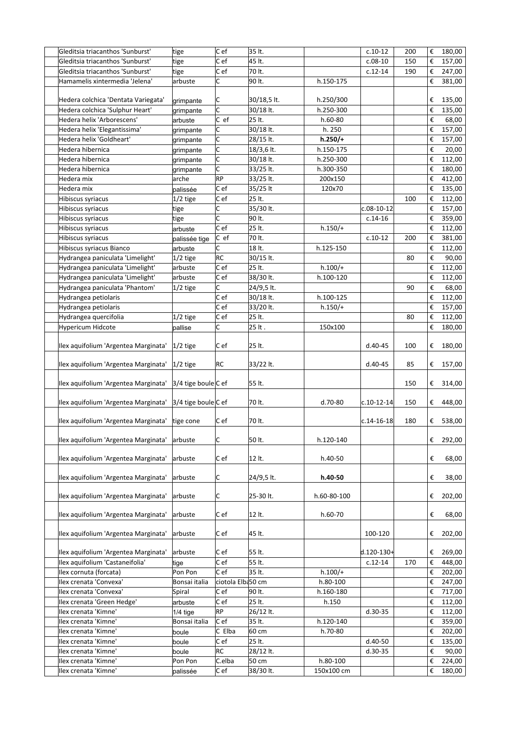| Gleditsia triacanthos 'Sunburst'     | tige                | C ef              | 35 lt.      |             | $c.10-12$        | 200 | € | 180,00 |
|--------------------------------------|---------------------|-------------------|-------------|-------------|------------------|-----|---|--------|
| Gleditsia triacanthos 'Sunburst'     | tige                | Cef               | 45 lt.      |             | $c.08-10$        | 150 | € | 157,00 |
| Gleditsia triacanthos 'Sunburst'     | tige                | C e f             | 70 lt.      |             | $c.12 - 14$      | 190 | € | 247,00 |
| Hamamelis xintermedia 'Jelena'       | arbuste             | C                 | 90 lt.      | h.150-175   |                  |     | € | 381,00 |
|                                      |                     |                   |             |             |                  |     |   |        |
| Hedera colchica 'Dentata Variegata'  | grimpante           | IC.               | 30/18,5 lt. | h.250/300   |                  |     | € | 135,00 |
| Hedera colchica 'Sulphur Heart'      |                     | C                 | 30/18 lt.   | h.250-300   |                  |     | € | 135,00 |
| Hedera helix 'Arborescens'           | grimpante           | C ef              | 25 lt.      |             |                  |     | € |        |
|                                      | arbuste             |                   |             | $h.60-80$   |                  |     |   | 68,00  |
| Hedera helix 'Elegantissima'         | grimpante           | C                 | 30/18 lt.   | h. 250      |                  |     | € | 157,00 |
| Hedera helix 'Goldheart'             | grimpante           | C                 | 28/15 lt.   | $h.250/+$   |                  |     | € | 157,00 |
| Hedera hibernica                     | grimpante           | C                 | 18/3,6 lt.  | h.150-175   |                  |     | € | 20,00  |
| Hedera hibernica                     | grimpante           | c                 | 30/18 lt.   | h.250-300   |                  |     | € | 112,00 |
| Hedera hibernica                     | grimpante           | C                 | 33/25 lt.   | h.300-350   |                  |     | € | 180,00 |
| Hedera mix                           | arche               | <b>RP</b>         | 33/25 lt.   | 200x150     |                  |     | € | 412,00 |
| Hedera mix                           | palissée            | C ef              | 35/25 lt    | 120x70      |                  |     | € | 135,00 |
| Hibiscus syriacus                    | $1/2$ tige          | C ef              | 25 lt.      |             |                  | 100 | € | 112,00 |
| Hibiscus syriacus                    | tige                | C                 | 35/30 lt.   |             | c.08-10-12       |     | € | 157,00 |
| Hibiscus syriacus                    | tige                | C                 | 90 lt.      |             | $c.14-16$        |     | € | 359,00 |
| Hibiscus syriacus                    | arbuste             | C ef              | 25 lt.      | $h.150/+$   |                  |     | € | 112,00 |
| Hibiscus syriacus                    | palissée tige       | $ C $ ef          | 70 lt.      |             | $c.10-12$        | 200 | € | 381,00 |
| Hibiscus syriacus Bianco             | arbuste             | C                 | 18 lt.      | h.125-150   |                  |     | € | 112,00 |
| Hydrangea paniculata 'Limelight'     | $1/2$ tige          | <b>RC</b>         | 30/15 lt.   |             |                  | 80  | € | 90,00  |
| Hydrangea paniculata 'Limelight'     | arbuste             | C ef              | 25 lt.      | $h.100/+$   |                  |     | € |        |
|                                      |                     |                   |             |             |                  |     |   | 112,00 |
| Hydrangea paniculata 'Limelight'     | arbuste             | C ef              | 38/30 lt.   | h.100-120   |                  |     | € | 112,00 |
| Hydrangea paniculata 'Phantom'       | $1/2$ tige          | lc.               | 24/9,5 lt.  |             |                  | 90  | € | 68,00  |
| Hydrangea petiolaris                 |                     | C ef              | 30/18 lt.   | h.100-125   |                  |     | € | 112,00 |
| Hydrangea petiolaris                 |                     | $ C $ ef          | 33/20 lt.   | $h.150/+$   |                  |     | € | 157,00 |
| Hydrangea quercifolia                | $1/2$ tige          | Cef               | 25 lt.      |             |                  | 80  | € | 112,00 |
| Hypericum Hidcote                    | pallise             | C                 | 25 lt.      | 150x100     |                  |     | € | 180,00 |
|                                      |                     |                   |             |             |                  |     |   |        |
| Ilex aquifolium 'Argentea Marginata' | $ 1/2 $ tige        | C ef              | 25 lt.      |             | $d.40 - 45$      | 100 | € | 180,00 |
|                                      |                     |                   |             |             |                  |     |   |        |
| Ilex aquifolium 'Argentea Marginata' | $1/2$ tige          | RC                | 33/22 lt.   |             | $d.40 - 45$      | 85  | € | 157,00 |
|                                      |                     |                   |             |             |                  |     |   |        |
| Ilex aquifolium 'Argentea Marginata' | 3/4 tige boule C ef |                   | 55 lt.      |             |                  | 150 | € | 314,00 |
|                                      |                     |                   |             |             |                  |     |   |        |
| Ilex aquifolium 'Argentea Marginata' | 3/4 tige boule C ef |                   | 70 lt.      | d.70-80     | $c.10-12-14$     | 150 | € | 448,00 |
|                                      |                     |                   |             |             |                  |     |   |        |
| Ilex aquifolium 'Argentea Marginata' | tige cone           | C ef              | 70 lt.      |             | $c.14 - 16 - 18$ | 180 | € | 538,00 |
|                                      |                     |                   |             |             |                  |     |   |        |
| Ilex aquifolium 'Argentea Marginata' | arbuste             | C                 | 50 lt.      | h.120-140   |                  |     | € | 292,00 |
|                                      |                     |                   |             |             |                  |     |   |        |
| Ilex aquifolium 'Argentea Marginata' | arbuste             | C ef              | 12 lt.      | h.40-50     |                  |     | € | 68,00  |
|                                      |                     |                   |             |             |                  |     |   |        |
| Ilex aquifolium 'Argentea Marginata' | arbuste             | C                 | 24/9,5 lt.  | h.40-50     |                  |     | € | 38,00  |
|                                      |                     |                   |             |             |                  |     |   |        |
| Ilex aquifolium 'Argentea Marginata' | arbuste             | C                 | 25-30 lt.   | h.60-80-100 |                  |     | € | 202,00 |
|                                      |                     |                   |             |             |                  |     |   |        |
| Ilex aquifolium 'Argentea Marginata' | arbuste             | C e f             | 12 lt.      | h.60-70     |                  |     | € | 68,00  |
|                                      |                     |                   |             |             |                  |     |   |        |
| Ilex aquifolium 'Argentea Marginata' | arbuste             | C ef              | 45 lt.      |             | 100-120          |     | € | 202,00 |
|                                      |                     |                   |             |             |                  |     |   |        |
| Ilex aquifolium 'Argentea Marginata' | arbuste             | C ef              | 55 lt.      |             | $d.120 - 130 +$  |     | € | 269,00 |
| Ilex aquifolium 'Castaneifolia'      | tige                | Cef               | 55 lt.      |             | $c.12 - 14$      | 170 | € | 448,00 |
| Ilex cornuta (forcata)               | Pon Pon             | C ef              | 35 lt.      | $h.100/+$   |                  |     | € | 202,00 |
| Ilex crenata 'Convexa'               | Bonsai italia       | ciotola Elba50 cm |             | h.80-100    |                  |     | € | 247,00 |
| Ilex crenata 'Convexa'               | Spiral              | Cef               | 90 lt.      | h.160-180   |                  |     | € | 717,00 |
| Ilex crenata 'Green Hedge'           | arbuste             | C ef              | 25 lt.      | h.150       |                  |     | € | 112,00 |
| Ilex crenata 'Kimne'                 | $1/4$ tige          | <b>RP</b>         | 26/12 lt.   |             | $d.30-35$        |     | € | 112,00 |
| Ilex crenata 'Kimne'                 | Bonsai italia       | C ef              | 35 lt.      | h.120-140   |                  |     | € | 359,00 |
| Ilex crenata 'Kimne'                 | boule               | C Elba            | 60 cm       | h.70-80     |                  |     | € | 202,00 |
| Ilex crenata 'Kimne'                 | boule               | C ef              | 25 lt.      |             | d.40-50          |     | € | 135,00 |
| Ilex crenata 'Kimne'                 | boule               | <b>RC</b>         | 28/12 lt.   |             | d.30-35          |     | € | 90,00  |
| Ilex crenata 'Kimne'                 | Pon Pon             | C.elba            | 50 cm       | h.80-100    |                  |     | € | 224,00 |
| Ilex crenata 'Kimne'                 | palissée            | C ef              | 38/30 lt.   | 150x100 cm  |                  |     | € | 180,00 |
|                                      |                     |                   |             |             |                  |     |   |        |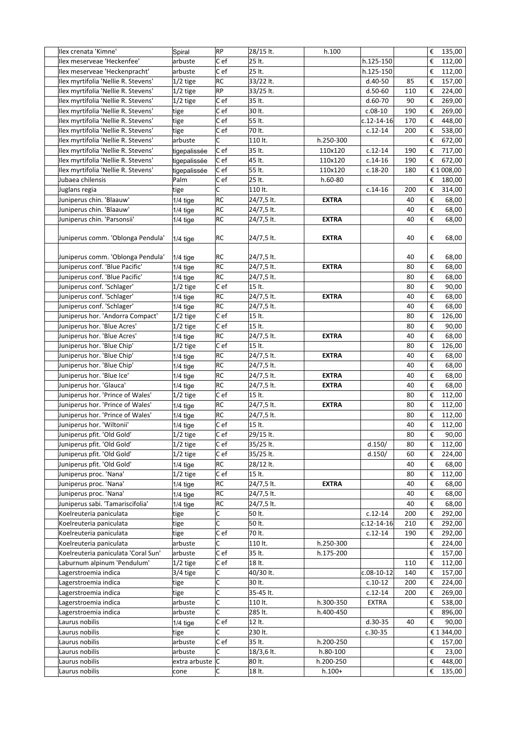| Ilex crenata 'Kimne'                | Spiral        | RP        | 28/15 lt.  | h.100        |                  |     | € | 135,00     |
|-------------------------------------|---------------|-----------|------------|--------------|------------------|-----|---|------------|
| Ilex meserveae 'Heckenfee'          | arbuste       | C ef      | 25 lt.     |              | h.125-150        |     | € | 112,00     |
| Ilex meserveae 'Heckenpracht'       | arbuste       | C ef      | 25 lt.     |              | h.125-150        |     | € | 112,00     |
| Ilex myrtifolia 'Nellie R. Stevens' | $1/2$ tige    | RC        | 33/22 lt.  |              | $d.40-50$        | 85  | € | 157,00     |
| Ilex myrtifolia 'Nellie R. Stevens' | $1/2$ tige    | RP        | 33/25 lt.  |              | $d.50-60$        | 110 | € | 224,00     |
| Ilex myrtifolia 'Nellie R. Stevens' | 1/2 tige      | $ C $ ef  | 35 lt.     |              | $d.60-70$        | 90  | € | 269,00     |
| Ilex myrtifolia 'Nellie R. Stevens' | tige          | Cef       | 30 lt.     |              | $c.08-10$        | 190 | € | 269,00     |
| Ilex myrtifolia 'Nellie R. Stevens' | tige          | C e f     | 55 lt.     |              | c.12-14-16       | 170 | € | 448,00     |
| Ilex myrtifolia 'Nellie R. Stevens' | tige          | C ef      | 70 lt.     |              | $c.12-14$        | 200 | € | 538,00     |
| Ilex myrtifolia 'Nellie R. Stevens' | arbuste       | С         | 110 lt.    | h.250-300    |                  |     | € | 672,00     |
| Ilex myrtifolia 'Nellie R. Stevens' |               | Cef       | 35 lt.     | 110x120      | $c.12-14$        | 190 | € | 717,00     |
| Ilex myrtifolia 'Nellie R. Stevens' | tigepalissée  | C ef      | 45 lt.     | 110x120      | $c.14-16$        | 190 | € | 672,00     |
| Ilex myrtifolia 'Nellie R. Stevens' | tigepalissée  | Cef       | 55 lt.     | 110x120      |                  | 180 |   |            |
|                                     | tigepalissée  | C e f     | 25 lt.     |              | $c.18-20$        |     |   | € 1 008,00 |
| Jubaea chilensis                    | Palm          |           |            | $h.60-80$    |                  |     | € | 180,00     |
| Juglans regia                       | tige          | C         | 110 lt.    |              | $c.14-16$        | 200 | € | 314,00     |
| Juniperus chin. 'Blaauw'            | $1/4$ tige    | RC        | 24/7,5 lt. | <b>EXTRA</b> |                  | 40  | € | 68,00      |
| Juniperus chin. 'Blaauw'            | $1/4$ tige    | RC        | 24/7,5 lt. |              |                  | 40  | € | 68,00      |
| Juniperus chin. 'Parsonsii'         | $1/4$ tige    | RC        | 24/7,5 lt. | <b>EXTRA</b> |                  | 40  | € | 68,00      |
| Juniperus comm. 'Oblonga Pendula'   | $1/4$ tige    | RC        | 24/7,5 lt. | <b>EXTRA</b> |                  | 40  | € | 68,00      |
| Juniperus comm. 'Oblonga Pendula'   | $1/4$ tige    | RC        | 24/7,5 lt. |              |                  | 40  | € | 68,00      |
| Juniperus conf. 'Blue Pacific'      | $1/4$ tige    | RC        | 24/7,5 lt. | <b>EXTRA</b> |                  | 80  | € | 68,00      |
| Juniperus conf. 'Blue Pacific'      | $1/4$ tige    | RC        | 24/7,5 lt. |              |                  | 80  | € | 68,00      |
| Juniperus conf. 'Schlager'          | $1/2$ tige    | Cef       | 15 lt.     |              |                  | 80  | € | 90,00      |
| Juniperus conf. 'Schlager'          | $1/4$ tige    | RC        | 24/7,5 lt. | <b>EXTRA</b> |                  | 40  | € | 68,00      |
| Juniperus conf. 'Schlager'          | $1/4$ tige    | <b>RC</b> | 24/7,5 lt. |              |                  | 40  | € | 68,00      |
| Juniperus hor. 'Andorra Compact'    | $1/2$ tige    | Cef       | 15 lt.     |              |                  | 80  | € | 126,00     |
| Juniperus hor. 'Blue Acres'         | $1/2$ tige    | Cef       | 15 lt.     |              |                  | 80  | € | 90,00      |
| Juniperus hor. 'Blue Acres'         | 1/4 tige      | RC        | 24/7,5 lt. | <b>EXTRA</b> |                  | 40  | € | 68,00      |
| Juniperus hor. 'Blue Chip'          | $1/2$ tige    | Cef       | 15 lt.     |              |                  | 80  | € | 126,00     |
| Juniperus hor. 'Blue Chip'          | $1/4$ tige    | RC        | 24/7,5 lt. | <b>EXTRA</b> |                  | 40  | € | 68,00      |
| Juniperus hor. 'Blue Chip'          | $1/4$ tige    | RC        | 24/7,5 lt. |              |                  | 40  | € | 68,00      |
| Juniperus hor. 'Blue Ice'           | $1/4$ tige    | RC        | 24/7,5 lt. | <b>EXTRA</b> |                  | 40  | € | 68,00      |
| Juniperus hor. 'Glauca'             | $1/4$ tige    | RC        | 24/7,5 lt. | <b>EXTRA</b> |                  | 40  | € | 68,00      |
| Juniperus hor. 'Prince of Wales'    | $1/2$ tige    | C ef      | 15 lt.     |              |                  | 80  | € | 112,00     |
| Juniperus hor. 'Prince of Wales'    | $1/4$ tige    | RC        | 24/7,5 lt. | <b>EXTRA</b> |                  | 80  | € | 112,00     |
| Juniperus hor. 'Prince of Wales'    |               | RC        | 24/7,5 lt. |              |                  | 80  | € | 112,00     |
|                                     | $1/4$ tige    | Cef       | 15 lt.     |              |                  |     |   |            |
| Juniperus hor. 'Wiltonii'           | 1/4 tige      |           |            |              |                  | 40  | € | 112,00     |
| Juniperus pfit. 'Old Gold'          | $1/2$ tige    | Cef       | 29/15 lt.  |              |                  | 80  | € | 90,00      |
| Juniperus pfit. 'Old Gold'          | $1/2$ tige    | Cef       | 35/25 lt.  |              | d.150/           | 80  | € | 112,00     |
| Juniperus pfit. 'Old Gold'          | 1/2 tige      | C e f     | 35/25 lt.  |              | d.150/           | 60  | € | 224,00     |
| Juniperus pfit. 'Old Gold'          | $1/4$ tige    | RC        | 28/12 lt.  |              |                  | 40  | € | 68,00      |
| Juniperus proc. 'Nana'              | $1/2$ tige    | C e f     | 15 lt.     |              |                  | 80  | € | 112,00     |
| Juniperus proc. 'Nana'              | $1/4$ tige    | RC        | 24/7,5 lt. | <b>EXTRA</b> |                  | 40  | € | 68,00      |
| Juniperus proc. 'Nana'              | $1/4$ tige    | RC        | 24/7,5 lt. |              |                  | 40  | € | 68,00      |
| Juniperus sabi. 'Tamariscifolia'    | $1/4$ tige    | RC        | 24/7,5 lt. |              |                  | 40  | € | 68,00      |
| Koelreuteria paniculata             | tige          | C         | 50 lt.     |              | $c.12-14$        | 200 | € | 292,00     |
| Koelreuteria paniculata             | tige          | C         | 50 lt.     |              | $c.12 - 14 - 16$ | 210 | € | 292,00     |
| Koelreuteria paniculata             | tige          | C ef      | 70 lt.     |              | $c.12 - 14$      | 190 | € | 292,00     |
| Koelreuteria paniculata             | arbuste       | C         | 110 lt.    | h.250-300    |                  |     | € | 224,00     |
| Koelreuteria paniculata 'Coral Sun' | arbuste       | C e f     | 35 lt.     | h.175-200    |                  |     | € | 157,00     |
| Laburnum alpinum 'Pendulum'         | $1/2$ tige    | C ef      | 18 lt.     |              |                  | 110 | € | 112,00     |
| Lagerstroemia indica                | 3/4 tige      | C         | 40/30 lt.  |              | $c.08-10-12$     | 140 | € | 157,00     |
| Lagerstroemia indica                | tige          | C         | 30 lt.     |              | $c.10-12$        | 200 | € | 224,00     |
| Lagerstroemia indica                | tige          | c         | 35-45 lt.  |              | $c.12 - 14$      | 200 | € | 269,00     |
| Lagerstroemia indica                | arbuste       | c         | 110 lt.    | h.300-350    | EXTRA            |     | € | 538,00     |
| Lagerstroemia indica                | arbuste       | C         | 285 lt.    | h.400-450    |                  |     | € | 896,00     |
| Laurus nobilis                      | $1/4$ tige    | C e f     | 12 lt.     |              | $d.30-35$        | 40  | € | 90,00      |
| Laurus nobilis                      | tige          | C.        | 230 lt.    |              | $c.30-35$        |     |   | € 1 344,00 |
| Laurus nobilis                      | arbuste       | Cef       | 35 lt.     | h.200-250    |                  |     | € | 157,00     |
| Laurus nobilis                      | arbuste       | C         | 18/3,6 lt. | h.80-100     |                  |     | € | 23,00      |
| Laurus nobilis                      | extra arbuste | IС        | 80 lt.     | h.200-250    |                  |     | € | 448,00     |
| Laurus nobilis                      |               | С         | 18 lt.     | $h.100+$     |                  |     | € | 135,00     |
|                                     | cone          |           |            |              |                  |     |   |            |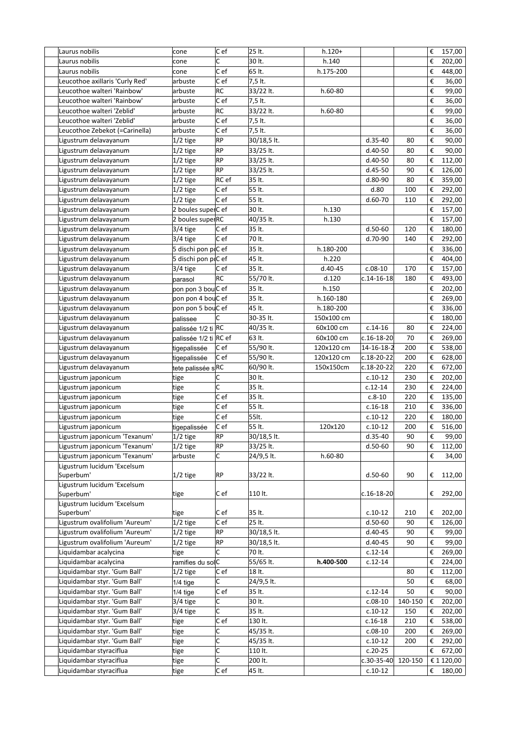| Laurus nobilis                  | cone                  | C e f             | 25 lt.      | $h.120+$   |                  |         | € | 157,00     |
|---------------------------------|-----------------------|-------------------|-------------|------------|------------------|---------|---|------------|
| Laurus nobilis                  | cone                  | C                 | 30 lt.      | h.140      |                  |         | € | 202,00     |
| Laurus nobilis                  | cone                  | $\overline{C}$ ef | 65 lt.      | h.175-200  |                  |         | € | 448,00     |
| Leucothoe axillaris 'Curly Red' | arbuste               | Cef               | 7,5 lt.     |            |                  |         | € | 36,00      |
| Leucothoe walteri 'Rainbow'     | arbuste               | RC                | 33/22 lt.   | h.60-80    |                  |         | € | 99,00      |
| Leucothoe walteri 'Rainbow'     | arbuste               | $ C $ ef          | 7,5 lt.     |            |                  |         | € | 36,00      |
| Leucothoe walteri 'Zeblid'      | arbuste               | RC                | 33/22 lt.   | h.60-80    |                  |         | € | 99,00      |
| Leucothoe walteri 'Zeblid'      | arbuste               | C e f             | 7,5 lt.     |            |                  |         | € | 36,00      |
| Leucothoe Zebekot (=Carinella)  | arbuste               | Cef               | 7,5 lt.     |            |                  |         | € | 36,00      |
| Ligustrum delavayanum           | $1/2$ tige            | RP                | 30/18,5 lt. |            | $d.35-40$        | 80      | € | 90,00      |
| Ligustrum delavayanum           | $1/2$ tige            | RP                | 33/25 lt.   |            | d.40-50          | 80      | € | 90,00      |
| Ligustrum delavayanum           | $1/2$ tige            | RP                | 33/25 lt.   |            | $d.40-50$        | 80      | € | 112,00     |
| Ligustrum delavayanum           | $1/2$ tige            | RP                | 33/25 lt.   |            | d.45-50          | 90      | € | 126,00     |
| Ligustrum delavayanum           | 1/2 tige              | RC ef             | 35 lt.      |            | $d.80-90$        | 80      | € | 359,00     |
| Ligustrum delavayanum           | $1/2$ tige            | Cef               | 55 lt.      |            | d.80             | 100     | € | 292,00     |
| Ligustrum delavayanum           | $1/2$ tige            | Cef               | 55 lt.      |            | $d.60-70$        | 110     | € | 292,00     |
| Ligustrum delavayanum           | 2 boules superC ef    |                   | 30 lt.      | h.130      |                  |         | € | 157,00     |
| Ligustrum delavayanum           | 2 boules superRC      |                   | 40/35 lt.   | h.130      |                  |         | € | 157,00     |
| Ligustrum delavayanum           | 3/4 tige              | Cef               | 35 lt.      |            | $d.50-60$        | 120     | € | 180,00     |
| Ligustrum delavayanum           | 3/4 tige              | Cef               | 70 lt.      |            | d.70-90          | 140     | € | 292,00     |
| Ligustrum delavayanum           | 5 dischi pon p(C ef   |                   | 35 lt.      | h.180-200  |                  |         | € | 336,00     |
| Ligustrum delavayanum           | 5 dischi pon p(C ef   |                   | 45 lt.      | h.220      |                  |         | € | 404,00     |
| Ligustrum delavayanum           | 3/4 tige              | Cef               | 35 lt.      | d.40-45    | $c.08-10$        | 170     | € | 157,00     |
| Ligustrum delavayanum           | parasol               | RC                | 55/70 lt.   | d.120      | $c.14 - 16 - 18$ | 180     | € | 493,00     |
| Ligustrum delavayanum           | pon pon 3 bouC ef     |                   | 35 lt.      | h.150      |                  |         | € | 202,00     |
| Ligustrum delavayanum           | pon pon 4 bouC ef     |                   | 35 lt.      | h.160-180  |                  |         | € | 269,00     |
| Ligustrum delavayanum           | pon pon 5 bouC ef     |                   | 45 lt.      | h.180-200  |                  |         | € | 336,00     |
| Ligustrum delavayanum           | palissee              | C                 | 30-35 lt.   | 150x100 cm |                  |         | € | 180,00     |
| Ligustrum delavayanum           | palissée 1/2 ti RC    |                   | 40/35 lt.   | 60x100 cm  | $c.14-16$        | 80      | € | 224,00     |
| Ligustrum delavayanum           | palissée 1/2 ti RC ef |                   | 63 lt.      | 60x100 cm  | c.16-18-20       | 70      | € | 269,00     |
| Ligustrum delavayanum           | tigepalissée          | Cef               | 55/90 lt.   | 120x120 cm | 14-16-18-2       | 200     | € | 538,00     |
| Ligustrum delavayanum           | tigepalissée          | C e f             | 55/90 lt.   | 120x120 cm | c.18-20-22       | 200     | € | 628,00     |
| Ligustrum delavayanum           | tete palissée sRC     |                   | 60/90 lt.   | 150x150cm  | $c.18 - 20 - 22$ | 220     | € | 672,00     |
| Ligustrum japonicum             | tige                  | C                 | 30 lt.      |            | $c.10-12$        | 230     | € | 202,00     |
| Ligustrum japonicum             | tige                  | c                 | 35 lt.      |            | $c.12-14$        | 230     | € | 224,00     |
| Ligustrum japonicum             | tige                  | C e f             | 35 lt.      |            | $c.8-10$         | 220     | € | 135,00     |
| Ligustrum japonicum             | tige                  | C ef              | 55 lt.      |            | $c.16-18$        | 210     | € | 336,00     |
| Ligustrum japonicum             | tige                  | C ef              | 55lt.       |            | $c.10-12$        | 220     | € | 180,00     |
| Ligustrum japonicum             | tigepalissée          | C ef              | 55 lt.      | 120x120    | $c.10-12$        | 200     | € | 516,00     |
| Ligustrum japonicum 'Texanum'   | 1/2 tige              | RP                | 30/18,5 lt. |            | d.35-40          | 90      | € | 99,00      |
| Ligustrum japonicum 'Texanum'   | $1/2$ tige            | RP                | 33/25 lt.   |            | $d.50-60$        | 90      | € | 112,00     |
| Ligustrum japonicum 'Texanum'   | arbuste               | C                 | 24/9,5 lt.  | h.60-80    |                  |         | € | 34,00      |
| Ligustrum lucidum 'Excelsum     |                       |                   |             |            |                  |         |   |            |
| Superbum'                       | $1/2$ tige            | <b>RP</b>         | 33/22 lt.   |            | $d.50-60$        | 90      | € | 112,00     |
| Ligustrum lucidum 'Excelsum     |                       |                   |             |            |                  |         |   |            |
| Superbum'                       | tige                  | Cef               | 110 lt.     |            | $c.16 - 18 - 20$ |         | € | 292,00     |
| Ligustrum lucidum 'Excelsum     |                       |                   |             |            |                  |         |   |            |
| Superbum'                       | tige                  | Cef               | 35 lt.      |            | $c.10-12$        | 210     | € | 202,00     |
| Ligustrum ovalifolium 'Aureum'  | 1/2 tige              | Cef               | 25 lt.      |            | $d.50 - 60$      | 90      | € | 126,00     |
| Ligustrum ovalifolium 'Aureum'  | $1/2$ tige            | RP                | 30/18,5 lt. |            | $d.40 - 45$      | 90      | € | 99,00      |
| Ligustrum ovalifolium 'Aureum'  | $1/2$ tige            | <b>RP</b>         | 30/18,5 lt. |            | $d.40 - 45$      | 90      | € | 99,00      |
| Liquidambar acalycina           | tige                  | C                 | 70 lt.      |            | $c.12-14$        |         | € | 269,00     |
| Liquidambar acalycina           | ramifies du solC      |                   | 55/65 lt.   | h.400-500  | $c.12 - 14$      |         | € | 224,00     |
| Liquidambar styr. 'Gum Ball'    | 1/2 tige              | Cef               | 18 lt.      |            |                  | 80      | € | 112,00     |
| Liquidambar styr. 'Gum Ball'    | $1/4$ tige            | C                 | 24/9,5 lt.  |            |                  | 50      | € | 68,00      |
| Liquidambar styr. 'Gum Ball'    | $1/4$ tige            | $ C $ ef          | 35 lt.      |            | $c.12 - 14$      | 50      | € | 90,00      |
| Liquidambar styr. 'Gum Ball'    | 3/4 tige              | C                 | 30 lt.      |            | $c.08-10$        | 140-150 | € | 202,00     |
| Liquidambar styr. 'Gum Ball'    | 3/4 tige              | C                 | 35 lt.      |            | $c.10-12$        | 150     | € | 202,00     |
| Liquidambar styr. 'Gum Ball'    | tige                  | Cef               | 130 lt.     |            | $c.16-18$        | 210     | € | 538,00     |
| Liquidambar styr. 'Gum Ball'    | tige                  | C                 | 45/35 lt.   |            | $c.08-10$        | 200     | € | 269,00     |
| Liquidambar styr. 'Gum Ball'    | tige                  | C                 | 45/35 lt.   |            | $c.10-12$        | 200     | € | 292,00     |
| Liquidambar styraciflua         | tige                  | C                 | 110 lt.     |            | $c.20 - 25$      |         | € | 672,00     |
| Liquidambar styraciflua         | tige                  | C                 | 200 lt.     |            | $c.30 - 35 - 40$ | 120-150 |   | € 1 120,00 |
| Liquidambar styraciflua         | tige                  | Cef               | 45 lt.      |            | $c.10-12$        |         | € | 180,00     |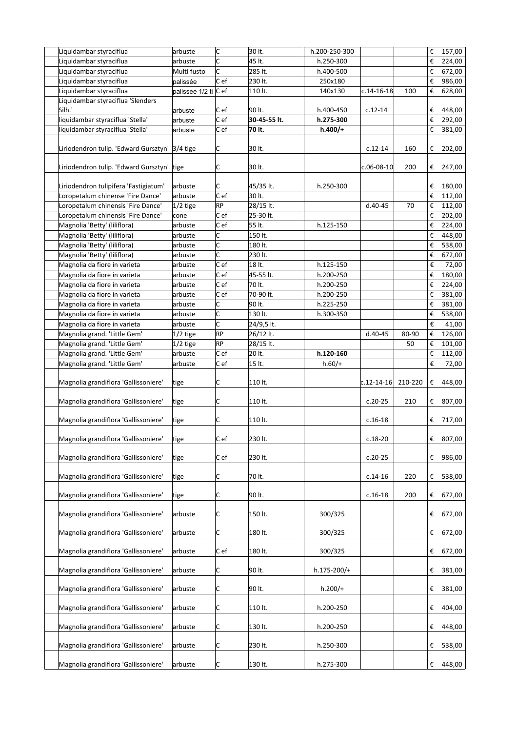| Liquidambar styraciflua               | arbuste              | c         | 30 lt.       | h.200-250-300 |                  |         | €                       | 157,00 |
|---------------------------------------|----------------------|-----------|--------------|---------------|------------------|---------|-------------------------|--------|
| Liquidambar styraciflua               | arbuste              | C         | 45 lt.       | h.250-300     |                  |         | €                       | 224,00 |
| Liquidambar styraciflua               | Multi fusto          | C         | 285 lt.      | h.400-500     |                  |         | €                       | 672,00 |
| Liquidambar styraciflua               | palissée             | C e f     | 230 lt.      | 250x180       |                  |         | €                       | 986,00 |
| Liquidambar styraciflua               | palissee 1/2 ti C ef |           | 110 lt.      | 140x130       | $c.14 - 16 - 18$ | 100     | €                       | 628,00 |
| Liquidambar styraciflua 'Slenders     |                      |           |              |               |                  |         |                         |        |
| Silh.'                                | arbuste              | Cef       | 90 lt.       | h.400-450     | $c.12-14$        |         | €                       | 448,00 |
| liquidambar styraciflua 'Stella'      | arbuste              | C ef      | 30-45-55 lt. | h.275-300     |                  |         | €                       | 292,00 |
| liquidambar styraciflua 'Stella'      | arbuste              | C ef      | 70 lt.       | $h.400/+$     |                  |         | €                       | 381,00 |
|                                       |                      |           |              |               |                  |         |                         |        |
| Liriodendron tulip. 'Edward Gursztyn' | $3/4$ tige           | С         | 30 lt.       |               | $c.12-14$        | 160     | €                       | 202,00 |
| Liriodendron tulip. 'Edward Gursztyn' | tige                 | C         | 30 lt.       |               | $c.06 - 08 - 10$ | 200     | €                       | 247,00 |
| Liriodendron tulipifera 'Fastigiatum' | arbuste              | С         | 45/35 lt.    | h.250-300     |                  |         | €                       | 180,00 |
| Loropetalum chinense 'Fire Dance'     | arbuste              | C ef      | 30 lt.       |               |                  |         | €                       | 112,00 |
| Loropetalum chinensis 'Fire Dance'    | $ 1/2 $ tige         | <b>RP</b> | 28/15 lt.    |               | $d.40 - 45$      | 70      | €                       | 112,00 |
| Loropetalum chinensis 'Fire Dance'    | cone                 | C ef      | 25-30 lt.    |               |                  |         | €                       | 202,00 |
| Magnolia 'Betty' (liliflora)          | arbuste              | C ef      | 55 lt.       | h.125-150     |                  |         | €                       | 224,00 |
| Magnolia 'Betty' (liliflora)          | arbuste              | С         | 150 lt.      |               |                  |         | €                       | 448,00 |
| Magnolia 'Betty' (liliflora)          | arbuste              | C         | 180 lt.      |               |                  |         | €                       | 538,00 |
| Magnolia 'Betty' (liliflora)          | arbuste              | C         | 230 lt.      |               |                  |         | €                       | 672,00 |
| Magnolia da fiore in varieta          | arbuste              | C ef      | 18 lt.       | h.125-150     |                  |         | $\boldsymbol{\epsilon}$ | 72,00  |
| Magnolia da fiore in varieta          | arbuste              | C ef      | 45-55 lt.    | h.200-250     |                  |         | €                       | 180,00 |
| Magnolia da fiore in varieta          | arbuste              | C ef      | 70 lt.       | h.200-250     |                  |         | €                       | 224,00 |
| Magnolia da fiore in varieta          | arbuste              | C ef      | 70-90 lt.    | h.200-250     |                  |         | €                       | 381,00 |
| Magnolia da fiore in varieta          | arbuste              | C         | 90 lt.       | h.225-250     |                  |         | €                       |        |
|                                       |                      | C         |              |               |                  |         |                         | 381,00 |
| Magnolia da fiore in varieta          | arbuste              |           | 130 lt.      | h.300-350     |                  |         | €                       | 538,00 |
| Magnolia da fiore in varieta          | arbuste              | C         | 24/9,5 lt.   |               |                  |         | €                       | 41,00  |
| Magnolia grand. 'Little Gem'          | $1/2$ tige           | RP        | 26/12 lt.    |               | $d.40-45$        | 80-90   | €                       | 126,00 |
| Magnolia grand. 'Little Gem'          | 1/2 tige             | <b>RP</b> | 28/15 lt.    |               |                  | 50      | €                       | 101,00 |
| Magnolia grand. 'Little Gem'          | arbuste              | C ef      | 20 lt.       | h.120-160     |                  |         | €                       | 112,00 |
| Magnolia grand. 'Little Gem'          | arbuste              | C ef      | 15 lt.       | $h.60/+$      |                  |         | €                       | 72,00  |
| Magnolia grandiflora 'Gallissoniere'  | tige                 | С         | 110 lt.      |               | c.12-14-16       | 210-220 | €                       | 448,00 |
| Magnolia grandiflora 'Gallissoniere'  | ∣tige                | C         | 110 lt.      |               | $c.20-25$        | 210     | €                       | 807,00 |
| Magnolia grandiflora 'Gallissoniere'  | tige                 | с         | 110 lt.      |               | $c.16-18$        |         | €                       | 717,00 |
| Magnolia grandiflora 'Gallissoniere'  | tige                 | C ef      | 230 lt.      |               | $c.18-20$        |         | €                       | 807,00 |
| Magnolia grandiflora 'Gallissoniere'  | tige                 | C ef      | 230 lt.      |               | $c.20-25$        |         | €                       | 986,00 |
| Magnolia grandiflora 'Gallissoniere'  | ∣tige                | С         | 70 lt.       |               | $c.14-16$        | 220     | €                       | 538,00 |
|                                       |                      |           |              |               |                  |         |                         |        |
| Magnolia grandiflora 'Gallissoniere'  | ∣tige                | C         | 90 lt.       |               | $c.16-18$        | 200     | €                       | 672,00 |
| Magnolia grandiflora 'Gallissoniere'  | arbuste              | с         | 150 lt.      | 300/325       |                  |         | €                       | 672,00 |
| Magnolia grandiflora 'Gallissoniere'  | arbuste              | С         | 180 lt.      | 300/325       |                  |         | €                       | 672,00 |
| Magnolia grandiflora 'Gallissoniere'  | arbuste              | C ef      | 180 lt.      | 300/325       |                  |         | €                       | 672,00 |
| Magnolia grandiflora 'Gallissoniere'  | arbuste              | С         | 90 lt.       | h.175-200/+   |                  |         | €                       | 381,00 |
| Magnolia grandiflora 'Gallissoniere'  | arbuste              | C         | 90 lt.       | $h.200/+$     |                  |         | €                       | 381,00 |
| Magnolia grandiflora 'Gallissoniere'  | arbuste              | С         | 110 lt.      | h.200-250     |                  |         | €                       | 404,00 |
| Magnolia grandiflora 'Gallissoniere'  | arbuste              | С         | 130 lt.      | h.200-250     |                  |         | €                       | 448,00 |
| Magnolia grandiflora 'Gallissoniere'  | arbuste              | С         | 230 lt.      | h.250-300     |                  |         | €                       | 538,00 |
| Magnolia grandiflora 'Gallissoniere'  | arbuste              | с         | 130 lt.      | h.275-300     |                  |         | €                       | 448,00 |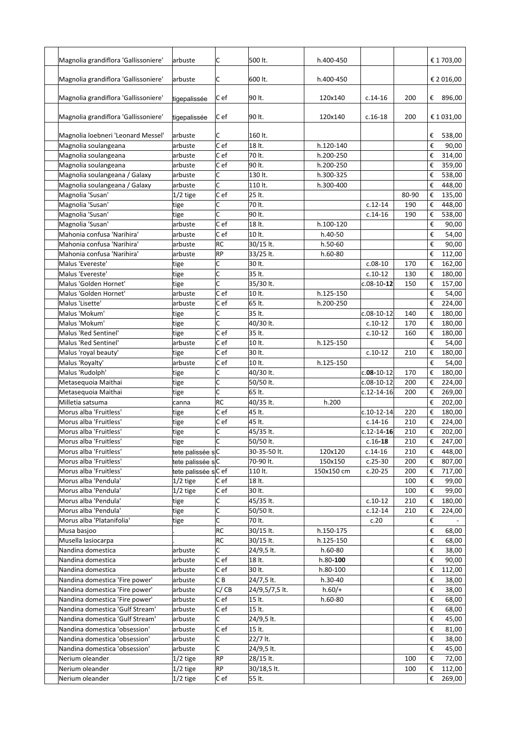| Magnolia grandiflora 'Gallissoniere' | arbuste             | C               | 500 lt.        | h.400-450    |                  |       |                         | € 1 703,00 |
|--------------------------------------|---------------------|-----------------|----------------|--------------|------------------|-------|-------------------------|------------|
|                                      |                     |                 |                |              |                  |       |                         |            |
| Magnolia grandiflora 'Gallissoniere' | arbuste             | C               | 600 lt.        | h.400-450    |                  |       |                         | € 2 016,00 |
|                                      |                     |                 |                |              |                  |       |                         |            |
| Magnolia grandiflora 'Gallissoniere' | tigepalissée        | C ef            | 90 lt.         | 120x140      | $c.14-16$        | 200   | €                       | 896,00     |
|                                      |                     |                 |                |              |                  |       |                         |            |
| Magnolia grandiflora 'Gallissoniere' | tigepalissée        | C ef            | 90 lt.         | 120x140      | $c.16-18$        | 200   |                         | € 1 031,00 |
|                                      |                     |                 |                |              |                  |       |                         |            |
| Magnolia loebneri 'Leonard Messel'   | arbuste             | C               | 160 lt.        |              |                  |       | €                       | 538,00     |
| Magnolia soulangeana                 | arbuste             | C ef            | 18 lt.         | h.120-140    |                  |       | €                       | 90,00      |
| Magnolia soulangeana                 | arbuste             | C ef            | 70 lt.         | h.200-250    |                  |       | €                       | 314,00     |
| Magnolia soulangeana                 | arbuste             | Cef             | 90 lt.         | h.200-250    |                  |       | €                       | 359,00     |
| Magnolia soulangeana / Galaxy        | arbuste             | C               | 130 lt.        | h.300-325    |                  |       | €                       | 538,00     |
| Magnolia soulangeana / Galaxy        | arbuste             | C               | 110 lt.        | h.300-400    |                  |       | €                       | 448,00     |
| Magnolia 'Susan'                     | $1/2$ tige          | C ef            | 25 lt.         |              |                  | 80-90 | €                       | 135,00     |
| Magnolia 'Susan'                     | tige                | C               | 70 lt.         |              | $c.12-14$        | 190   | €                       | 448,00     |
| Magnolia 'Susan'                     | tige                | C               | 90 lt.         |              | $c.14-16$        | 190   | €                       | 538,00     |
| Magnolia 'Susan'                     | arbuste             | C ef            | 18 lt.         | h.100-120    |                  |       | €                       | 90,00      |
| Mahonia confusa 'Narihira'           | arbuste             | c <sub>ef</sub> | 10 lt.         | h.40-50      |                  |       | €                       | 54,00      |
| Mahonia confusa 'Narihira'           | arbuste             | RC              | 30/15 lt.      | h.50-60      |                  |       | €                       | 90,00      |
| Mahonia confusa 'Narihira'           | arbuste             | RP              | 33/25 lt.      | $h.60-80$    |                  |       | €                       | 112,00     |
| Malus 'Evereste'                     | tige                | C               | 30 lt.         |              | $c.08-10$        | 170   | €                       | 162,00     |
|                                      |                     |                 | 35 lt.         |              |                  |       |                         | 180,00     |
| Malus 'Evereste'                     | tige                | C               |                |              | $c.10-12$        | 130   | €                       |            |
| Malus 'Golden Hornet'                | tige                | C               | 35/30 lt.      |              | $c.08-10-12$     | 150   | €                       | 157,00     |
| Malus 'Golden Hornet'                | arbuste             | C ef            | 10 lt.         | h.125-150    |                  |       | €                       | 54,00      |
| Malus 'Lisette'                      | arbuste             | C ef            | 65 lt.         | h.200-250    |                  |       | €                       | 224,00     |
| Malus 'Mokum'                        | tige                | C               | 35 lt.         |              | $c.08-10-12$     | 140   | €                       | 180,00     |
| Malus 'Mokum'                        | tige                | C               | 40/30 lt.      |              | $c.10-12$        | 170   | €                       | 180,00     |
| Malus 'Red Sentinel'                 | tige                | C ef            | 35 lt.         |              | $c.10-12$        | 160   | €                       | 180,00     |
| Malus 'Red Sentinel'                 | arbuste             | C ef            | 10 lt.         | h.125-150    |                  |       | €                       | 54,00      |
| Malus 'royal beauty'                 | tige                | C ef            | 30 lt.         |              | $c.10-12$        | 210   | €                       | 180,00     |
| Malus 'Royalty'                      | arbuste             | Cef             | 10 lt.         | h.125-150    |                  |       | €                       | 54,00      |
| Malus 'Rudolph'                      | tige                | C               | 40/30 lt.      |              | $c.08-10-12$     | 170   | €                       | 180,00     |
| Metasequoia Maithai                  | tige                | C               | 50/50 lt.      |              | $c.08-10-12$     | 200   | €                       | 224,00     |
| Metaseguoia Maithai                  | tige                | C               | 65 lt.         |              | $c.12 - 14 - 16$ | 200   | €                       | 269,00     |
| Milletia satsuma                     | canna               | RC              | 40/35 lt.      | h.200        |                  |       | €                       | 202,00     |
| Morus alba 'Fruitless'               | tige                | C ef            | 45 lt.         |              | $c.10-12-14$     | 220   | €                       | 180,00     |
| Morus alba 'Fruitless'               | tige                | C e f           | 45 lt.         |              | $c.14-16$        | 210   | €                       | 224,00     |
| Morus alba 'Fruitless'               | tige                | C               | 45/35 lt.      |              | $c.12 - 14 - 16$ | 210   | €                       | 202,00     |
| Morus alba 'Fruitless'               | tige                | C               | 50/50 lt.      |              | $c.16 - 18$      | 210   | €                       | 247,00     |
| Morus alba 'Fruitless'               | tete palissée sC    |                 | 30-35-50 lt.   | 120x120      | $c.14-16$        | 210   | €                       | 448,00     |
| Morus alba 'Fruitless'               | tete palissée sC    |                 | 70-90 lt.      | 150x150      | $c.25-30$        | 200   | €                       | 807,00     |
| Morus alba 'Fruitless'               | tete palissée sC ef |                 | 110 lt.        | 150x150 cm   | $c.20 - 25$      | 200   | €                       | 717,00     |
| Morus alba 'Pendula'                 | $1/2$ tige          | Cef             | 18 lt.         |              |                  | 100   | €                       | 99,00      |
| Morus alba 'Pendula'                 | $1/2$ tige          | C ef            | 30 lt.         |              |                  | 100   | €                       | 99,00      |
| Morus alba 'Pendula'                 | tige                | C               | 45/35 lt.      |              | $c.10-12$        | 210   | €                       | 180,00     |
| Morus alba 'Pendula'                 |                     | C               | 50/50 lt.      |              | $c.12 - 14$      | 210   | €                       | 224,00     |
| Morus alba 'Platanifolia'            | tige                | C               |                |              |                  |       |                         |            |
|                                      | tige                |                 | 70 lt.         |              | c.20             |       | $\boldsymbol{\epsilon}$ |            |
| Musa basjoo                          |                     | RC              | 30/15 lt.      | h.150-175    |                  |       | €                       | 68,00      |
| Musella lasiocarpa                   |                     | <b>RC</b>       | 30/15 lt.      | h.125-150    |                  |       | €                       | 68,00      |
| Nandina domestica                    | arbuste             | lc.             | 24/9,5 lt.     | $h.60-80$    |                  |       | €                       | 38,00      |
| Nandina domestica                    | arbuste             | Cef             | 18 lt.         | $h.80 - 100$ |                  |       | €                       | 90,00      |
| Nandina domestica                    | arbuste             | C ef            | 30 lt.         | h.80-100     |                  |       | €                       | 112,00     |
| Nandina domestica 'Fire power'       | arbuste             | C B             | 24/7,5 lt.     | h.30-40      |                  |       | €                       | 38,00      |
| Nandina domestica 'Fire power'       | arbuste             | C/CB            | 24/9,5/7,5 lt. | $h.60/+$     |                  |       | €                       | 38,00      |
| Nandina domestica 'Fire power'       | arbuste             | C ef            | 15 lt.         | h.60-80      |                  |       | €                       | 68,00      |
| Nandina domestica 'Gulf Stream'      | arbuste             | C ef            | 15 lt.         |              |                  |       | €                       | 68,00      |
| Nandina domestica 'Gulf Stream'      | arbuste             | C               | 24/9,5 lt.     |              |                  |       | €                       | 45,00      |
| Nandina domestica 'obsession'        | arbuste             | Cef             | 15 lt.         |              |                  |       | $\boldsymbol{\epsilon}$ | 81,00      |
| Nandina domestica 'obsession'        | arbuste             | C               | 22/7 lt.       |              |                  |       | €                       | 38,00      |
| Nandina domestica 'obsession'        | arbuste             | C               | 24/9,5 lt.     |              |                  |       | €                       | 45,00      |
| Nerium oleander                      | $1/2$ tige          | RP              | 28/15 lt.      |              |                  | 100   | €                       | 72,00      |
| Nerium oleander                      | $1/2$ tige          | <b>RP</b>       | 30/18,5 lt.    |              |                  | 100   | €                       | 112,00     |
| Nerium oleander                      | $1/2$ tige          | Cef             | 55 lt.         |              |                  |       | €                       | 269,00     |
|                                      |                     |                 |                |              |                  |       |                         |            |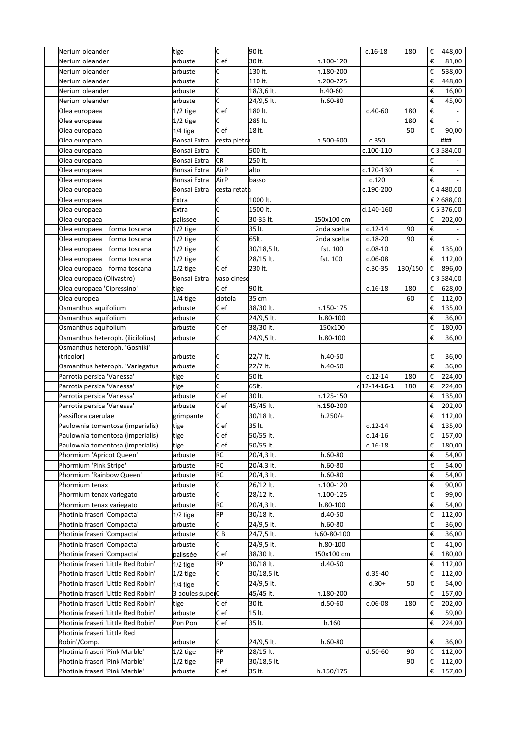| Nerium oleander                     | tige            | c                       | 90 lt.      |             | $c.16-18$       | 180     | €                       | 448,00     |
|-------------------------------------|-----------------|-------------------------|-------------|-------------|-----------------|---------|-------------------------|------------|
| Nerium oleander                     | arbuste         | C ef                    | 30 lt.      | h.100-120   |                 |         | €                       | 81,00      |
| Nerium oleander                     | arbuste         | C                       | 130 lt.     | h.180-200   |                 |         | €                       | 538,00     |
| Nerium oleander                     | arbuste         | C                       | 110 lt.     | h.200-225   |                 |         | €                       | 448,00     |
| Nerium oleander                     | arbuste         | $\overline{\mathsf{C}}$ | 18/3,6 lt.  | h.40-60     |                 |         | €                       | 16,00      |
| Nerium oleander                     | arbuste         | C                       | 24/9,5 lt.  | $h.60-80$   |                 |         | €                       | 45,00      |
|                                     |                 | C e f                   | 180 lt.     |             |                 |         | €                       |            |
| Olea europaea                       | $1/2$ tige      |                         |             |             | $c.40-60$       | 180     |                         |            |
| Olea europaea                       | $1/2$ tige      | C                       | 285 lt.     |             |                 | 180     | €                       |            |
| Olea europaea                       | $1/4$ tige      | C e f                   | 18 lt.      |             |                 | 50      | €                       | 90,00      |
| Olea europaea                       | Bonsai Extra    | cesta pietra            |             | h.500-600   | c.350           |         |                         | ###        |
| Olea europaea                       | Bonsai Extra    | C                       | 500 lt.     |             | c.100-110       |         |                         | € 3 584,00 |
| Olea europaea                       | Bonsai Extra    | <b>CR</b>               | 250 lt.     |             |                 |         | €                       |            |
| Olea europaea                       | Bonsai Extra    | AirP                    | alto        |             | c.120-130       |         | €                       |            |
| Olea europaea                       | Bonsai Extra    | AirP                    | basso       |             | c.120           |         | €                       | $\sim$     |
| Olea europaea                       | Bonsai Extra    | cesta retata            |             |             | c.190-200       |         |                         | € 4 480,00 |
| Olea europaea                       | Extra           | C                       | 1000 lt.    |             |                 |         |                         | € 2 688,00 |
| Olea europaea                       | Extra           | C                       | 1500 lt.    |             | d.140-160       |         |                         | € 5 376,00 |
| Olea europaea                       | palissee        | C                       | 30-35 lt.   | 150x100 cm  |                 |         | €                       | 202,00     |
| Olea europaea<br>forma toscana      | $1/2$ tige      | C                       | 35 lt.      | 2nda scelta | $c.12-14$       | 90      | €                       |            |
| Olea europaea<br>forma toscana      | $1/2$ tige      | C                       | 65lt.       | 2nda scelta | $c.18-20$       | 90      | $\boldsymbol{\epsilon}$ |            |
| Olea europaea forma toscana         |                 | c                       | 30/18,5 lt. | fst. 100    | $c.08-10$       |         |                         |            |
|                                     | $1/2$ tige      | Ċ                       |             |             |                 |         | €                       | 135,00     |
| Olea europaea forma toscana         | $1/2$ tige      |                         | 28/15 lt.   | fst. 100    | $c.06-08$       |         | €                       | 112,00     |
| Olea europaea forma toscana         | $1/2$ tige      | C e f                   | 230 lt.     |             | $c.30-35$       | 130/150 | €                       | 896,00     |
| Olea europaea (Olivastro)           | Bonsai Extra    | vaso cinese             |             |             |                 |         |                         | € 3 584,00 |
| Olea europaea 'Cipressino'          | tige            | c <sub>ef</sub>         | 90 lt.      |             | $c.16-18$       | 180     | €                       | 628,00     |
| Olea europea                        | 1/4 tige        | ciotola                 | 35 cm       |             |                 | 60      | €                       | 112,00     |
| Osmanthus aquifolium                | arbuste         | C ef                    | 38/30 lt.   | h.150-175   |                 |         | €                       | 135,00     |
| Osmanthus aquifolium                | arbuste         | Ċ                       | 24/9,5 lt.  | h.80-100    |                 |         | €                       | 36,00      |
| Osmanthus aquifolium                | arbuste         | C ef                    | 38/30 lt.   | 150x100     |                 |         | €                       | 180,00     |
| Osmanthus heteroph. (ilicifolius)   | arbuste         | Ċ                       | 24/9,5 lt.  | h.80-100    |                 |         | €                       | 36,00      |
| Osmanthus heteroph. 'Goshiki'       |                 |                         |             |             |                 |         |                         |            |
| (tricolor)                          | arbuste         | C                       | 22/7 lt.    | h.40-50     |                 |         | €                       | 36,00      |
| Osmanthus heteroph. 'Variegatus'    | arbuste         | c                       | 22/7 lt.    | h.40-50     |                 |         | €                       | 36,00      |
| Parrotia persica 'Vanessa'          | tige            | c                       | 50 lt.      |             | $c.12-14$       | 180     | €                       | 224,00     |
| Parrotia persica 'Vanessa'          | tige            | Ċ                       | 65lt.       |             | $cl$ 12-14-16-1 | 180     | €                       | 224,00     |
| Parrotia persica 'Vanessa'          | arbuste         | C e f                   | 30 lt.      | h.125-150   |                 |         | €                       | 135,00     |
| Parrotia persica 'Vanessa'          | arbuste         | C ef                    | 45/45 lt.   | h.150-200   |                 |         | €                       | 202,00     |
| Passiflora caerulae                 | grimpante       | С                       | 30/18 lt.   | $h.250/+$   |                 |         | €                       | 112,00     |
| Paulownia tomentosa (imperialis)    |                 | C ef                    | 35 lt.      |             | $c.12-14$       |         | €                       | 135,00     |
| Paulownia tomentosa (imperialis)    | tige<br>tige    | Cef                     | 50/55 lt.   |             |                 |         | $\boldsymbol{\epsilon}$ | 157,00     |
|                                     |                 |                         |             |             | $c.14-16$       |         |                         |            |
| Paulownia tomentosa (imperialis)    | tige            | Cef                     | 50/55 lt.   |             | $c.16-18$       |         | €                       | 180,00     |
| Phormium 'Apricot Queen'            | arbuste         | RC                      | 20/4,3 lt.  | $h.60-80$   |                 |         | €                       | 54,00      |
| Phormium 'Pink Stripe'              | arbuste         | RC                      | 20/4,3 lt.  | $h.60-80$   |                 |         | €                       | 54,00      |
| Phormium 'Rainbow Queen'            | arbuste         | RC                      | 20/4,3 lt.  | $h.60-80$   |                 |         | €                       | 54,00      |
| Phormium tenax                      | arbuste         | C                       | 26/12 lt.   | h.100-120   |                 |         | €                       | 90,00      |
| Phormium tenax variegato            | arbuste         | C                       | 28/12 lt.   | h.100-125   |                 |         | €                       | 99,00      |
| Phormium tenax variegato            | arbuste         | RC                      | 20/4,3 lt.  | h.80-100    |                 |         | €                       | 54,00      |
| Photinia fraseri 'Compacta'         | $1/2$ tige      | RP                      | 30/18 lt.   | d.40-50     |                 |         | €                       | 112,00     |
| Photinia fraseri 'Compacta'         | arbuste         | C.                      | 24/9,5 lt.  | $h.60-80$   |                 |         | €                       | 36,00      |
| Photinia fraseri 'Compacta'         | arbuste         | CВ                      | 24/7,5 lt.  | h.60-80-100 |                 |         | €                       | 36,00      |
| Photinia fraseri 'Compacta'         | arbuste         | C                       | 24/9,5 lt.  | h.80-100    |                 |         | €                       | 41,00      |
| Photinia fraseri 'Compacta'         | palissée        | Cef                     | 38/30 lt.   | 150x100 cm  |                 |         | €                       | 180,00     |
| Photinia fraseri 'Little Red Robin' | $1/2$ tige      | <b>RP</b>               | 30/18 lt.   | d.40-50     |                 |         | €                       | 112,00     |
| Photinia fraseri 'Little Red Robin' | 1/2 tige        | C                       | 30/18,5 lt. |             | $d.35-40$       |         | €                       | 112,00     |
| Photinia fraseri 'Little Red Robin' | $1/4$ tige      | C                       | 24/9,5 lt.  |             | $d.30+$         | 50      | €                       | 54,00      |
| Photinia fraseri 'Little Red Robin' | 3 boules superC |                         | 45/45 lt.   | h.180-200   |                 |         | €                       | 157,00     |
| Photinia fraseri 'Little Red Robin' |                 | C ef                    | 30 lt.      | $d.50 - 60$ |                 |         |                         |            |
|                                     | tige            |                         |             |             | $c.06-08$       | 180     | €                       | 202,00     |
| Photinia fraseri 'Little Red Robin' | arbuste         | C ef                    | 15 lt.      |             |                 |         | €                       | 59,00      |
| Photinia fraseri 'Little Red Robin' | Pon Pon         | Cef                     | 35 lt.      | h.160       |                 |         | €                       | 224,00     |
| Photinia fraseri 'Little Red        |                 |                         |             |             |                 |         |                         |            |
| Robin'/Comp.                        | arbuste         | C                       | 24/9,5 lt.  | $h.60-80$   |                 |         | €                       | 36,00      |
| Photinia fraseri 'Pink Marble'      | 1/2 tige        | RP                      | 28/15 lt.   |             | $d.50-60$       | 90      | €                       | 112,00     |
| Photinia fraseri 'Pink Marble'      | 1/2 tige        | RP                      | 30/18,5 lt. |             |                 | 90      | €                       | 112,00     |
| Photinia fraseri 'Pink Marble'      | arbuste         | Cef                     | 35 lt.      | h.150/175   |                 |         | €                       | 157,00     |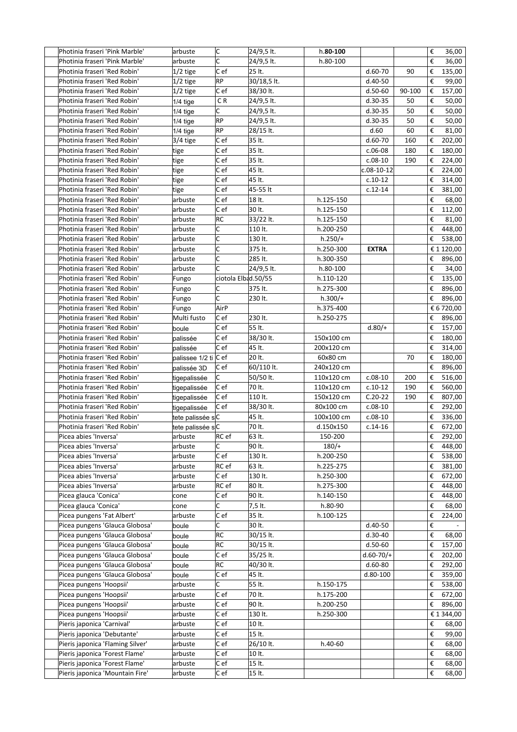| Photinia fraseri 'Pink Marble'                                     | arbuste              | c                   | 24/9,5 lt.          | h.80-100   |              |        | €      | 36,00                        |
|--------------------------------------------------------------------|----------------------|---------------------|---------------------|------------|--------------|--------|--------|------------------------------|
| Photinia fraseri 'Pink Marble'                                     | arbuste              | C                   | 24/9,5 lt.          | h.80-100   |              |        | €      | 36,00                        |
| Photinia fraseri 'Red Robin'                                       | $1/2$ tige           | Cef                 | 25 lt.              |            | $d.60-70$    | 90     | €      | 135,00                       |
| Photinia fraseri 'Red Robin'                                       | $1/2$ tige           | RP                  | 30/18,5 lt.         |            | $d.40-50$    |        | €      | 99,00                        |
| Photinia fraseri 'Red Robin'                                       | $1/2$ tige           | Cef                 | 38/30 lt.           |            | $d.50-60$    | 90-100 | €      | 157,00                       |
| Photinia fraseri 'Red Robin'                                       | $1/4$ tige           | C R                 | 24/9,5 lt.          |            | $d.30-35$    | 50     | €      | 50,00                        |
| Photinia fraseri 'Red Robin'                                       | $1/4$ tige           | C.                  | 24/9,5 lt.          |            | $d.30-35$    | 50     | €      | 50,00                        |
| Photinia fraseri 'Red Robin'                                       | $1/4$ tige           | RP                  | 24/9,5 lt.          |            | $d.30-35$    | 50     | €      | 50,00                        |
| Photinia fraseri 'Red Robin'                                       | $1/4$ tige           | RP                  | 28/15 lt.           |            | d.60         | 60     | €      | 81,00                        |
| Photinia fraseri 'Red Robin'                                       | 3/4 tige             | Cef                 | 35 lt.              |            | $d.60-70$    | 160    | €      | 202,00                       |
| Photinia fraseri 'Red Robin'                                       | tige                 | C ef                | 35 lt.              |            | $c.06-08$    | 180    | €      | 180,00                       |
| Photinia fraseri 'Red Robin'                                       | tige                 | C ef                | 35 lt.              |            | $c.08-10$    | 190    | €      | 224,00                       |
| Photinia fraseri 'Red Robin'                                       | tige                 | C ef                | 45 lt.              |            | c.08-10-12   |        | €      | 224,00                       |
| Photinia fraseri 'Red Robin'                                       | tige                 | Cef                 | 45 lt.              |            | $c.10-12$    |        | €      | 314,00                       |
| Photinia fraseri 'Red Robin'                                       | tige                 | Cef                 | 45-55 lt            |            | $c.12 - 14$  |        | €      | 381,00                       |
| Photinia fraseri 'Red Robin'                                       | arbuste              | Cef                 | 18 lt.              | h.125-150  |              |        | €      | 68,00                        |
| Photinia fraseri 'Red Robin'                                       | arbuste              | Cef                 | 30 lt.              | h.125-150  |              |        | €      | 112,00                       |
| Photinia fraseri 'Red Robin'                                       | arbuste              | RC                  | 33/22 lt.           | h.125-150  |              |        | €      | 81,00                        |
| Photinia fraseri 'Red Robin'                                       | arbuste              | C                   | 110 lt.             | h.200-250  |              |        | €      | 448,00                       |
| Photinia fraseri 'Red Robin'                                       | arbuste              | c                   | 130 lt.             | $h.250/+$  |              |        | €      | 538,00                       |
| Photinia fraseri 'Red Robin'                                       | arbuste              | c                   | 375 lt.             | h.250-300  | <b>EXTRA</b> |        |        | € 1 120,00                   |
| Photinia fraseri 'Red Robin'                                       | arbuste              | C                   | 285 lt.             | h.300-350  |              |        | €      | 896,00                       |
| Photinia fraseri 'Red Robin'                                       | arbuste              | Ċ                   | 24/9,5 lt.          | h.80-100   |              |        | €      | 34,00                        |
| Photinia fraseri 'Red Robin'                                       | Fungo                | ciotola Elbad.50/55 |                     | h.110-120  |              |        | €      | 135,00                       |
| Photinia fraseri 'Red Robin'                                       | Fungo                | C                   | 375 lt.             | h.275-300  |              |        | €      | 896,00                       |
| Photinia fraseri 'Red Robin'                                       | Fungo                | C                   | 230 lt.             | $h.300/+$  |              |        | €      | 896,00                       |
| Photinia fraseri 'Red Robin'                                       | Fungo                | AirP                |                     | h.375-400  |              |        |        | € 6 720,00                   |
| Photinia fraseri 'Red Robin'                                       | Multi fusto          | C ef                | 230 lt.             | h.250-275  |              |        | €      | 896,00                       |
| Photinia fraseri 'Red Robin'                                       | boule                | C ef                | 55 lt.              |            | $d.80/+$     |        | €      | 157,00                       |
| Photinia fraseri 'Red Robin'                                       | palissée             | C ef                | 38/30 lt.           | 150x100 cm |              |        | €      | 180,00                       |
| Photinia fraseri 'Red Robin'                                       | palissée             | C e f               | 45 lt.              | 200x120 cm |              |        | €      | 314,00                       |
| Photinia fraseri 'Red Robin'                                       | palissee 1/2 ti C ef |                     | 20 lt.              | 60x80 cm   |              | 70     | €      | 180,00                       |
| Photinia fraseri 'Red Robin'                                       | palissée 3D          | Cef                 | 60/110 lt.          | 240x120 cm |              |        | €      | 896,00                       |
| Photinia fraseri 'Red Robin'                                       | tigepalissée         | C                   | 50/50 lt.           | 110x120 cm | $c.08-10$    | 200    | €      | 516,00                       |
| Photinia fraseri 'Red Robin'                                       | tigepalissée         | Cef                 | 70 lt.              | 110x120 cm | $c.10-12$    | 190    | €      | 560,00                       |
| Photinia fraseri 'Red Robin'                                       | tigepalissée         | Cef                 | 110 lt.             | 150x120 cm | $C.20-22$    | 190    | €      | 807,00                       |
| Photinia fraseri 'Red Robin'                                       | tigepalissée         | C e f               | 38/30 lt.           | 80x100 cm  | $c.08-10$    |        | €      | 292,00                       |
| Photinia fraseri 'Red Robin'                                       | tete palissée sC     |                     | 45 lt.              | 100x100 cm | $c.08-10$    |        | €      | 336,00                       |
| Photinia fraseri 'Red Robin'                                       | tete palissée sC     |                     | 70 lt.              | d.150x150  | $c.14-16$    |        | €      | 672,00                       |
| Picea abies 'Inversa'                                              | arbuste              | RC ef               | 63 lt.              | 150-200    |              |        |        | $\overline{\epsilon}$ 292,00 |
| Picea abies 'Inversa'                                              | arbuste              | C                   | 90 lt.              | $180/+$    |              |        | €      | 448,00                       |
| Picea abies 'Inversa'                                              | arbuste              | Cef                 | 130 lt.             | h.200-250  |              |        | €      | 538,00                       |
| Picea abies 'Inversa'                                              | arbuste              | RC ef               | 63 lt.              | h.225-275  |              |        | €      | 381,00                       |
| Picea abies 'Inversa'                                              | arbuste              | C ef                | 130 lt.             | h.250-300  |              |        | €      | 672,00                       |
| Picea abies 'Inversa'                                              | arbuste              | RC ef               | 80 lt.              | h.275-300  |              |        | €      | 448,00                       |
| Picea glauca 'Conica'                                              | cone                 | C e f               | 90 lt.              | h.140-150  |              |        | €      | 448,00                       |
| Picea glauca 'Conica'                                              | cone                 | C                   | 7,5 lt.             | h.80-90    |              |        | €      | 68,00                        |
| Picea pungens 'Fat Albert'                                         | arbuste              | C ef                | 35 lt.              | h.100-125  |              |        | €      | 224,00                       |
| Picea pungens 'Glauca Globosa'                                     | boule                | С                   | 30 lt.              |            | d.40-50      |        | €      |                              |
| Picea pungens 'Glauca Globosa'                                     | boule                | RC                  | 30/15 lt.           |            | $d.30-40$    |        | €      | 68,00                        |
| Picea pungens 'Glauca Globosa'                                     | boule                | RC                  | 30/15 lt.           |            | $d.50 - 60$  |        | €      | 157,00                       |
| Picea pungens 'Glauca Globosa'                                     | boule                | Cef                 | 35/25 lt.           |            | $d.60-70/+$  |        | €      | 202,00                       |
| Picea pungens 'Glauca Globosa'                                     | boule                | RC                  | 40/30 lt.           |            | $d.60 - 80$  |        | €      | 292,00                       |
| Picea pungens 'Glauca Globosa'                                     | boule                | Cef                 | 45 lt.              |            | d.80-100     |        | €      | 359,00                       |
| Picea pungens 'Hoopsii'                                            | arbuste              | С                   | 55 lt.              | h.150-175  |              |        | €      | 538,00                       |
| Picea pungens 'Hoopsii'                                            | arbuste              | C e f               | 70 lt.              | h.175-200  |              |        | €      | 672,00                       |
| Picea pungens 'Hoopsii'                                            | arbuste              | C ef                | 90 lt.              | h.200-250  |              |        | €      | 896,00                       |
| Picea pungens 'Hoopsii'                                            | arbuste              | C ef                | 130 lt.             | h.250-300  |              |        |        | € 1 344,00                   |
| Pieris japonica 'Carnival'                                         | arbuste              | C ef                | 10 lt.              |            |              |        | €      | 68,00                        |
| Pieris japonica 'Debutante'                                        | arbuste              | Cef                 | 15 lt.              |            |              |        | €      | 99,00                        |
| Pieris japonica 'Flaming Silver'<br>Pieris japonica 'Forest Flame' | arbuste<br>arbuste   | Cef<br>C ef         | 26/10 lt.<br>10 lt. | h.40-60    |              |        | €<br>€ | 68,00                        |
| Pieris japonica 'Forest Flame'                                     | arbuste              | Cef                 | 15 lt.              |            |              |        | €      | 68,00<br>68,00               |
|                                                                    |                      | Cef                 | 15 lt.              |            |              |        | €      |                              |
| Pieris japonica 'Mountain Fire'                                    | arbuste              |                     |                     |            |              |        |        | 68,00                        |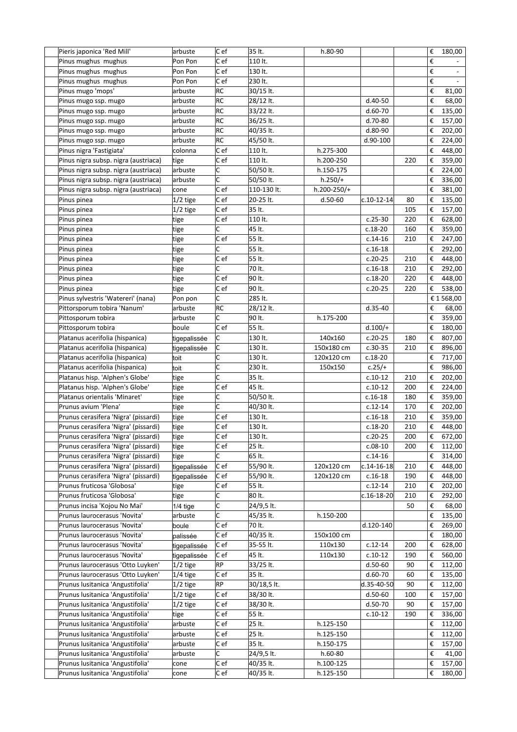| Pieris japonica 'Red Mill'           | arbuste      | C ef      | 35 lt.      | h.80-90     |                  |     | € | 180,00     |
|--------------------------------------|--------------|-----------|-------------|-------------|------------------|-----|---|------------|
| Pinus mughus mughus                  | Pon Pon      | C ef      | 110 lt.     |             |                  |     | € |            |
| Pinus mughus mughus                  | Pon Pon      | C ef      | 130 lt.     |             |                  |     | € |            |
| Pinus mughus mughus                  | Pon Pon      | C ef      | 230 lt.     |             |                  |     | € |            |
| Pinus mugo 'mops'                    | arbuste      | RC        | 30/15 lt.   |             |                  |     | € | 81,00      |
| Pinus mugo ssp. mugo                 | arbuste      | <b>RC</b> | 28/12 lt.   |             | d.40-50          |     | € | 68,00      |
|                                      |              | <b>RC</b> |             |             |                  |     |   |            |
| Pinus mugo ssp. mugo                 | arbuste      |           | 33/22 lt.   |             | $d.60-70$        |     | € | 135,00     |
| Pinus mugo ssp. mugo                 | arbuste      | RC        | 36/25 lt.   |             | d.70-80          |     | € | 157,00     |
| Pinus mugo ssp. mugo                 | arbuste      | RC        | 40/35 lt.   |             | d.80-90          |     | € | 202,00     |
| Pinus mugo ssp. mugo                 | arbuste      | <b>RC</b> | 45/50 lt.   |             | d.90-100         |     | € | 224,00     |
| Pinus nigra 'Fastigiata'             | colonna      | C ef      | 110 lt.     | h.275-300   |                  |     | € | 448,00     |
| Pinus nigra subsp. nigra (austriaca) | tige         | C ef      | 110 lt.     | h.200-250   |                  | 220 | € | 359,00     |
| Pinus nigra subsp. nigra (austriaca) | arbuste      | C         | 50/50 lt.   | h.150-175   |                  |     | € | 224,00     |
| Pinus nigra subsp. nigra (austriaca) | arbuste      | C         | 50/50 lt.   | $h.250/+$   |                  |     | € | 336,00     |
| Pinus nigra subsp. nigra (austriaca) | cone         | C ef      | 110-130 lt. | h.200-250/+ |                  |     | € | 381,00     |
| Pinus pinea                          | $1/2$ tige   | C ef      | 20-25 lt.   | $d.50 - 60$ | c.10-12-14       | 80  | € | 135,00     |
| Pinus pinea                          | $1/2$ tige   | C ef      | 35 lt.      |             |                  | 105 | € | 157,00     |
| Pinus pinea                          | tige         | C ef      | 110 lt.     |             | $c.25-30$        | 220 | € | 628,00     |
| Pinus pinea                          | tige         | C         | 45 lt.      |             | $c.18-20$        | 160 | € | 359,00     |
| Pinus pinea                          | tige         | C ef      | 55 lt.      |             | $c.14-16$        | 210 | € | 247,00     |
| Pinus pinea                          | tige         | C         | 55 lt.      |             | $c.16-18$        |     | € | 292,00     |
| Pinus pinea                          | tige         | C ef      | 55 lt.      |             | $c.20-25$        | 210 | € | 448,00     |
|                                      |              | C         | 70 lt.      |             |                  |     |   |            |
| Pinus pinea                          | tige         |           |             |             | $c.16-18$        | 210 | € | 292,00     |
| Pinus pinea                          | tige         | C ef      | 90 lt.      |             | $c.18-20$        | 220 | € | 448,00     |
| Pinus pinea                          | tige         | C ef      | 90 lt.      |             | $c.20-25$        | 220 | € | 538,00     |
| Pinus sylvestris 'Watereri' (nana)   | Pon pon      | lc.       | 285 lt.     |             |                  |     |   | € 1 568,00 |
| Pittorsporum tobira 'Nanum'          | arbuste      | <b>RC</b> | 28/12 lt.   |             | $d.35-40$        |     | € | 68,00      |
| Pittosporum tobira                   | arbuste      | C         | 90 lt.      | h.175-200   |                  |     | € | 359,00     |
| Pittosporum tobira                   | boule        | C e f     | 55 lt.      |             | $d.100/+$        |     | € | 180,00     |
| Platanus acerifolia (hispanica)      | tigepalissée | lC.       | 130 lt.     | 140x160     | $c.20-25$        | 180 | € | 807,00     |
| Platanus acerifolia (hispanica)      | tigepalissée | lC.       | 130 lt.     | 150x180 cm  | $c.30-35$        | 210 | € | 896,00     |
| Platanus acerifolia (hispanica)      | toit         | lс        | 130 lt.     | 120x120 cm  | $c.18-20$        |     | € | 717,00     |
| Platanus acerifolia (hispanica)      | toit         | C         | 230 lt.     | 150x150     | $c.25/+$         |     | € | 986,00     |
| Platanus hisp. 'Alphen's Globe'      | tige         | C         | 35 lt.      |             | $c.10-12$        | 210 | € | 202,00     |
| Platanus hisp. 'Alphen's Globe'      | tige         | C ef      | 45 lt.      |             | $c.10-12$        | 200 | € | 224,00     |
| Platanus orientalis 'Minaret'        | tige         | lc.       | 50/50 lt.   |             | $c.16-18$        | 180 | € | 359,00     |
| Prunus avium 'Plena'                 | tige         | C         | 40/30 lt.   |             | $c.12-14$        | 170 | € | 202,00     |
| Prunus cerasifera 'Nigra' (pissardi) | tige         | C ef      | 130 lt.     |             | $c.16-18$        | 210 | € | 359,00     |
| Prunus cerasifera 'Nigra' (pissardi) | tige         | Cef       | 130 lt.     |             | $c.18-20$        | 210 | € | 448,00     |
| Prunus cerasifera 'Nigra' (pissardi) | tige         | Cef       | 130 lt.     |             | $c.20-25$        | 200 |   | € 672,00   |
|                                      |              |           |             |             |                  |     |   |            |
| Prunus cerasifera 'Nigra' (pissardi) | tige         | C ef      | 25 lt.      |             | $c.08-10$        | 200 | € | 112,00     |
| Prunus cerasifera 'Nigra' (pissardi) | tige         | C         | 65 lt.      |             | $c.14-16$        |     | € | 314,00     |
| Prunus cerasifera 'Nigra' (pissardi) | tigepalissée | C ef      | 55/90 lt.   | 120x120 cm  | $c.14 - 16 - 18$ | 210 | € | 448,00     |
| Prunus cerasifera 'Nigra' (pissardi) | tigepalissée | Cef       | 55/90 lt.   | 120x120 cm  | $c.16-18$        | 190 | € | 448,00     |
| Prunus fruticosa 'Globosa'           | tige         | C ef      | 55 lt.      |             | $c.12 - 14$      | 210 | € | 202,00     |
| Prunus fruticosa 'Globosa'           | tige         | lC.       | 80 lt.      |             | c.16-18-20       | 210 | € | 292,00     |
| Prunus incisa 'Kojou No Mai'         | $1/4$ tige   | C         | 24/9,5 lt.  |             |                  | 50  | € | 68,00      |
| Prunus laurocerasus 'Novita'         | arbuste      | c         | 45/35 lt.   | h.150-200   |                  |     | € | 135,00     |
| Prunus laurocerasus 'Novita'         | boule        | Cef       | 70 lt.      |             | d.120-140        |     | € | 269,00     |
| Prunus laurocerasus 'Novita'         | palissée     | C ef      | 40/35 lt.   | 150x100 cm  |                  |     | € | 180,00     |
| Prunus laurocerasus 'Novita'         | tigepalissée | C ef      | 35-55 lt.   | 110x130     | $c.12 - 14$      | 200 | € | 628,00     |
| Prunus laurocerasus 'Novita'         | tigepalissée | C ef      | 45 lt.      | 110x130     | $c.10-12$        | 190 | € | 560,00     |
| Prunus laurocerasus 'Otto Luyken'    | $ 1/2 $ tige | <b>RP</b> | 33/25 lt.   |             | $d.50 - 60$      | 90  | € | 112,00     |
| Prunus laurocerasus 'Otto Luyken'    | $1/4$ tige   | C ef      | 35 lt.      |             | $d.60-70$        | 60  | € | 135,00     |
| Prunus lusitanica 'Angustifolia'     | $1/2$ tige   | <b>RP</b> | 30/18,5 lt. |             | $d.35 - 40 - 50$ | 90  | € | 112,00     |
| Prunus lusitanica 'Angustifolia'     | $1/2$ tige   | Cef       | 38/30 lt.   |             | $d.50 - 60$      | 100 | € | 157,00     |
|                                      |              |           |             |             |                  |     |   |            |
| Prunus Iusitanica 'Angustifolia'     | $1/2$ tige   | Cef       | 38/30 lt.   |             | d.50-70          | 90  | € | 157,00     |
| Prunus lusitanica 'Angustifolia'     | tige         | Cef       | 55 lt.      |             | $c.10-12$        | 190 | € | 336,00     |
| Prunus lusitanica 'Angustifolia'     | arbuste      | Cef       | 25 lt.      | h.125-150   |                  |     | € | 112,00     |
| Prunus Iusitanica 'Angustifolia'     | arbuste      | C ef      | 25 lt.      | h.125-150   |                  |     | € | 112,00     |
| Prunus Iusitanica 'Angustifolia'     | arbuste      | C ef      | 35 lt.      | h.150-175   |                  |     | € | 157,00     |
| Prunus lusitanica 'Angustifolia'     | arbuste      | C         | 24/9,5 lt.  | h.60-80     |                  |     | € | 41,00      |
| Prunus Iusitanica 'Angustifolia'     | cone         | C ef      | 40/35 lt.   | h.100-125   |                  |     | € | 157,00     |
| Prunus lusitanica 'Angustifolia'     | cone         | C ef      | 40/35 lt.   | h.125-150   |                  |     | € | 180,00     |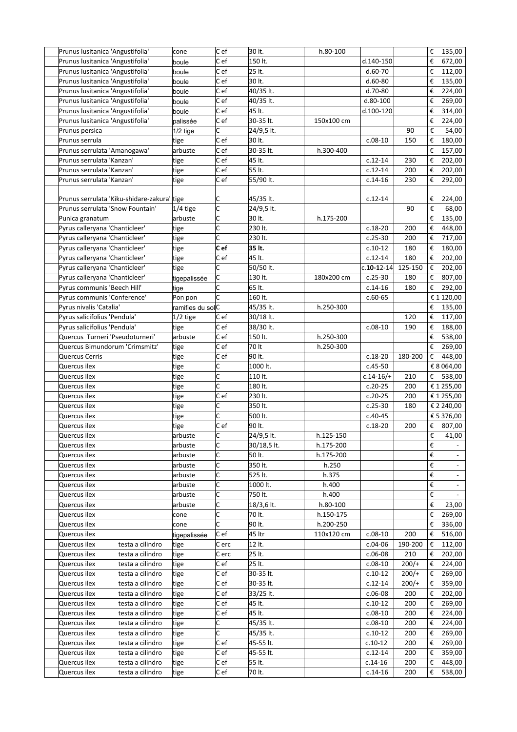| Prunus lusitanica 'Angustifolia'                 | cone             | C ef             | 30 lt.           | h.80-100   |                  |         | €                       | 135,00                                   |
|--------------------------------------------------|------------------|------------------|------------------|------------|------------------|---------|-------------------------|------------------------------------------|
| Prunus lusitanica 'Angustifolia'                 | boule            | C e f            | 150 lt.          |            | d.140-150        |         | €                       | 672,00                                   |
| Prunus lusitanica 'Angustifolia'                 | boule            | Cef              | 25 lt.           |            | $d.60-70$        |         | €                       | 112,00                                   |
| Prunus Iusitanica 'Angustifolia'                 | boule            | C ef             | 30 lt.           |            | $d.60 - 80$      |         | €                       | 135,00                                   |
| Prunus lusitanica 'Angustifolia'                 | boule            | C e f            | 40/35 lt.        |            | d.70-80          |         | €                       | 224,00                                   |
| Prunus Iusitanica 'Angustifolia'                 | boule            | C ef             | 40/35 lt.        |            | d.80-100         |         | €                       | 269,00                                   |
|                                                  |                  | C ef             | 45 lt.           |            |                  |         |                         |                                          |
| Prunus lusitanica 'Angustifolia'                 | boule            |                  |                  |            | d.100-120        |         | €                       | 314,00                                   |
| Prunus lusitanica 'Angustifolia'                 | palissée         | C ef             | 30-35 lt.        | 150x100 cm |                  |         | €                       | 224,00                                   |
| Prunus persica                                   | $1/2$ tige       | С                | 24/9,5 lt.       |            |                  | 90      | €                       | 54,00                                    |
| Prunus serrula                                   | tige             | C ef             | 30 lt.           |            | $c.08-10$        | 150     | €                       | 180,00                                   |
| Prunus serrulata 'Amanogawa'                     | arbuste          | Cef              | 30-35 lt.        | h.300-400  |                  |         | €                       | 157,00                                   |
| Prunus serrulata 'Kanzan'                        | tige             | C ef             | 45 lt.           |            | $c.12-14$        | 230     | €                       | 202,00                                   |
| Prunus serrulata 'Kanzan'                        | tige             | C ef             | 55 lt.           |            | $c.12-14$        | 200     | €                       | 202,00                                   |
| Prunus serrulata 'Kanzan'                        | tige             | C ef             | 55/90 lt.        |            | $c.14-16$        | 230     | €                       | 292,00                                   |
|                                                  |                  |                  |                  |            |                  |         |                         |                                          |
| Prunus serrulata 'Kiku-shidare-zakura' tige      |                  | IC.              | 45/35 lt.        |            | $c.12-14$        |         | €                       | 224,00                                   |
| Prunus serrulata 'Snow Fountain'                 | $1/4$ tige       | C                | 24/9,5 lt.       |            |                  | 90      | €                       | 68,00                                    |
| Punica granatum                                  | arbuste          | C                | 30 lt.           | h.175-200  |                  |         | €                       | 135,00                                   |
| Pyrus calleryana 'Chanticleer'                   | tige             | C                | 230 lt.          |            | $c.18-20$        | 200     | €                       | 448,00                                   |
|                                                  |                  | c                | 230 lt.          |            | $c.25-30$        | 200     |                         |                                          |
| Pyrus calleryana 'Chanticleer'                   | tige             |                  |                  |            |                  |         | €                       | 717,00                                   |
| Pyrus calleryana 'Chanticleer'                   | tige             | C ef             | 35 lt.           |            | $c.10-12$        | 180     | €                       | 180,00                                   |
| Pyrus calleryana 'Chanticleer'                   | tige             | C ef             | 45 lt.           |            | $c.12 - 14$      | 180     | €                       | 202,00                                   |
| Pyrus calleryana 'Chanticleer'                   | tige             | lc.              | 50/50 lt.        |            | $c.10 - 12 - 14$ | 125-150 | €                       | 202,00                                   |
| Pyrus calleryana 'Chanticleer'                   | tigepalissée     | lc.              | 130 lt.          | 180x200 cm | $c.25-30$        | 180     | €                       | 807,00                                   |
| Pyrus communis 'Beech Hill'                      | tige             | lс               | 65 lt.           |            | $c.14-16$        | 180     | €                       | 292,00                                   |
| Pyrus communis 'Conference'                      | Pon pon          | C                | 160 lt.          |            | $c.60-65$        |         |                         | $\mathop{\varepsilon}\nolimits$ 1 120,00 |
| Pyrus nivalis 'Catalia'                          | ramifies du solC |                  | 45/35 lt.        | h.250-300  |                  |         | €                       | 135,00                                   |
| Pyrus salicifolius 'Pendula'                     | $1/2$ tige       | C ef             | 30/18 lt.        |            |                  | 120     | €                       | 117,00                                   |
| Pyrus salicifolius 'Pendula'                     | tige             | C ef             | 38/30 lt.        |            | $c.08-10$        | 190     | €                       | 188,00                                   |
| Quercus Turneri 'Pseudoturneri'                  | arbuste          | C ef             | 150 lt.          | h.250-300  |                  |         | €                       | 538,00                                   |
| Quercus Bimundorum 'Crimsmitz'                   | tige             | C ef             | 70 lt            | h.250-300  |                  |         | €                       | 269,00                                   |
|                                                  |                  |                  |                  |            |                  |         |                         |                                          |
| <b>Quercus Cerris</b>                            | tige             | C ef             | 90 lt.           |            | $c.18-20$        | 180-200 | €                       | 448,00                                   |
| Quercus ilex                                     | tige             | lc.              | 1000 lt.         |            | $c.45 - 50$      |         |                         | € 8 064,00                               |
| Quercus ilex                                     | tige             | c                | 110 lt.          |            | $c.14 - 16/+$    | 210     |                         | € 538,00                                 |
| Quercus ilex                                     | tige             | C                | 180 lt.          |            | $c.20-25$        | 200     |                         | € 1 255,00                               |
| Quercus ilex                                     | tige             | Cef              | 230 lt.          |            | $c.20-25$        | 200     |                         | € 1 255,00                               |
| Quercus ilex                                     | tige             | C                | 350 lt.          |            | $c.25-30$        | 180     |                         | € 2 240,00                               |
| Quercus ilex                                     | tige             | C                | 500 lt.          |            | $c.40 - 45$      |         |                         | € 5 376,00                               |
| Quercus ilex                                     | tige             | Cef              | 90 lt.           |            | $c.18-20$        | 200     |                         | € 807,00                                 |
| Quercus ilex                                     | arbuste          | C                | 24/9,5 lt.       | h.125-150  |                  |         |                         | $\epsilon$ 41,00                         |
| Quercus ilex                                     | arbuste          | lc.              | 30/18,5 lt.      | h.175-200  |                  |         | €                       |                                          |
| Quercus ilex                                     | arbuste          | lc.              | 50 lt.           | h.175-200  |                  |         | €                       |                                          |
| Quercus ilex                                     | arbuste          | lc.              | 350 lt.          | h.250      |                  |         | €                       |                                          |
| Quercus ilex                                     | arbuste          | lC.              | 525 lt.          | h.375      |                  |         | €                       |                                          |
|                                                  |                  |                  |                  |            |                  |         |                         | $\blacksquare$                           |
| Quercus ilex                                     | arbuste          | C                | 1000 lt.         | h.400      |                  |         | €                       |                                          |
| Quercus ilex                                     | arbuste          | lc.              | 750 lt.          | h.400      |                  |         | €                       |                                          |
| Quercus ilex                                     | arbuste          | lc.              | 18/3,6 lt.       | h.80-100   |                  |         | €                       | 23,00                                    |
| Quercus ilex                                     | cone             | c                | 70 lt.           | h.150-175  |                  |         | $\boldsymbol{\epsilon}$ | 269,00                                   |
| Quercus ilex                                     | cone             | lc.              | 90 lt.           | h.200-250  |                  |         |                         | € 336,00                                 |
| Quercus ilex                                     | tigepalissée     | $ C \text{ ef} $ | 45 ltr           | 110x120 cm | $c.08-10$        | 200     |                         | € 516,00                                 |
| Quercus ilex<br>testa a cilindro                 | tige             | C erc            | 12 lt.           |            | $c.04-06$        | 190-200 |                         | € 112,00                                 |
| Quercus ilex<br>testa a cilindro                 | tige             | C erc            | 25 lt.           |            | $c.06-08$        | 210     |                         | € 202,00                                 |
| Quercus ilex<br>testa a cilindro                 | tige             | C ef             | 25 lt.           |            | $c.08-10$        | $200/+$ |                         | € 224,00                                 |
| Quercus ilex<br>testa a cilindro                 | tige             | C ef             | 30-35 lt.        |            | $c.10-12$        | $200/+$ | €                       | 269,00                                   |
| Quercus ilex<br>testa a cilindro                 | tige             | C ef             | 30-35 lt.        |            | $c.12 - 14$      | $200/+$ | €                       | 359,00                                   |
| Quercus ilex<br>testa a cilindro                 | tige             | C ef             | 33/25 lt.        |            | $c.06-08$        | 200     | €                       | 202,00                                   |
| Quercus ilex<br>testa a cilindro                 | tige             | C ef             | 45 lt.           |            | $c.10-12$        | 200     | €                       | 269,00                                   |
| Quercus ilex<br>testa a cilindro                 |                  | Cef              | 45 lt.           |            | $c.08-10$        |         |                         |                                          |
|                                                  | tige             |                  |                  |            |                  | 200     | €                       | 224,00                                   |
| Quercus ilex<br>testa a cilindro                 | tige             | c                | 45/35 lt.        |            | $c.08-10$        | 200     | €                       | 224,00                                   |
| Quercus ilex<br>testa a cilindro                 |                  |                  |                  |            |                  |         |                         | € 269,00                                 |
|                                                  | tige             | lc.              | 45/35 lt.        |            | $c.10-12$        | 200     |                         |                                          |
| Quercus ilex<br>testa a cilindro                 | tige             | Cef              | 45-55 lt.        |            | $c.10-12$        | 200     | €                       | 269,00                                   |
| Quercus ilex<br>testa a cilindro                 | tige             | Cef              | 45-55 lt.        |            | $c.12 - 14$      | 200     | €                       | 359,00                                   |
| Quercus ilex<br>testa a cilindro<br>Quercus ilex | tige             | C ef<br>Cef      | 55 lt.<br>70 lt. |            | $c.14-16$        | 200     | €                       | 448,00<br>538,00                         |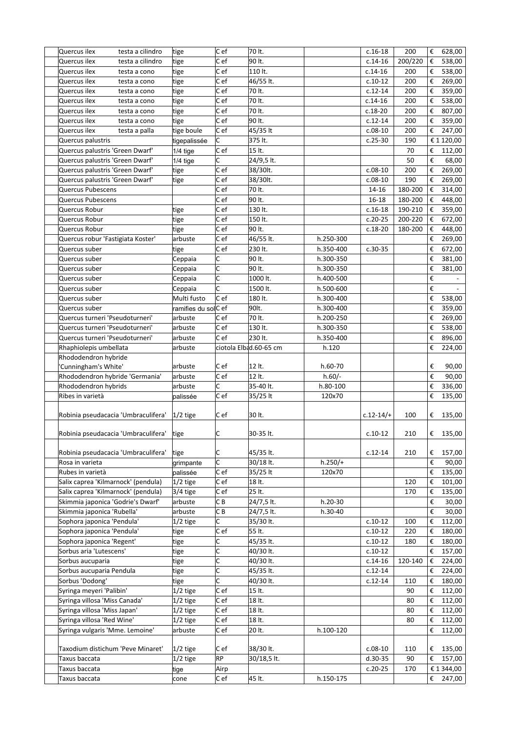| Quercus ilex<br>testa a cilindro           | tige                | $ C $ ef                | 70 lt.                 |           | $c.16-18$     | 200     | €                       | 628,00                   |
|--------------------------------------------|---------------------|-------------------------|------------------------|-----------|---------------|---------|-------------------------|--------------------------|
| Quercus ilex<br>testa a cilindro           | tige                | C ef                    | 90 lt.                 |           | $c.14-16$     | 200/220 | €                       | 538,00                   |
| Quercus ilex<br>testa a cono               | tige                | C ef                    | 110 lt.                |           | $c.14-16$     | 200     | €                       | 538,00                   |
| Quercus ilex<br>testa a cono               | tige                | Cef                     | 46/55 lt.              |           | $c.10-12$     | 200     | €                       | 269,00                   |
| Quercus ilex<br>testa a cono               | tige                | C ef                    | 70 lt.                 |           | $c.12 - 14$   | 200     | €                       | 359,00                   |
| Quercus ilex<br>testa a cono               | tige                | C ef                    | 70 lt.                 |           | $c.14-16$     | 200     | €                       | 538,00                   |
| Quercus ilex<br>testa a cono               | tige                | C e f                   | 70 lt.                 |           | $c.18-20$     | 200     | €                       | 807,00                   |
| Quercus ilex                               |                     | C e f                   | 90 lt.                 |           | $c.12 - 14$   | 200     | €                       | 359,00                   |
| testa a cono                               | tige                |                         |                        |           |               |         |                         |                          |
| Quercus ilex<br>testa a palla              | tige boule          | Cef                     | 45/35 lt               |           | $c.08-10$     | 200     | €                       | 247,00                   |
| Quercus palustris                          | tigepalissée        | С                       | 375 lt.                |           | $c.25-30$     | 190     |                         | € 1 120,00               |
| Quercus palustris 'Green Dwarf'            | $1/4$ tige          | C ef                    | 15 lt.                 |           |               | 70      | €                       | 112,00                   |
| Quercus palustris 'Green Dwarf'            | $1/4$ tige          | C                       | 24/9,5 lt.             |           |               | 50      | €                       | 68,00                    |
| Quercus palustris 'Green Dwarf'            | tige                | Cef                     | 38/30lt.               |           | $c.08-10$     | 200     | €                       | 269,00                   |
| Quercus palustris 'Green Dwarf'            | tige                | C ef                    | 38/30lt.               |           | $c.08-10$     | 190     | €                       | 269,00                   |
| Quercus Pubescens                          |                     | C ef                    | 70 lt.                 |           | 14-16         | 180-200 | €                       | 314,00                   |
| Quercus Pubescens                          |                     | C ef                    | 90 lt.                 |           | $16 - 18$     | 180-200 | €                       | 448,00                   |
| Quercus Robur                              | tige                | C ef                    | $\overline{1}30$ lt.   |           | $c.16-18$     | 190-210 | €                       | 359,00                   |
| Quercus Robur                              | tige                | C ef                    | 150 lt.                |           | $c.20-25$     | 200-220 | €                       | 672,00                   |
| Quercus Robur                              | tige                | C ef                    | 90 lt.                 |           | $c.18-20$     | 180-200 | €                       | 448,00                   |
| Quercus robur 'Fastigiata Koster'          | arbuste             | C ef                    |                        | h.250-300 |               |         | €                       |                          |
|                                            |                     |                         | 46/55 lt.              |           |               |         |                         | 269,00                   |
| Quercus suber                              | tige                | C ef                    | 230 lt.                | h.350-400 | $c.30-35$     |         | €                       | 672,00                   |
| Quercus suber                              | Ceppaia             | C                       | 90 lt.                 | h.300-350 |               |         | €                       | 381,00                   |
| Quercus suber                              | Ceppaia             | C                       | 90 lt.                 | h.300-350 |               |         | €                       | 381,00                   |
| Quercus suber                              | Ceppaia             | $\overline{\mathsf{c}}$ | 1000 lt.               | h.400-500 |               |         | €                       |                          |
| Quercus suber                              | Ceppaia             | C                       | 1500 lt.               | h.500-600 |               |         | €                       | $\overline{\phantom{a}}$ |
| Quercus suber                              | Multi fusto         | C e f                   | 180 lt.                | h.300-400 |               |         | €                       | 538,00                   |
| Quercus suber                              | ramifies du solC ef |                         | 90lt.                  | h.300-400 |               |         | €                       | 359,00                   |
| Quercus turneri 'Pseudoturneri'            | arbuste             | C ef                    | 70 lt.                 | h.200-250 |               |         | €                       | 269,00                   |
| Quercus turneri 'Pseudoturneri'            | arbuste             | C ef                    | 130 lt.                | h.300-350 |               |         | €                       | 538,00                   |
| Quercus turneri 'Pseudoturneri'            | arbuste             | C ef                    | 230 lt.                | h.350-400 |               |         | €                       | 896,00                   |
| Rhaphiolepis umbellata                     | arbuste             |                         | ciotola Elbad.60-65 cm | h.120     |               |         | €                       | 224,00                   |
| Rhododendron hybride                       |                     |                         |                        |           |               |         |                         |                          |
| 'Cunningham's White'                       | arbuste             | C ef                    | 12 lt.                 | h.60-70   |               |         | €                       | 90,00                    |
| Rhododendron hybride 'Germania'            | arbuste             | Cef                     | 12 lt.                 | $h.60/-$  |               |         | €                       | 90,00                    |
|                                            |                     | С                       | 35-40 lt.              | h.80-100  |               |         |                         |                          |
| Rhododendron hybrids                       | arbuste             |                         |                        |           |               |         | €                       | 336,00                   |
| Ribes in varietà                           | palissée            | C ef                    | 35/25 lt               | 120x70    |               |         | €                       | 135,00                   |
|                                            |                     |                         |                        |           |               |         |                         |                          |
| Robinia pseudacacia 'Umbraculifera'        | $1/2$ tige          | C ef                    | 30 lt.                 |           | $c.12 - 14/+$ | 100     | €                       | 135,00                   |
|                                            |                     |                         |                        |           |               |         |                         |                          |
| Robinia pseudacacia 'Umbraculifera'   tige |                     | C                       | 30-35 lt.              |           | $c.10-12$     | 210     |                         | € 135,00                 |
|                                            |                     |                         |                        |           |               |         |                         |                          |
| Robinia pseudacacia 'Umbraculifera'        | tige                | C                       | 45/35 lt.              |           | $c.12-14$     | 210     | €                       | 157,00                   |
| Rosa in varieta                            | grimpante           | C                       | 30/18 lt.              | $h.250/+$ |               |         | $\boldsymbol{\epsilon}$ | 90,00                    |
| Rubes in varietà                           | palissée            | Cef                     | 35/25 lt               | 120x70    |               |         | €                       | 135,00                   |
| Salix caprea 'Kilmarnock' (pendula)        | $1/2$ tige          | $ C $ ef                | 18 lt.                 |           |               | 120     | €                       | 101,00                   |
| Salix caprea 'Kilmarnock' (pendula)        | $3/4$ tige          | C ef                    | 25 lt.                 |           |               | 170     | €                       | 135,00                   |
| Skimmia japonica 'Godrie's Dwarf'          | arbuste             | C B                     | 24/7,5 lt.             | $h.20-30$ |               |         | $\boldsymbol{\epsilon}$ | 30,00                    |
| Skimmia japonica 'Rubella'                 | arbuste             | C B                     | 24/7,5 lt.             | h.30-40   |               |         | €                       | 30,00                    |
| Sophora japonica 'Pendula'                 | $1/2$ tige          | С                       | 35/30 lt.              |           | $c.10-12$     | 100     | €                       | 112,00                   |
| Sophora japonica 'Pendula'                 | tige                | C ef                    | 55 lt.                 |           | $c.10-12$     | 220     | €                       | 180,00                   |
| Sophora japonica 'Regent'                  | tige                | С                       | 45/35 lt.              |           | $c.10-12$     | 180     | €                       | 180,00                   |
|                                            |                     | C                       |                        |           |               |         |                         |                          |
| Sorbus aria 'Lutescens'                    | tige                |                         | 40/30 lt.              |           | $c.10-12$     |         | €                       | 157,00                   |
| Sorbus aucuparia                           | tige                | c                       | 40/30 lt.              |           | $c.14-16$     | 120-140 | €                       | 224,00                   |
| Sorbus aucuparia Pendula                   | tige                | c                       | 45/35 lt.              |           | $c.12 - 14$   |         | €                       | 224,00                   |
| Sorbus 'Dodong'                            | tige                | Ċ                       | 40/30 lt.              |           | $c.12 - 14$   | 110     | €                       | 180,00                   |
| Syringa meyeri 'Palibin'                   | $1/2$ tige          | C ef                    | 15 lt.                 |           |               | 90      | €                       | 112,00                   |
| Syringa villosa 'Miss Canada'              | $1/2$ tige          | C ef                    | 18 lt.                 |           |               | 80      | €                       | 112,00                   |
| Syringa villosa 'Miss Japan'               | 1/2 tige            | C ef                    | 18 lt.                 |           |               | 80      | €                       | 112,00                   |
| Syringa villosa 'Red Wine'                 | $1/2$ tige          | C ef                    | 18 lt.                 |           |               | 80      | €                       | 112,00                   |
| Syringa vulgaris 'Mme. Lemoine'            | arbuste             | C ef                    | 20 lt.                 | h.100-120 |               |         | €                       | 112,00                   |
|                                            |                     |                         |                        |           |               |         |                         |                          |
| Taxodium distichum 'Peve Minaret'          | $1/2$ tige          | Cef                     | 38/30 lt.              |           | $c.08-10$     | 110     | €                       | 135,00                   |
| Taxus baccata                              | $1/2$ tige          | RP                      | 30/18,5 lt.            |           | $d.30-35$     | 90      | €                       | 157,00                   |
| Taxus baccata                              | tige                | Airp                    |                        |           | $c.20-25$     | 170     |                         | € 1 344,00               |
|                                            |                     |                         |                        |           |               |         |                         |                          |
| Taxus baccata                              | cone                | Cef                     | 45 lt.                 | h.150-175 |               |         | €                       | 247,00                   |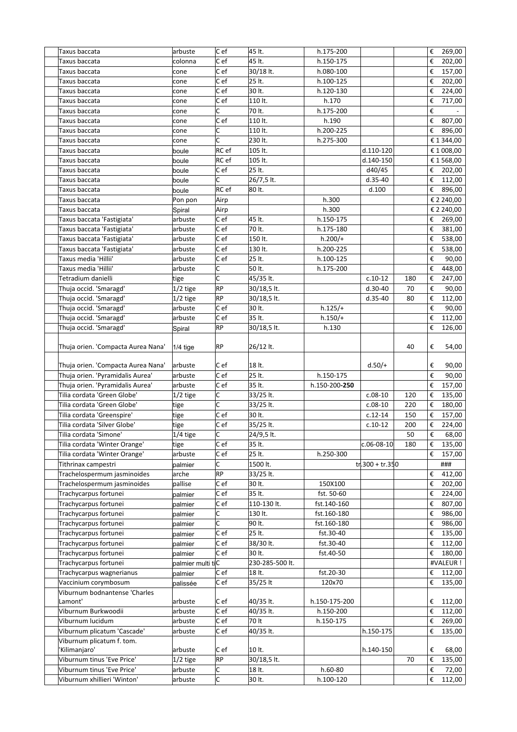| Taxus baccata                      | arbuste           | C ef      | 45 lt.          | h.175-200     |                   |     | €                       | 269,00     |
|------------------------------------|-------------------|-----------|-----------------|---------------|-------------------|-----|-------------------------|------------|
| Taxus baccata                      | colonna           | C e f     | 45 lt.          | h.150-175     |                   |     | €                       | 202,00     |
| Taxus baccata                      | cone              | C e f     | 30/18 lt.       | h.080-100     |                   |     | €                       | 157,00     |
| Taxus baccata                      | cone              | C ef      | 25 lt.          | h.100-125     |                   |     | €                       | 202,00     |
| Taxus baccata                      | cone              | C ef      | 30 lt.          | h.120-130     |                   |     | €                       | 224,00     |
| Taxus baccata                      | cone              | C ef      | 110 lt.         | h.170         |                   |     | €                       | 717,00     |
| Taxus baccata                      | cone              | lc.       | 70 lt.          | h.175-200     |                   |     | €                       |            |
| Taxus baccata                      | cone              | C ef      | 110 lt.         | h.190         |                   |     | €                       | 807,00     |
| Taxus baccata                      | cone              | C         | 110 lt.         | h.200-225     |                   |     | €                       | 896,00     |
| Taxus baccata                      | cone              | C         | 230 lt.         | h.275-300     |                   |     |                         | € 1 344,00 |
| Taxus baccata                      | boule             | RC ef     | 105 lt.         |               | d.110-120         |     |                         | € 1 008,00 |
| Taxus baccata                      | boule             | RC ef     | 105 lt.         |               | d.140-150         |     |                         | € 1 568,00 |
| Taxus baccata                      | boule             | Cef       | 25 lt.          |               | d40/45            |     | €                       | 202,00     |
| Taxus baccata                      | boule             | C         | 26/7,5 lt.      |               | $d.35-40$         |     | €                       | 112,00     |
| Taxus baccata                      | boule             | RC ef     | 80 lt.          |               | d.100             |     | €                       | 896,00     |
| Taxus baccata                      | Pon pon           | Airp      |                 | h.300         |                   |     |                         | € 2 240,00 |
| Taxus baccata                      | Spiral            | Airp      |                 | h.300         |                   |     |                         | € 2 240,00 |
| Taxus baccata 'Fastigiata'         | arbuste           | C ef      | 45 lt.          | h.150-175     |                   |     | €                       | 269,00     |
| Taxus baccata 'Fastigiata'         | arbuste           | Cef       | 70 lt.          | h.175-180     |                   |     | €                       | 381,00     |
| Taxus baccata 'Fastigiata'         | arbuste           | Cef       | 150 lt.         | $h.200/+$     |                   |     | €                       | 538,00     |
| Taxus baccata 'Fastigiata'         |                   | C ef      | 130 lt.         |               |                   |     | €                       |            |
|                                    | arbuste           |           |                 | h.200-225     |                   |     |                         | 538,00     |
| Taxus media 'Hillii'               | arbuste           | C ef      | 25 lt.          | h.100-125     |                   |     | €                       | 90,00      |
| Taxus media 'Hillii'               | arbuste           | C         | 50 lt.          | h.175-200     |                   |     | €                       | 448,00     |
| Tetradium danielli                 | tige              | C         | 45/35 lt.       |               | $c.10-12$         | 180 | €                       | 247,00     |
| Thuja occid. 'Smaragd'             | $1/2$ tige        | <b>RP</b> | 30/18,5 lt.     |               | $d.30-40$         | 70  | €                       | 90,00      |
| Thuja occid. 'Smaragd'             | $1/2$ tige        | <b>RP</b> | 30/18,5 lt.     |               | $d.35-40$         | 80  | €                       | 112,00     |
| Thuja occid. 'Smaragd'             | arbuste           | C ef      | 30 lt.          | $h.125/+$     |                   |     | €                       | 90,00      |
| Thuja occid. 'Smaragd'             | arbuste           | C ef      | 35 lt.          | $h.150/+$     |                   |     | €                       | 112,00     |
| Thuja occid. 'Smaragd'             | Spiral            | <b>RP</b> | 30/18,5 lt.     | h.130         |                   |     | €                       | 126,00     |
| Thuja orien. 'Compacta Aurea Nana' | $1/4$ tige        | RP        | 26/12 lt.       |               |                   | 40  | €                       | 54,00      |
| Thuja orien. 'Compacta Aurea Nana' | arbuste           | C e f     | 18 lt.          |               | $d.50/+$          |     | €                       | 90,00      |
| Thuja orien. 'Pyramidalis Aurea'   | arbuste           | C ef      | 25 lt.          | h.150-175     |                   |     | €                       | 90,00      |
| Thuja orien. 'Pyramidalis Aurea'   | arbuste           | C ef      | 35 lt.          | h.150-200-250 |                   |     | €                       | 157,00     |
| Tilia cordata 'Green Globe'        | $1/2$ tige        | C         | 33/25 lt.       |               | $c.08-10$         | 120 | €                       | 135,00     |
| Tilia cordata 'Green Globe'        | tige              | C         | 33/25 lt.       |               | $c.08-10$         | 220 | €                       | 180,00     |
| Tilia cordata 'Greenspire'         | tige              | C ef      | 30 lt.          |               | $c.12-14$         | 150 | €                       | 157,00     |
| Tilia cordata 'Silver Globe'       | tige              | C ef      | 35/25 lt.       |               | $c.10-12$         | 200 | €                       | 224,00     |
| Tilia cordata 'Simone'             | $1/4$ tige        | c         | 24/9,5 lt.      |               |                   | 50  | $\boldsymbol{\epsilon}$ | 68,00      |
| Tilia cordata 'Winter Orange'      | tige              | C ef      | 35 lt.          |               | $c.06 - 08 - 10$  | 180 | €                       | 135,00     |
| Tilia cordata 'Winter Orange'      | arbuste           | Cef       | 25 lt.          | h.250-300     |                   |     | €                       | 157,00     |
| Tithrinax campestri                | palmier           | C         | 1500 lt.        |               | $tr.300 + tr.350$ |     |                         | ###        |
| Trachelospermum jasminoides        | arche             | <b>RP</b> | 33/25 lt.       |               |                   |     | €                       | 412,00     |
| Trachelospermum jasminoides        | pallise           | Cef       | 30 lt.          | 150X100       |                   |     | €                       | 202,00     |
| Trachycarpus fortunei              | palmier           | Cef       | 35 lt.          | fst. 50-60    |                   |     | €                       | 224,00     |
| Trachycarpus fortunei              |                   | C ef      | 110-130 lt.     | fst.140-160   |                   |     | €                       | 807,00     |
| Trachycarpus fortunei              | palmier           | C         | 130 lt.         | fst.160-180   |                   |     | €                       | 986,00     |
| Trachycarpus fortunei              | palmier           | C         | 90 lt.          | fst.160-180   |                   |     | €                       | 986,00     |
| Trachycarpus fortunei              | palmier           | C ef      | 25 lt.          | fst.30-40     |                   |     | €                       |            |
|                                    | palmier           | C ef      | 38/30 lt.       | fst.30-40     |                   |     | €                       | 135,00     |
| Trachycarpus fortunei              | palmier           |           |                 |               |                   |     |                         | 112,00     |
| Trachycarpus fortunei              | palmier           | Cef       | 30 lt.          | fst.40-50     |                   |     | €                       | 180,00     |
| Trachycarpus fortunei              | palmier multi tiC |           | 230-285-500 lt. |               |                   |     |                         | #VALEUR !  |
| Trachycarpus wagnerianus           | palmier           | C e f     | 18 lt.          | fst.20-30     |                   |     | €                       | 112,00     |
| Vaccinium corymbosum               | palissée          | C e f     | 35/25 lt        | 120x70        |                   |     | €                       | 135,00     |
| Viburnum bodnantense 'Charles      |                   |           |                 |               |                   |     |                         |            |
| Lamont'                            | arbuste           | C ef      | 40/35 lt.       | h.150-175-200 |                   |     | €                       | 112,00     |
| Viburnum Burkwoodii                | arbuste           | C ef      | 40/35 lt.       | h.150-200     |                   |     | €                       | 112,00     |
| Viburnum lucidum                   | arbuste           | Cef       | 70 It           | h.150-175     |                   |     | €                       | 269,00     |
| Viburnum plicatum 'Cascade'        | arbuste           | Cef       | 40/35 lt.       |               | h.150-175         |     | €                       | 135,00     |
| Viburnum plicatum f. tom.          |                   |           |                 |               |                   |     |                         |            |
| 'Kilimanjaro'                      | arbuste           | C ef      | 10 lt.          |               | h.140-150         |     | €                       | 68,00      |
| Viburnum tinus 'Eve Price'         | $1/2$ tige        | <b>RP</b> | 30/18,5 lt.     |               |                   | 70  | €                       | 135,00     |
| Viburnum tinus 'Eve Price'         | arbuste           | C         | 18 lt.          | h.60-80       |                   |     | €                       | 72,00      |
| Viburnum xhillieri 'Winton'        | arbuste           | c.        | 30 lt.          | h.100-120     |                   |     | €                       | 112,00     |